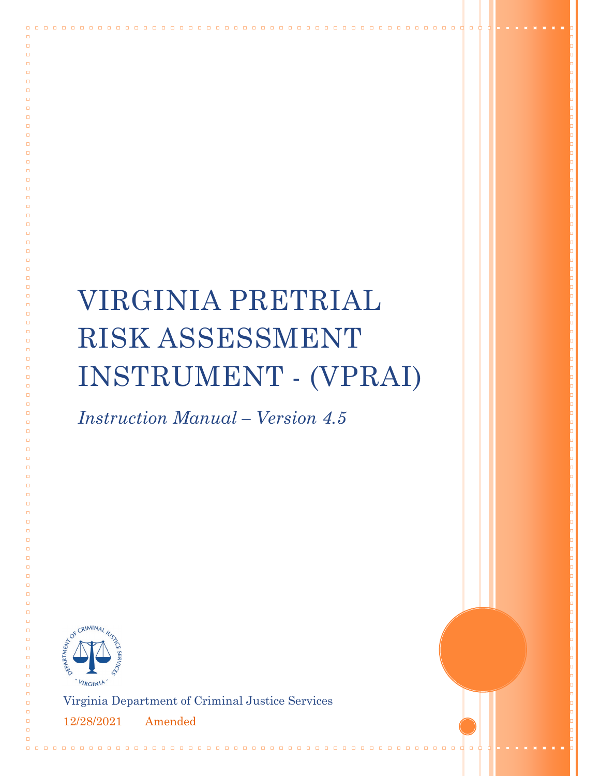# VIRGINIA PRETRIAL RISK ASSESSMENT INSTRUMENT - (VPRAI)

*Instruction Manual – Version 4.5*



 $\Box$  $\Box$ 

 $\Box$ 

 $\Box$  $\Box$  $\Box$ 

 $\Box$  $\Box$ 

 $\Box$  $\Box$  $\Box$ 

 $\Box$  $\Box$  $\Box$  $\Box$  $\Box$  $\Box$  $\Box$  $\Box$  $\Box$  $\Box$  $\Box$  $\Box$ 

 $\Box$ 

 $\Box$ 

 $\Box$ 

 $\Box$  $\Box$  $\Box$  $\Box$  $\Box$  $\Box$  $\Box$ 

 $\Box$  $\Box$  $\Box$  $\Box$  $\Box$  $\Box$ 

Virginia Department of Criminal Justice Services

12/28/2021 Amended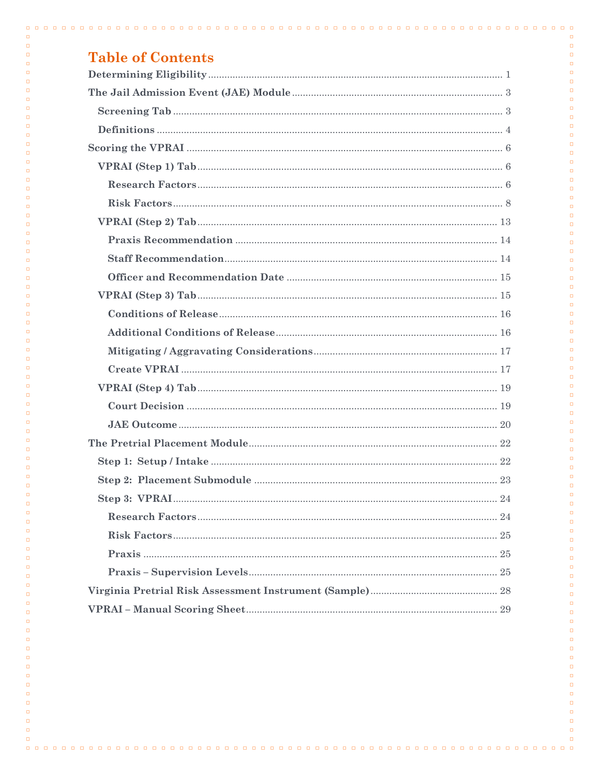|  | <b>Table of Contents</b> |
|--|--------------------------|
|  |                          |

| <b>LANIC UL CULTURING</b> |
|---------------------------|
|                           |
|                           |
|                           |
|                           |
|                           |
|                           |
|                           |
|                           |
|                           |
|                           |
|                           |
|                           |
|                           |
|                           |
|                           |
|                           |
|                           |
|                           |
|                           |
|                           |
|                           |
|                           |
|                           |
|                           |
|                           |
|                           |
|                           |
|                           |
|                           |

 $\Box$ 

 $\Box$ 

 $\Box$ 

 $\Box$ 

 $\Box$  $\Box$ 

 $\Box$  $\Box$ 

 $\Box$ 

 $\Box$ 

 $\Box$  $\Box$ 

 $\Box$ 

 $\Box$ 

 $\Box$ 

 $\Box$ 

 $\Box$ 

 $\Box$ 

 $\Box$ 

 $\Box$ 

 $\Box$ 

 $\Box$  $\Box$ 

 $\Box$ 

 $\Box$ 

 $\Box$ 

 $\Box$ 

 $\Box$ 

 $\Box$  $\Box$ 

 $\Box$ 

 $\Box$ 

 $\Box$  $\Box$ 

 $\Box$  $\Box$ 

 $\Box$  $\Box$ 

 $\Box$  $\Box$ 

 $\Box$ 

 $\Box$ 

 $\Box$ 

 $\Box$  $\Box$ 

 $\Box$ 

 $\Box$  $\Box$ 

 $\Box$  $\Box$ 

 $\Box$ 

 $\Box$ 

 $\Box$  $\Box$ 

 $\Box$  $\Box$ 

 $\Box$  $\Box$ 

 $\Box$  $\Box$ 

 $\Box$  $\Box$ 

 $\Box$  $\Box$ 

 $\Box$  $\Box$ 

 $\Box$  $\Box$ 

 $\Box$ 

 $\Box$ 

 $\Box$ 

 $\Box$ 

 $\Box$ 

 $\Box$ 

 $\Box$  $\Box$ 

 $\Box$ 

 $\Box$ 

 $\Box$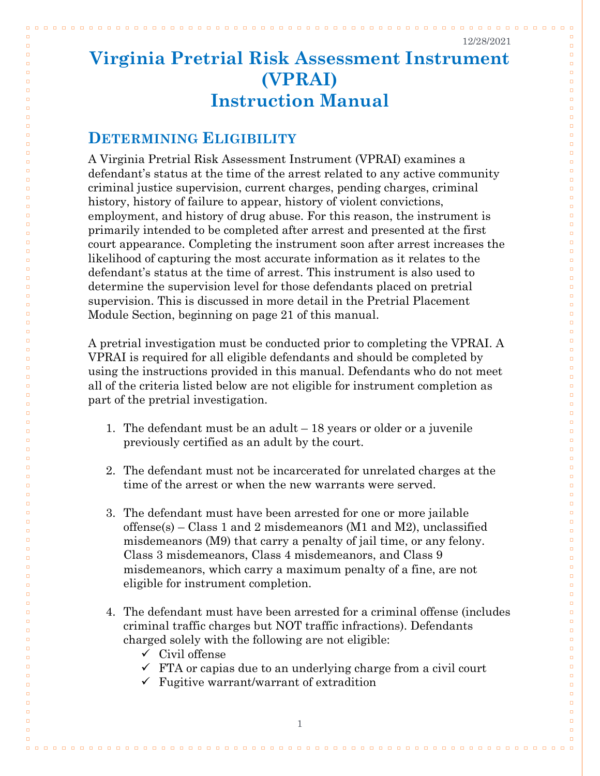$\Box$   $\Box$ 

 $\Box$ 

 $\Box$ 

 $\Box$ 

 $\Box$ 

 $\Box$  $\Box$ 

 $\Box$  $\Box$ 

 $\Box$  $\Box$ 

 $\Box$ 

 $\Box$ 

 $\Box$ 

 $\Box$ 

 $\Box$ 

 $\Box$  $\Box$ 

 $\Box$  $\Box$ 

 $\Box$ 

 $\Box$ 

 $\Box$ 

 $\Box$ 

 $\Box$ 

 $\Box$ 

 $\Box$ 

 $\Box$ 

 $\Box$ 

 $\Box$ 

 $\Box$ 

 $\Box$  $\Box$ 

 $\Box$ 

 $\Box$ 

 $\Box$ 

 $\Box$ 

 $\Box$  $\Box$ 

 $\Box$ 

 $\Box$ 

 $\Box$  $\Box$ 

 $\Box$ 

 $\Box$  $\Box$ 

 $\Box$  $\Box$ 

 $\Box$  $\Box$ 

 $\Box$  $\Box$ 

 $\Box$ 

 $\Box$ 

 $\Box$  $\Box$ 

 $\Box$  $\Box$ 

 $\Box$ 

 $\Box$ 

 $\Box$  $\Box$ 

 $\Box$  $\Box$ 

 $\Box$ 

 $\Box$  $\Box$ 

 $\Box$ 

 $\Box$ 

 $\Box$ 

 $\Box$  $\Box$ 

 $\Box$  $\Box$ 

 $\Box$ 

 $\Box$ 

 $\Box$ 

 $\Box$ 

 $\Box$ 

 $\Box$ 

## **Virginia Pretrial Risk Assessment Instrument (VPRAI) Instruction Manual**

## <span id="page-2-0"></span>**DETERMINING ELIGIBILITY**

 $\Box$ 

 $\Box$ 

 $\Box$ 

 $\Box$ 

 $\Box$ 

 $\Box$ 

 $\Box$  $\Box$ 

 $\Box$  $\Box$ 

 $\Box$ 

 $\Box$  $\Box$ 

 $\Box$ 

 $\Box$ 

 $\Box$ 

 $\Box$ 

 $\Box$  $\Box$ 

 $\Box$  $\Box$ 

 $\Box$ 

 $\Box$ 

 $\Box$ 

 $\Box$ 

 $\Box$ 

 $\Box$ 

 $\Box$ 

 $\Box$ 

 $\Box$ 

 $\Box$ 

 $\Box$ 

 $\Box$ 

 $\Box$  $\Box$ 

 $\Box$ 

 $\Box$ 

 $\Box$ 

 $\Box$  $\Box$ 

 $\Box$ 

 $\Box$ 

 $\Box$ 

 $\Box$  $\Box$ 

 $\Box$  $\Box$ 

 $\Box$  $\Box$ 

 $\Box$  $\Box$ 

 $\Box$  $\Box$ 

 $\Box$ 

 $\Box$ 

 $\Box$  $\Box$ 

 $\Box$ 

 $\Box$  $\Box$ 

 $\Box$ 

 $\Box$  $\Box$ 

 $\Box$  $\Box$ 

 $\Box$ 

 $\Box$  $\Box$ 

 $\Box$ 

 $\Box$ 

 $\Box$ 

 $\Box$  $\Box$ 

 $\Box$  $\Box$ 

 $\Box$ 

 $\Box$ 

 $\Box$ 

 $\Box$ 

 $\Box$ 

A Virginia Pretrial Risk Assessment Instrument (VPRAI) examines a defendant's status at the time of the arrest related to any active community criminal justice supervision, current charges, pending charges, criminal history, history of failure to appear, history of violent convictions, employment, and history of drug abuse. For this reason, the instrument is primarily intended to be completed after arrest and presented at the first court appearance. Completing the instrument soon after arrest increases the likelihood of capturing the most accurate information as it relates to the defendant's status at the time of arrest. This instrument is also used to determine the supervision level for those defendants placed on pretrial supervision. This is discussed in more detail in the Pretrial Placement Module Section, beginning on page 21 of this manual.

A pretrial investigation must be conducted prior to completing the VPRAI. A VPRAI is required for all eligible defendants and should be completed by using the instructions provided in this manual. Defendants who do not meet all of the criteria listed below are not eligible for instrument completion as part of the pretrial investigation.

- 1. The defendant must be an adult 18 years or older or a juvenile previously certified as an adult by the court.
- 2. The defendant must not be incarcerated for unrelated charges at the time of the arrest or when the new warrants were served.
- 3. The defendant must have been arrested for one or more jailable offense(s) – Class 1 and 2 misdemeanors (M1 and M2), unclassified misdemeanors (M9) that carry a penalty of jail time, or any felony. Class 3 misdemeanors, Class 4 misdemeanors, and Class 9 misdemeanors, which carry a maximum penalty of a fine, are not eligible for instrument completion.
- 4. The defendant must have been arrested for a criminal offense (includes criminal traffic charges but NOT traffic infractions). Defendants charged solely with the following are not eligible:
	- $\checkmark$  Civil offense
	- $\checkmark$  FTA or capias due to an underlying charge from a civil court
	- $\checkmark$  Fugitive warrant/warrant of extradition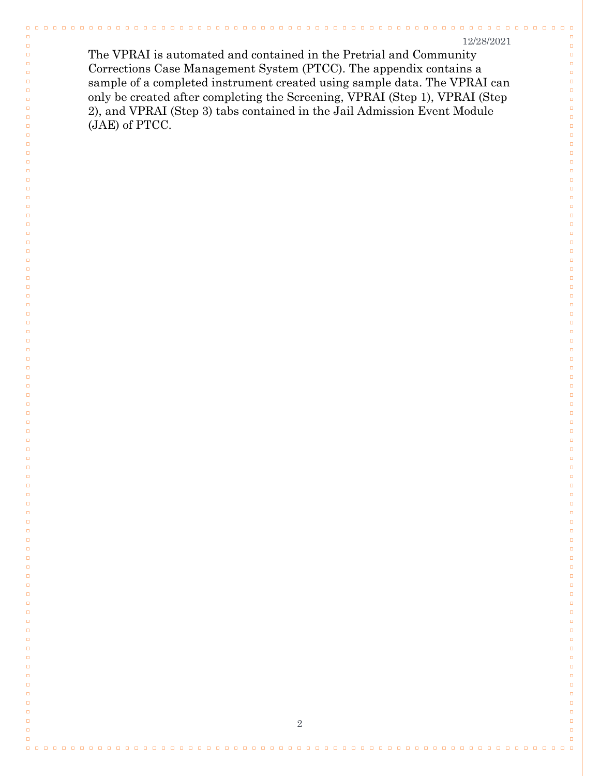$\Box$ 

 $\Box$ 

 $\Box$  $\Box$ 

 $\Box$  $\Box$ 

 $\Box$ 

 $\Box$ 

 $\Box$ 

 $\Box$ 

 $\Box$ 

 $\Box$ 

 $\Box$ 

 $\Box$ 

 $\Box$ 

 $\Box$ 

 $\Box$ 

 $\Box$ 

 $\Box$ 

 $\Box$ 

 $\Box$ 

 $\Box$ 

 $\Box$ 

 $\Box$ 

 $\Box$ 

 $\Box$ 

 $\Box$ 

 $\Box$  $\Box$ 

 $\Box$ 

 $\Box$ 

 $\Box$ 

 $\Box$  $\Box$ 

 $\Box$ 

 $\Box$ 

 $\Box$ 

 $\Box$ 

 $\Box$ 

 $\Box$ 

 $\Box$ 

 $\Box$ 

 $\Box$ 

 $\Box$ 

 $\Box$ 

 $\Box$ 

 $\Box$ 

 $\Box$ 

 $\Box$ 

 $\Box$ 

 $\Box$ 

 $\Box$ 

 $\Box$ 

 $\Box$ 

 $\Box$  $\Box$ 

 $\Box$ 

 $\Box$ 

 $\Box$ 

 $\Box$ 

 $\Box$  $\Box$ 

 $\Box$ 

 $\Box$ 

 $\Box$  $\Box$ 

 $\Box$ 

 $\Box$ 

 $\Box$ 

 $\Box$ 

 $\Box$  $\Box$ 

 $\Box$ 

 $\Box$ 

 $\Box$ 

 $\Box$ 

 $\Box$ 

 $\Box$ 

 $\Box$ 

The VPRAI is automated and contained in the Pretrial and Community Corrections Case Management System (PTCC). The appendix contains a sample of a completed instrument created using sample data. The VPRAI can only be created after completing the Screening, VPRAI (Step 1), VPRAI (Step 2), and VPRAI (Step 3) tabs contained in the Jail Admission Event Module (JAE) of PTCC.

 $\Box$ 

 $\Box$ 

 $\Box$ 

 $\Box$  $\Box$ 

 $\Box$ 

 $\Box$ 

 $\Box$  $\Box$ 

 $\Box$ 

 $\Box$ 

 $\Box$ 

 $\Box$ 

 $\Box$ 

 $\Box$ 

 $\Box$ 

 $\Box$ 

 $\Box$ 

 $\Box$ 

 $\Box$ 

 $\Box$ 

 $\Box$ 

 $\Box$ 

 $\Box$ 

 $\Box$ 

 $\Box$ 

 $\Box$ 

 $\Box$ 

 $\Box$  $\Box$ 

 $\Box$ 

 $\Box$ 

 $\Box$ 

 $\Box$  $\Box$ 

 $\Box$ 

 $\Box$ 

 $\Box$ 

 $\Box$ 

 $\Box$ 

 $\Box$ 

 $\Box$ 

 $\Box$ 

 $\Box$ 

 $\Box$ 

 $\Box$ 

 $\Box$ 

 $\Box$ 

 $\Box$ 

 $\Box$ 

 $\Box$ 

 $\Box$ 

 $\Box$ 

 $\Box$ 

 $\Box$ 

 $\Box$  $\Box$ 

 $\Box$ 

 $\Box$ 

 $\Box$ 

 $\Box$ 

 $\Box$  $\Box$ 

 $\Box$ 

 $\Box$ 

 $\Box$  $\Box$ 

 $\Box$ 

 $\Box$ 

 $\Box$ 

 $\Box$ 

 $\Box$  $\Box$ 

 $\Box$ 

 $\Box$ 

 $\Box$ 

 $\Box$ 

 $\Box$ 

 $\Box$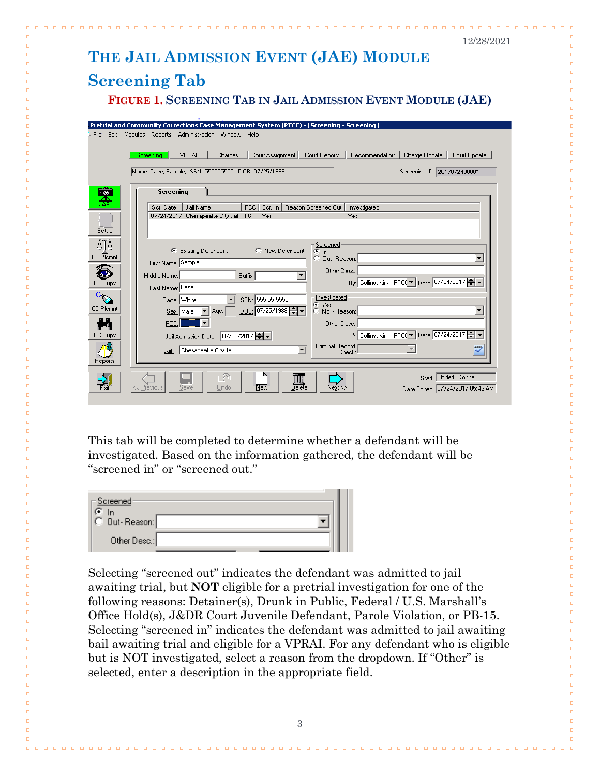<span id="page-4-1"></span><span id="page-4-0"></span>

|                                                     | 12/28/2021                                                                                                                                                                                                                                                                                                                                                                                                                                                                                                                                                   |
|-----------------------------------------------------|--------------------------------------------------------------------------------------------------------------------------------------------------------------------------------------------------------------------------------------------------------------------------------------------------------------------------------------------------------------------------------------------------------------------------------------------------------------------------------------------------------------------------------------------------------------|
|                                                     | THE JAIL ADMISSION EVENT (JAE) MODULE                                                                                                                                                                                                                                                                                                                                                                                                                                                                                                                        |
|                                                     | <b>Screening Tab</b>                                                                                                                                                                                                                                                                                                                                                                                                                                                                                                                                         |
|                                                     |                                                                                                                                                                                                                                                                                                                                                                                                                                                                                                                                                              |
|                                                     | FIGURE 1. SCREENING TAB IN JAIL ADMISSION EVENT MODULE (JAE)                                                                                                                                                                                                                                                                                                                                                                                                                                                                                                 |
|                                                     | Pretrial and Community Corrections Case Management System (PTCC) - [Screening - Screening]                                                                                                                                                                                                                                                                                                                                                                                                                                                                   |
|                                                     | File Edit Modules Reports Administration Window<br>Help                                                                                                                                                                                                                                                                                                                                                                                                                                                                                                      |
|                                                     | <b>VPRAI</b><br>Recommendation<br>Charges<br>Court Assignment<br>Court Reports<br>Charge Update<br>Court Update<br>Screening                                                                                                                                                                                                                                                                                                                                                                                                                                 |
|                                                     |                                                                                                                                                                                                                                                                                                                                                                                                                                                                                                                                                              |
|                                                     | Name: Case, Sample; SSN: 555555555; DOB: 07/25/1988<br>Screening ID: 2017072400001                                                                                                                                                                                                                                                                                                                                                                                                                                                                           |
| 文人<br>Setup<br>PT Plcmnt<br><b>CC Plcmnt</b><br>aa. | Screening<br><b>PCC</b><br>Scr. In   Reason Screened Out  <br>Scr. Date<br>Jail Name<br>Investigated<br>07/24/2017 Chesapeake City Jail<br>F <sub>6</sub><br>Yes<br>Yes<br>Screened<br>C New Defendant<br><b>Existing Defendant</b><br>œ<br>€h<br>C Out-Reason:<br>First Name: Sample<br>Other Desc.:<br>Middle Name:<br>Suffix:<br>By: Collins, Kirk - PTC( 기 Date: 07/24/2017 -<br>Last Name: Case<br>Investigated<br>SSN: 555-55-5555<br>Race: White<br>ে Yes<br>Age: 28 DOB: 07/25/1988 =<br>Sex: Male<br>C No - Reason:<br>▼<br>PCC: F6<br>Other Desc.: |
| CC Supv<br>Reports                                  | By: Collins, Kirk - PTC( • Date: 07/24/2017 • •<br>Jail Admission Date: 07/22/2017<br>Criminal Record<br>ABC,<br>$\blacktriangledown$<br>Chesapeake City Jail<br>Jail: I<br>Check:<br>Staff: Shiflett, Donna                                                                                                                                                                                                                                                                                                                                                 |
|                                                     | Delete<br>$N$ ext >><br><< Previous<br>Undo<br>New<br>Date Edited: 07/24/2017 05:43 AM<br>Save                                                                                                                                                                                                                                                                                                                                                                                                                                                               |

 $\begin{array}{cccccccccccccc} \Box & \Box & \Box & \Box & \Box \end{array}$ 

 $\Box$ 

 $\Box$ 

 $\Box$ 

 $\Box$ 

 $\Box$ 

 $\Box$ 

 $\Box$  $\Box$ 

 $\Box$  $\Box$ 

 $\Box$ 

 $\Box$ 

 $\Box$ 

 $\Box$ 

 $\Box$ 

 $\Box$ 

 $\Box$ 

 $\Box$  $\Box$ 

 $\Box$ 

 $\Box$ 

 $\Box$ 

 $\Box$ 

 $\Box$ 

 $\Box$ 

 $\Box$ 

 $\Box$ 

 $\Box$ 

 $\Box$ 

 $\Box$ 

 $\Box$ 

 $\Box$ 

 $\Box$ 

 $\Box$ 

 $\Box$ 

 $\Box$ 

 $\Box$ 

 $\Box$ 

 $\Box$ 

 $\Box$ 

 $\Box$ 

 $\Box$ 

 $\Box$ 

 $\Box$ 

 $\Box$ 

 $\Box$ 

 $\Box$ 

 $\Box$ 

 $\Box$ 

 $\Box$ 

 $\Box$ 

 $\Box$ 

 $\Box$ 

 $\Box$ 

 $\Box$ 

 $\Box$ 

 $\Box$ 

 $\Box$ 

 $\Box$ 

 $\Box$ 

 $\Box$ 

 $\Box$ 

 $\Box$ 

 $\Box$ 

 $\Box$  $\Box$ 

 $\Box$ 

 $\Box$ 

 $\Box$  $\Box$ 

 $\Box$ 

 $\Box$ 

 $\Box$ 

 $\Box$ 

 $\Box$ 

 $\Box$ 

 $\Box$ 

 $\Box$  $\Box$ 

This tab will be completed to determine whether a defendant will be investigated. Based on the information gathered, the defendant will be "screened in" or "screened out."

| -Screened·<br>In |  |  |
|------------------|--|--|
| C Dut-Reason:    |  |  |
| Other Desc.:     |  |  |

 $\Box$ 

 $\Box$ 

 $\Box$ 

 $\Box$ 

 $\Box$ 

 $\Box$ 

 $\Box$ 

 $\Box$ 

 $\Box$  $\Box$ 

 $\Box$  $\Box$ 

 $\Box$ 

 $\Box$ 

 $\Box$ 

 $\Box$ 

 $\Box$ 

 $\Box$ 

 $\Box$ 

 $\Box$  $\Box$ 

 $\Box$ 

 $\Box$ 

 $\Box$ 

 $\Box$ 

 $\Box$ 

 $\Box$ 

 $\Box$ 

 $\Box$ 

 $\Box$ 

 $\Box$ 

 $\Box$ 

 $\Box$ 

 $\Box$ 

 $\Box$ 

 $\Box$ 

 $\Box$ 

 $\Box$ 

 $\Box$ 

 $\Box$ 

 $\Box$ 

 $\Box$ 

 $\Box$ 

 $\Box$ 

 $\Box$ 

 $\Box$ 

 $\Box$ 

 $\Box$ 

 $\Box$ 

 $\Box$ 

 $\Box$ 

 $\Box$ 

 $\Box$ 

 $\Box$ 

 $\Box$ 

 $\Box$ 

 $\Box$ 

 $\Box$ 

 $\Box$ 

 $\Box$ 

 $\Box$ 

 $\Box$ 

 $\Box$ 

 $\Box$ 

 $\Box$ 

 $\Box$ 

 $\Box$  $\Box$ 

 $\Box$ 

 $\Box$ 

 $\Box$  $\Box$ 

 $\Box$ 

 $\Box$ 

 $\Box$ 

 $\Box$ 

 $\Box$ 

 $\Box$ 

 $\Box$ 

 $\Box$ 

Selecting "screened out" indicates the defendant was admitted to jail awaiting trial, but **NOT** eligible for a pretrial investigation for one of the following reasons: Detainer(s), Drunk in Public, Federal / U.S. Marshall's Office Hold(s), J&DR Court Juvenile Defendant, Parole Violation, or PB-15. Selecting "screened in" indicates the defendant was admitted to jail awaiting bail awaiting trial and eligible for a VPRAI. For any defendant who is eligible but is NOT investigated, select a reason from the dropdown. If "Other" is selected, enter a description in the appropriate field.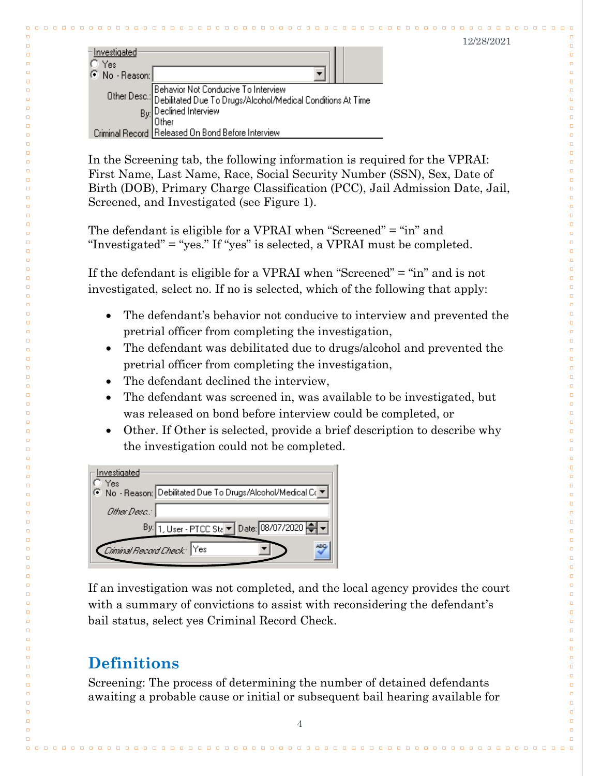$\Box$ 

 $\Box$ 

 $\Box$ 

 $\Box$ 

 $\Box$ 

 $\Box$ 

 $\Box$ 

 $\Box$ 

 $\Box$ 

 $\Box$ 

 $\Box$ 

 $\Box$ 

 $\Box$ 

 $\Box$ 

 $\Box$ 

 $\Box$ 

 $\Box$ 

 $\Box$ 

 $\Box$ 

 $\Box$ 

 $\Box$ 

 $\Box$ 

 $\Box$ 

 $\Box$ 

 $\Box$ 

 $\Box$  $\Box$ 

 $\Box$ 

 $\Box$ 

 $\Box$  $\Box$ 

 $\Box$ 

 $\Box$ 

 $\Box$ 

 $\Box$ 

 $\Box$ 

 $\Box$ 

 $\Box$ 

 $\Box$ 

 $\Box$ 

 $\Box$ 

 $\Box$ 

 $\Box$ 

 $\Box$ 

 $\Box$  $\Box$ 

 $\Box$ 

 $\Box$ 

 $\Box$ 

 $\Box$ 

 $\Box$ 

 $\Box$ 

| -Investigated<br>C Yes<br>⊙ No - Reason: ∫ |                                                                                                                                           |
|--------------------------------------------|-------------------------------------------------------------------------------------------------------------------------------------------|
|                                            |                                                                                                                                           |
|                                            | Other Desc.: Behavior Not Conducive To Interview<br>Debilitated Due To Drugs/Alcohol/Medical Conditions At Time<br>By: Declined Interview |
|                                            |                                                                                                                                           |
|                                            | Other                                                                                                                                     |
|                                            | Criminal Record Released On Bond Before Interview                                                                                         |

 $\Box$  $\Box$  $\Box$  $\Box$ 

 $\Box$ 

 $\Box$  $\Box$ 

 $\Box$  $\Box$ 

 $\Box$  $\Box$  $\Box$  $\Box$ 

 $\Box$ 

 $\Box$ 

 $\Box$ 

 $\Box$  $\Box$ 

 $\Box$  $\Box$ 

 $\Box$  $\Box$ 

 $\Box$ 

 $\Box$ 

 $\Box$ 

 $\Box$ 

 $\Box$ 

 $\Box$ 

 $\Box$ 

 $\Box$  $\Box$ 

 $\Box$ 

 $\Box$ 

 $\Box$ 

 $\Box$ 

 $\Box$ 

 $\Box$ 

 $\Box$ 

 $\Box$  $\Box$ 

 $\Box$ 

 $\Box$ 

 $\Box$  $\Box$ 

 $\Box$ 

 $\Box$ 

 $\Box$ 

 $\Box$  $\Box$  $\Box$  $\Box$ 

 $\Box$  $\Box$ 

 $\Box$  $\Box$ 

 $\Box$  $\Box$  $\Box$ 

 $\Box$ 

 $\Box$  $\Box$  $\Box$ 

 $\Box$ 

 $\Box$ 

 $\Box$ 

 $\Box$ 

 $\Box$  $\Box$ 

 $\Box$ 

 $\Box$ 

 $\Box$ 

 $\Box$  $\Box$  $\Box$  $\Box$  $\Box$  $\Box$  $\Box$ 

 $\Box$ 

In the Screening tab, the following information is required for the VPRAI: First Name, Last Name, Race, Social Security Number (SSN), Sex, Date of Birth (DOB), Primary Charge Classification (PCC), Jail Admission Date, Jail, Screened, and Investigated (see Figure 1).

The defendant is eligible for a VPRAI when "Screened" = "in" and "Investigated" = "yes." If "yes" is selected, a VPRAI must be completed.

If the defendant is eligible for a VPRAI when "Screened" = "in" and is not investigated, select no. If no is selected, which of the following that apply:

- The defendant's behavior not conducive to interview and prevented the pretrial officer from completing the investigation,
- The defendant was debilitated due to drugs/alcohol and prevented the pretrial officer from completing the investigation,
- The defendant declined the interview,
- The defendant was screened in, was available to be investigated, but was released on bond before interview could be completed, or
- Other. If Other is selected, provide a brief description to describe why the investigation could not be completed.

| <u>– Investigated</u><br>"Yes                                |
|--------------------------------------------------------------|
| ⊙ No - Reason: Debilitated Due To Drugs/Alcohol/Medical Co ▼ |
| Other Desia."                                                |
| By: 1, User - PTCC Sta v Date: 08/07/2020                    |
| Criminal Record Check: Yes                                   |

If an investigation was not completed, and the local agency provides the court with a summary of convictions to assist with reconsidering the defendant's bail status, select yes Criminal Record Check.

## <span id="page-5-0"></span>**Definitions**

Screening: The process of determining the number of detained defendants awaiting a probable cause or initial or subsequent bail hearing available for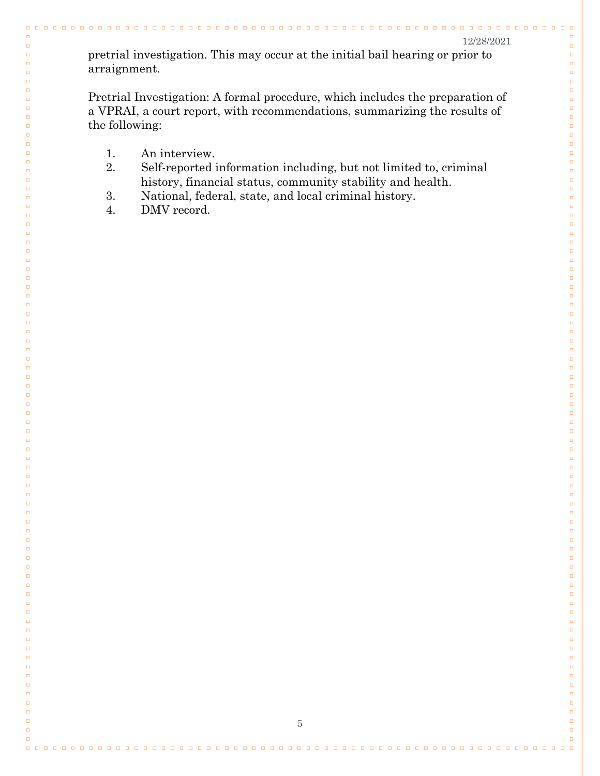$0000$ 

 $\Box$ 

 $\Box$ 

 $\Box$  $\Box$ 

 $\Box$  $\Box$ 

 $\Box$ 

 $\Box$ 

 $\Box$ 

 $\Box$ 

 $\Box$ 

 $\Box$  $\Box$ 

 $\Box$  $\Box$ 

 $\Box$  $\Box$ 

 $\Box$ 

 $\Box$ 

 $\Box$ 

 $\Box$ 

 $\Box$  $\Box$ 

 $\Box$ 

 $\Box$ 

 $\Box$ 

 $\Box$ 

 $\Box$ 

 $\Box$ 

 $\Box$ 

 $\Box$ 

 $\Box$ 

 $\Box$  $\Box$ 

 $\Box$ 

 $\Box$ 

 $\Box$ 

 $\Box$ 

 $\Box$ 

 $\Box$ 

 $\Box$ 

 $\Box$ 

 $\Box$ 

 $\Box$ 

 $\Box$ 

 $\Box$ 

 $\Box$ 

 $\Box$ 

 $\Box$ 

 $\Box$ 

 $\Box$ 

 $\Box$ 

 $\Box$ 

 $\Box$ 

 $\Box$  $\Box$ 

 $\Box$ 

 $\Box$ 

 $\Box$ 

 $\Box$ 

 $\Box$  $\Box$ 

 $\Box$ 

 $\Box$ 

 $\Box$  $\Box$ 

 $\Box$ 

 $\Box$ 

 $\Box$ 

 $\Box$ 

 $\Box$  $\Box$ 

 $\Box$ 

 $\Box$ 

 $\Box$ 

 $\Box$ 

 $\Box$ 

 $\Box$ 

 $\Box$ 

pretrial investigation. This may occur at the initial bail hearing or prior to arraignment.

Pretrial Investigation: A formal procedure, which includes the preparation of a VPRAI, a court report, with recommendations, summarizing the results of the following:

1. An interview.

 $\Box$ 

 $\Box$ 

 $\Box$ 

 $\Box$  $\Box$ 

 $\Box$ 

 $\Box$ 

 $\Box$  $\Box$ 

 $\Box$ 

 $\Box$ 

 $\Box$ 

 $\Box$  $\Box$ 

 $\Box$  $\Box$ 

 $\Box$ 

 $\Box$  $\Box$ 

 $\Box$ 

 $\Box$ 

 $\Box$ 

 $\Box$  $\Box$ 

 $\Box$ 

 $\Box$ 

 $\Box$ 

 $\Box$ 

 $\Box$ 

 $\Box$ 

 $\Box$ 

 $\Box$ 

 $\Box$ 

 $\Box$  $\Box$ 

 $\Box$ 

 $\Box$ 

 $\Box$ 

 $\Box$ 

 $\Box$ 

 $\Box$ 

 $\Box$ 

 $\Box$ 

 $\Box$ 

 $\Box$ 

 $\Box$ 

 $\Box$ 

 $\Box$ 

 $\Box$ 

 $\Box$ 

 $\Box$ 

 $\Box$ 

 $\Box$ 

 $\Box$ 

 $\Box$ 

 $\Box$  $\Box$ 

 $\Box$ 

 $\Box$ 

 $\Box$ 

 $\Box$ 

 $\Box$  $\Box$ 

 $\Box$ 

 $\Box$ 

 $\Box$  $\Box$ 

 $\Box$ 

 $\Box$ 

 $\Box$ 

 $\Box$ 

 $\Box$  $\Box$ 

 $\Box$ 

 $\Box$ 

 $\Box$ 

 $\Box$ 

 $\Box$ 

 $\Box$ 

- 2. Self-reported information including, but not limited to, criminal history, financial status, community stability and health.
- 3. National, federal, state, and local criminal history.
- 4. DMV record.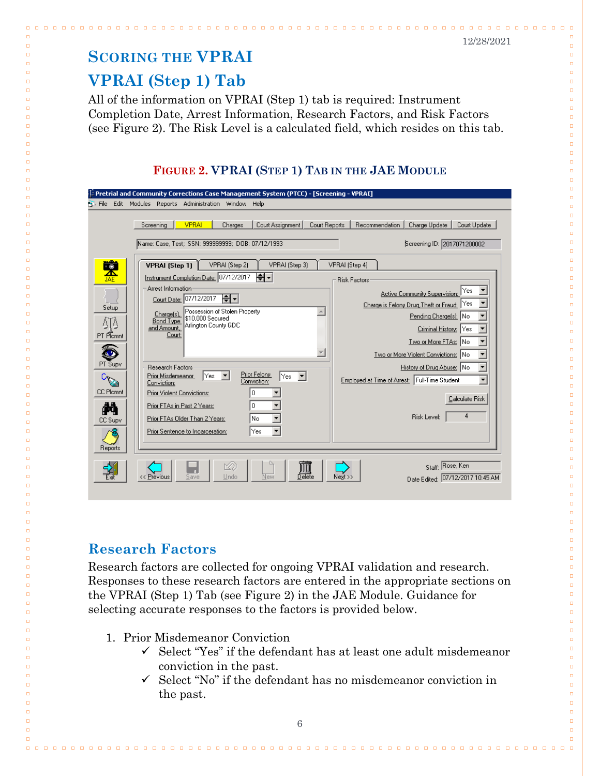## <span id="page-7-0"></span>**SCORING THE VPRAI**

## <span id="page-7-1"></span>**VPRAI (Step 1) Tab**

 $\Box$ 

 $\Box$ 

 $\Box$ 

 $\Box$ 

 $\Box$ 

 $\Box$ 

 $\Box$  $\Box$ 

 $\Box$  $\Box$ 

 $\Box$ 

 $\Box$  $\Box$ 

 $\Box$ 

 $\Box$ 

 $\Box$ 

 $\Box$ 

 $\Box$ 

 $\Box$ 

 $\Box$  $\Box$ 

 $\Box$ 

 $\Box$ 

 $\Box$ 

 $\Box$ 

 $\Box$ 

 $\Box$ 

 $\Box$ 

 $\Box$ 

 $\Box$ 

 $\Box$ 

 $\Box$ 

 $\Box$ 

 $\Box$ 

 $\Box$ 

 $\Box$ 

 $\Box$ 

 $\Box$ 

 $\Box$ 

 $\Box$ 

 $\Box$ 

 $\Box$ 

 $\Box$ 

 $\Box$ 

 $\Box$ 

 $\Box$ 

 $\Box$ 

 $\Box$ 

 $\Box$ 

 $\Box$ 

 $\Box$ 

 $\Box$ 

 $\Box$ 

 $\Box$  $\Box$ 

 $\Box$  $\Box$ 

 $\Box$ 

 $\Box$ 

 $\Box$ 

 $\Box$ 

 $\Box$ 

 $\Box$ 

 $\Box$ 

 $\Box$  $\Box$ 

 $\Box$  $\Box$ 

 $\Box$ 

 $\Box$ 

 $\Box$ 

 $\Box$  $\Box$ 

 $\Box$  $\Box$ 

 $\Box$  $\Box$ 

 $\Box$ 

 $\Box$ 

 $\Box$ 

All of the information on VPRAI (Step 1) tab is required: Instrument Completion Date, Arrest Information, Research Factors, and Risk Factors (see Figure 2). The Risk Level is a calculated field, which resides on this tab.

## **FIGURE 2. VPRAI (STEP 1) TAB IN THE JAE MODULE**

| $\mathbb D$ Pretrial and Community Corrections Case Management System (PTCC) - [Screening - VPRAI]<br><b>Pri</b> File Edit Modules Reports Administration Window Help                                                                                                                                                                                                                                                                                                                                                                                                                                                                                                                                                                                  |                                                                                                                                                                                                                                                                                                                                                                                                                                                                  |
|--------------------------------------------------------------------------------------------------------------------------------------------------------------------------------------------------------------------------------------------------------------------------------------------------------------------------------------------------------------------------------------------------------------------------------------------------------------------------------------------------------------------------------------------------------------------------------------------------------------------------------------------------------------------------------------------------------------------------------------------------------|------------------------------------------------------------------------------------------------------------------------------------------------------------------------------------------------------------------------------------------------------------------------------------------------------------------------------------------------------------------------------------------------------------------------------------------------------------------|
| <b>VPRAI</b><br>Court Assignment<br>Screening<br>Charges<br>Court Reports<br>Name: Case, Test; SSN: 999999999; DOB: 07/12/1993<br>文解<br>VPRAI (Step 2)<br>VPRAI (Step 1)<br>VPRAI (Step 3)<br>ا←ا≑ا<br>Instrument Completion Date: 07/12/2017<br>Arrest Information<br>╞╡┥<br>Court Date: 07/12/2017<br>Setup<br>Possession of Stolen Property<br>Charge[s]<br>\$10,000 Secured<br><b>Bond Type</b><br>ΔTΔ<br>Arlington County GDC<br>and Amount.<br>PT Plcmnt<br>Court<br>PT Supv<br>Research Factors:<br>Prior Felony<br>Prior Misdemeanor<br>lYes.<br>Yes<br>Conviction:<br>Conviction:<br><b>CC Plcmnt</b><br>Prior Violent Convictions:<br>0<br>М<br>Prior FTAs in Past 2 Years:<br>0<br>Prior FTAs Older Than 2 Years:<br>lNo.<br><b>CC Supv</b> | Recommendation<br>Court Update<br>Charge Update<br>Screening ID: 2017071200002<br>VPRAI (Step 4)<br><b>Risk Factors</b><br>Yes<br>Active Community Supervision:<br>Yes<br>Charge is Felony Drug, Theft or Fraud:<br>Pending Charge[s]: No<br>Criminal History:<br> Yes<br>Two or More FTAs: No<br>Two or More Violent Convictions: No<br>History of Drug Abuse: No<br>Employed at Time of Arrest: Full-Time Student<br>Calculate Risk<br><b>Risk Level:</b><br>4 |
| Prior Sentence to Incarceration:<br> Yes<br>Reports<br>Undo<br>) elete<br>New<br><< Previous<br>iave                                                                                                                                                                                                                                                                                                                                                                                                                                                                                                                                                                                                                                                   | Staff: Rose, Ken<br>Next ><br>Date Edited: 07/12/2017 10:45 AM                                                                                                                                                                                                                                                                                                                                                                                                   |

## <span id="page-7-2"></span>**Research Factors**

Research factors are collected for ongoing VPRAI validation and research. Responses to these research factors are entered in the appropriate sections on the VPRAI (Step 1) Tab (see Figure 2) in the JAE Module. Guidance for selecting accurate responses to the factors is provided below.

- 1. Prior Misdemeanor Conviction
	- $\checkmark$  Select "Yes" if the defendant has at least one adult misdemeanor conviction in the past.
	- $\checkmark$  Select "No" if the defendant has no misdemeanor conviction in the past.

#### 12/28/2021

 $\Box$ 

 $\Box$ 

 $\Box$ 

 $\Box$ 

 $\Box$ 

 $\Box$  $\Box$ 

 $\Box$  $\Box$ 

 $\Box$  $\Box$ 

 $\Box$ 

 $\Box$ 

 $\Box$ 

 $\Box$ 

 $\Box$ 

 $\Box$ 

 $\Box$ 

 $\Box$  $\Box$ 

 $\Box$ 

 $\Box$ 

 $\Box$ 

 $\Box$ 

 $\Box$ 

 $\Box$ 

 $\Box$ 

 $\Box$ 

 $\Box$ 

 $\Box$ 

 $\Box$ 

 $\Box$ 

 $\Box$ 

 $\Box$ 

 $\Box$ 

 $\Box$ 

 $\Box$ 

 $\Box$ 

 $\Box$ 

 $\Box$ 

 $\Box$ 

 $\Box$ 

 $\Box$ 

 $\Box$ 

 $\Box$ 

 $\Box$ 

 $\Box$ 

 $\Box$ 

 $\Box$ 

 $\Box$ 

 $\Box$ 

 $\Box$ 

 $\Box$  $\Box$ 

 $\Box$  $\Box$ 

 $\Box$ 

 $\Box$ 

 $\Box$ 

 $\Box$ 

 $\Box$ 

 $\Box$  $\Box$ 

 $\Box$ 

 $\Box$ 

 $\Box$  $\Box$ 

 $\Box$ 

 $\Box$ 

 $\Box$  $\Box$ 

 $\Box$ 

 $\Box$  $\Box$ 

 $\Box$  $\Box$ 

 $\Box$ 

 $\Box$ 

 $\Box$ 

 $\Box$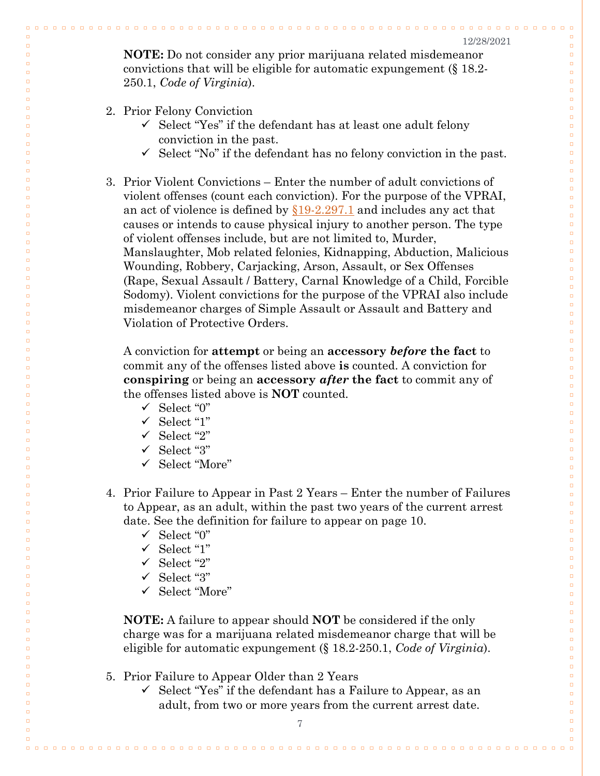$\begin{array}{cccccccccccccc} \Box & \Box & \Box & \Box & \Box \end{array}$ 

 $\Box$ 

 $\Box$ 

 $\Box$ 

 $\Box$ 

 $\Box$  $\Box$ 

 $\Box$  $\Box$ 

 $\Box$  $\Box$ 

 $\Box$ 

 $\Box$ 

 $\Box$ 

 $\Box$ 

 $\Box$ 

 $\Box$  $\Box$ 

 $\Box$  $\Box$ 

 $\Box$ 

 $\Box$  $\Box$ 

 $\Box$ 

 $\Box$ 

 $\Box$ 

 $\Box$ 

 $\Box$ 

 $\Box$ 

 $\Box$ 

 $\Box$ 

 $\Box$  $\Box$ 

 $\Box$ 

 $\Box$ 

 $\Box$ 

 $\Box$ 

 $\Box$ 

 $\Box$ 

 $\Box$ 

 $\Box$ 

 $\Box$ 

 $\Box$ 

 $\Box$ 

 $\Box$ 

 $\Box$ 

 $\Box$  $\Box$ 

 $\Box$  $\Box$ 

 $\Box$ 

 $\Box$ 

 $\Box$ 

 $\Box$ 

 $\Box$ 

 $\Box$ 

 $\Box$  $\Box$ 

 $\Box$ 

 $\Box$ 

 $\Box$ 

 $\Box$ 

 $\Box$ 

 $\Box$ 

 $\Box$ 

 $\Box$ 

 $\Box$ 

 $\Box$ 

 $\Box$ 

 $\Box$ 

 $\Box$ 

 $\Box$ 

 $\Box$  $\Box$ 

 $\Box$  $\Box$ 

 $\Box$ 

 $\Box$ 

 $\Box$  $\Box$ 

**NOTE:** Do not consider any prior marijuana related misdemeanor convictions that will be eligible for automatic expungement (§ 18.2- 250.1, *Code of Virginia*).

#### 2. Prior Felony Conviction

 $\Box$ 

 $\Box$ 

 $\Box$ 

 $\Box$ 

 $\Box$ 

 $\Box$ 

 $\Box$  $\Box$ 

 $\Box$  $\Box$ 

 $\Box$ 

 $\Box$  $\Box$ 

 $\Box$ 

 $\Box$ 

 $\Box$ 

 $\Box$ 

 $\Box$  $\Box$ 

 $\Box$ 

 $\Box$  $\Box$ 

 $\Box$ 

 $\Box$  $\Box$ 

 $\Box$ 

 $\Box$ 

 $\Box$ 

 $\Box$ 

 $\Box$ 

 $\Box$ 

 $\Box$ 

 $\Box$ 

 $\Box$  $\Box$ 

 $\Box$ 

 $\Box$ 

 $\Box$ 

 $\Box$ 

 $\Box$ 

 $\Box$ 

 $\Box$ 

 $\Box$ 

 $\Box$ 

 $\Box$ 

 $\Box$ 

 $\Box$ 

 $\Box$  $\Box$ 

 $\Box$  $\Box$ 

 $\Box$ 

 $\Box$ 

 $\Box$ 

 $\Box$ 

 $\Box$ 

 $\Box$ 

 $\Box$  $\Box$ 

 $\Box$ 

 $\Box$ 

 $\Box$ 

 $\Box$ 

 $\Box$ 

 $\Box$ 

 $\Box$ 

 $\Box$ 

 $\Box$ 

 $\Box$ 

 $\Box$ 

 $\Box$ 

 $\Box$ 

 $\Box$ 

 $\Box$  $\Box$ 

 $\Box$  $\Box$ 

 $\Box$ 

 $\Box$ 

- $\checkmark$  Select "Yes" if the defendant has at least one adult felony conviction in the past.
- $\checkmark$  Select "No" if the defendant has no felony conviction in the past.

<u>. . . . . . . . . . . . . . . . . .</u>

3. Prior Violent Convictions – Enter the number of adult convictions of violent offenses (count each conviction). For the purpose of the VPRAI, an act of violence is defined by  $\S19-2.297.1$  and includes any act that causes or intends to cause physical injury to another person. The type of violent offenses include, but are not limited to, Murder, Manslaughter, Mob related felonies, Kidnapping, Abduction, Malicious Wounding, Robbery, Carjacking, Arson, Assault, or Sex Offenses (Rape, Sexual Assault / Battery, Carnal Knowledge of a Child, Forcible Sodomy). Violent convictions for the purpose of the VPRAI also include misdemeanor charges of Simple Assault or Assault and Battery and Violation of Protective Orders.

A conviction for **attempt** or being an **accessory** *before* **the fact** to commit any of the offenses listed above **is** counted. A conviction for **conspiring** or being an **accessory** *after* **the fact** to commit any of the offenses listed above is **NOT** counted.

- $\checkmark$  Select "0"
- $\checkmark$  Select "1"
- $\checkmark$  Select "2"
- $\checkmark$  Select "3"
- Select "More"
- 4. Prior Failure to Appear in Past 2 Years Enter the number of Failures to Appear, as an adult, within the past two years of the current arrest date. See the definition for failure to appear on page 10.
	- $\checkmark$  Select "0"
	- $\checkmark$  Select "1"
	- $\checkmark$  Select "2"
	- $\checkmark$  Select "3"
	- Select "More"

**NOTE:** A failure to appear should **NOT** be considered if the only charge was for a marijuana related misdemeanor charge that will be eligible for automatic expungement (§ 18.2-250.1, *Code of Virginia*).

- 5. Prior Failure to Appear Older than 2 Years
	- $\checkmark$  Select "Yes" if the defendant has a Failure to Appear, as an adult, from two or more years from the current arrest date.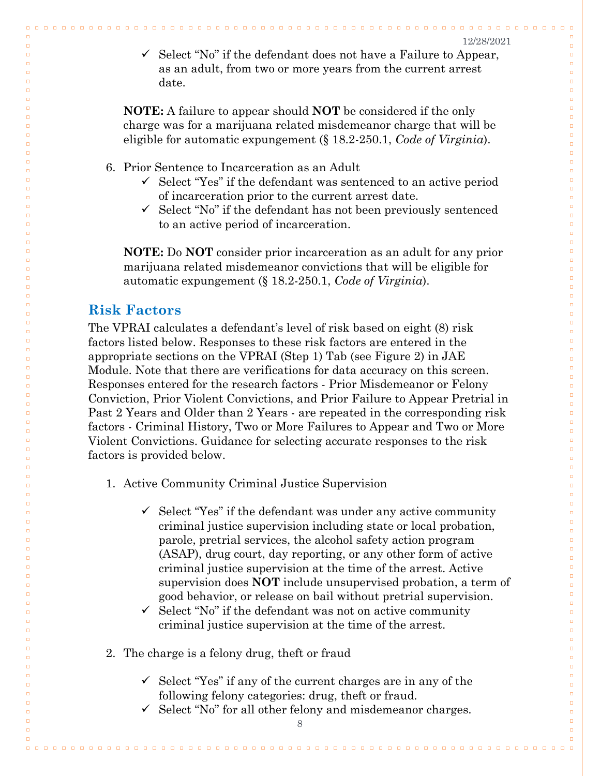$0.0.0$ 

 $\Box$ 

 $\Box$ 

 $\Box$ 

 $\Box$ 

 $\Box$  $\Box$ 

 $\Box$  $\Box$ 

 $\Box$ 

 $\Box$  $\Box$ 

 $\Box$ 

 $\Box$ 

 $\Box$ 

 $\Box$ 

 $\Box$  $\Box$ 

 $\Box$  $\Box$ 

 $\Box$ 

 $\Box$  $\Box$ 

 $\Box$ 

 $\Box$ 

 $\Box$ 

 $\Box$ 

 $\Box$ 

 $\Box$ 

 $\Box$ 

 $\Box$ 

 $\Box$ 

 $\Box$  $\Box$ 

 $\Box$ 

 $\Box$ 

 $\Box$ 

 $\Box$  $\Box$ 

 $\Box$ 

 $\Box$ 

 $\Box$  $\Box$ 

 $\Box$  $\Box$ 

 $\Box$ 

 $\Box$  $\Box$ 

 $\Box$  $\Box$ 

 $\Box$ 

 $\Box$ 

 $\Box$ 

 $\Box$ 

 $\Box$ 

 $\Box$ 

 $\Box$ 

 $\Box$  $\Box$ 

 $\Box$  $\Box$ 

 $\Box$  $\Box$ 

 $\Box$  $\Box$ 

 $\Box$ 

 $\Box$ 

 $\Box$ 

 $\Box$ 

 $\Box$ 

 $\Box$  $\Box$ 

 $\Box$ 

 $\Box$ 

 $\Box$ 

 $\Box$ 

 $\Box$ 

 $\Box$ 

 $\Box$  $\Box$ 

 $\checkmark$  Select "No" if the defendant does not have a Failure to Appear, as an adult, from two or more years from the current arrest date.

00000000000

**NOTE:** A failure to appear should **NOT** be considered if the only charge was for a marijuana related misdemeanor charge that will be eligible for automatic expungement (§ 18.2-250.1, *Code of Virginia*).

- 6. Prior Sentence to Incarceration as an Adult
	- $\checkmark$  Select "Yes" if the defendant was sentenced to an active period of incarceration prior to the current arrest date.
	- $\checkmark$  Select "No" if the defendant has not been previously sentenced to an active period of incarceration.

**NOTE:** Do **NOT** consider prior incarceration as an adult for any prior marijuana related misdemeanor convictions that will be eligible for automatic expungement (§ 18.2-250.1, *Code of Virginia*).

#### <span id="page-9-0"></span>**Risk Factors**

 $\Box$ 

 $\Box$ 

 $\Box$ 

 $\Box$ 

 $\Box$ 

 $\Box$ 

 $\Box$  $\Box$ 

 $\Box$  $\Box$ 

 $\overline{a}$ 

 $\Box$  $\Box$ 

 $\Box$ 

 $\Box$ 

 $\Box$ 

 $\Box$ 

 $\Box$  $\Box$ 

 $\Box$  $\Box$ 

 $\Box$ 

 $\Box$ 

 $\Box$  $\Box$ 

 $\Box$ 

 $\Box$ 

 $\Box$ 

 $\Box$ 

 $\Box$ 

 $\Box$ 

 $\Box$ 

 $\Box$ 

 $\Box$  $\Box$ 

 $\Box$ 

 $\Box$ 

 $\Box$ 

 $\Box$  $\Box$ 

 $\Box$ 

 $\Box$ 

 $\Box$  $\Box$ 

 $\Box$  $\Box$ 

 $\Box$ 

 $\Box$  $\Box$ 

 $\Box$  $\Box$ 

 $\Box$ 

 $\Box$ 

 $\Box$ 

 $\Box$ 

 $\Box$ 

 $\Box$ 

 $\Box$ 

 $\Box$  $\Box$ 

 $\Box$  $\Box$ 

 $\Box$  $\Box$ 

 $\Box$  $\Box$ 

 $\Box$ 

 $\Box$ 

 $\Box$ 

 $\Box$ 

 $\Box$ 

 $\Box$  $\Box$ 

 $\Box$ 

 $\Box$ 

 $\Box$ 

 $\Box$ 

 $\Box$ 

 $\Box$ 

The VPRAI calculates a defendant's level of risk based on eight (8) risk factors listed below. Responses to these risk factors are entered in the appropriate sections on the VPRAI (Step 1) Tab (see Figure 2) in JAE Module. Note that there are verifications for data accuracy on this screen. Responses entered for the research factors - Prior Misdemeanor or Felony Conviction, Prior Violent Convictions, and Prior Failure to Appear Pretrial in Past 2 Years and Older than 2 Years - are repeated in the corresponding risk factors - Criminal History, Two or More Failures to Appear and Two or More Violent Convictions. Guidance for selecting accurate responses to the risk factors is provided below.

- 1. Active Community Criminal Justice Supervision
	- $\checkmark$  Select "Yes" if the defendant was under any active community criminal justice supervision including state or local probation, parole, pretrial services, the alcohol safety action program (ASAP), drug court, day reporting, or any other form of active criminal justice supervision at the time of the arrest. Active supervision does **NOT** include unsupervised probation, a term of good behavior, or release on bail without pretrial supervision.
	- $\checkmark$  Select "No" if the defendant was not on active community criminal justice supervision at the time of the arrest.
- 2. The charge is a felony drug, theft or fraud
	- $\checkmark$  Select "Yes" if any of the current charges are in any of the following felony categories: drug, theft or fraud.
	- $\checkmark$  Select "No" for all other felony and misdemeanor charges.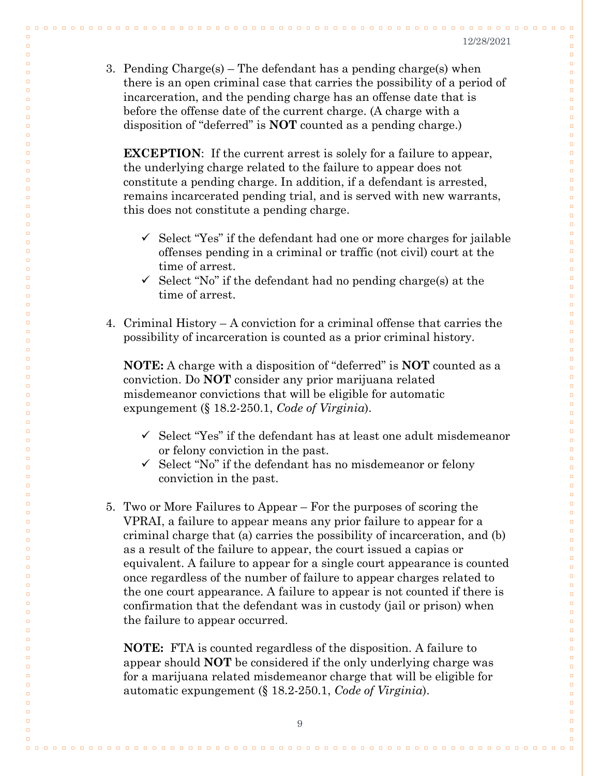$0000$ 

 $\Box$ 

 $\Box$ 

 $\Box$ 

 $\Box$ 

 $\Box$  $\Box$ 

 $\Box$  $\Box$ 

 $\Box$ 

 $\Box$ 

 $\Box$ 

 $\Box$ 

 $\Box$ 

 $\Box$ 

 $\Box$ 

 $\Box$  $\Box$ 

 $\Box$  $\Box$ 

 $\Box$ 

 $\Box$  $\Box$ 

 $\Box$ 

 $\Box$ 

 $\Box$ 

 $\Box$ 

 $\Box$ 

 $\Box$ 

 $\Box$ 

 $\Box$ 

 $\Box$  $\Box$ 

 $\Box$ 

 $\Box$ 

 $\Box$ 

 $\Box$ 

 $\Box$  $\Box$ 

 $\Box$ 

 $\Box$ 

 $\Box$  $\Box$ 

 $\Box$ 

 $\Box$ 

 $\Box$ 

 $\Box$  $\Box$ 

 $\Box$  $\Box$ 

 $\Box$ 

 $\Box$ 

 $\Box$ 

 $\Box$  $\Box$ 

 $\Box$ 

 $\Box$  $\Box$ 

 $\Box$ 

 $\Box$  $\Box$ 

 $\Box$ 

 $\Box$  $\Box$ 

 $\Box$ 

 $\Box$ 

 $\Box$ 

 $\Box$ 

 $\Box$ 

 $\Box$  $\Box$ 

 $\Box$ 

 $\Box$  $\Box$ 

 $\Box$  $\Box$ 

 $\Box$ 

 $\Box$ 

 $\Box$  $\Box$ 

3. Pending  $\text{Charge}(s)$  – The defendant has a pending charge(s) when there is an open criminal case that carries the possibility of a period of incarceration, and the pending charge has an offense date that is before the offense date of the current charge. (A charge with a disposition of "deferred" is **NOT** counted as a pending charge.)

 $\Box$   $\Box$ 

 $\Box$ 

 $\Box$ 

 $\Box$ 

 $\Box$ 

 $\Box$ 

 $\Box$  $\Box$ 

 $\Box$ 

 $\Box$ 

 $\Box$ 

 $\Box$  $\Box$ 

 $\Box$ 

 $\Box$ 

 $\Box$ 

 $\Box$ 

 $\Box$  $\Box$ 

 $\Box$ 

 $\Box$  $\Box$ 

 $\Box$ 

 $\Box$  $\Box$ 

 $\Box$ 

 $\Box$ 

 $\Box$ 

 $\Box$ 

 $\Box$ 

 $\Box$ 

 $\Box$ 

 $\Box$ 

 $\Box$  $\Box$ 

 $\Box$ 

 $\Box$ 

 $\Box$ 

 $\Box$  $\Box$ 

 $\Box$ 

 $\Box$ 

 $\Box$ 

 $\Box$  $\Box$ 

 $\Box$ 

 $\Box$ 

 $\Box$  $\Box$ 

 $\Box$  $\Box$ 

 $\Box$ 

 $\Box$ 

 $\Box$ 

 $\Box$ 

 $\Box$  $\Box$ 

 $\Box$ 

 $\Box$  $\Box$ 

 $\Box$  $\Box$ 

 $\Box$ 

 $\Box$  $\Box$ 

 $\Box$ 

 $\Box$ 

 $\Box$ 

 $\Box$ 

 $\Box$ 

 $\Box$ 

 $\Box$  $\Box$ 

 $\Box$  $\Box$ 

 $\Box$  $\Box$ 

 $\Box$ 

 $\Box$ 

**EXCEPTION:** If the current arrest is solely for a failure to appear, the underlying charge related to the failure to appear does not constitute a pending charge. In addition, if a defendant is arrested, remains incarcerated pending trial, and is served with new warrants, this does not constitute a pending charge.

- $\checkmark$  Select "Yes" if the defendant had one or more charges for jailable offenses pending in a criminal or traffic (not civil) court at the time of arrest.
- $\checkmark$  Select "No" if the defendant had no pending charge(s) at the time of arrest.
- 4. Criminal History A conviction for a criminal offense that carries the possibility of incarceration is counted as a prior criminal history.

**NOTE:** A charge with a disposition of "deferred" is **NOT** counted as a conviction. Do **NOT** consider any prior marijuana related misdemeanor convictions that will be eligible for automatic expungement (§ 18.2-250.1, *Code of Virginia*).

- $\checkmark$  Select "Yes" if the defendant has at least one adult misdemeanor or felony conviction in the past.
- $\checkmark$  Select "No" if the defendant has no misdemeanor or felony conviction in the past.
- 5. Two or More Failures to Appear For the purposes of scoring the VPRAI, a failure to appear means any prior failure to appear for a criminal charge that (a) carries the possibility of incarceration, and (b) as a result of the failure to appear, the court issued a capias or equivalent. A failure to appear for a single court appearance is counted once regardless of the number of failure to appear charges related to the one court appearance. A failure to appear is not counted if there is confirmation that the defendant was in custody (jail or prison) when the failure to appear occurred.

**NOTE:** FTA is counted regardless of the disposition. A failure to appear should **NOT** be considered if the only underlying charge was for a marijuana related misdemeanor charge that will be eligible for automatic expungement (§ 18.2-250.1, *Code of Virginia*).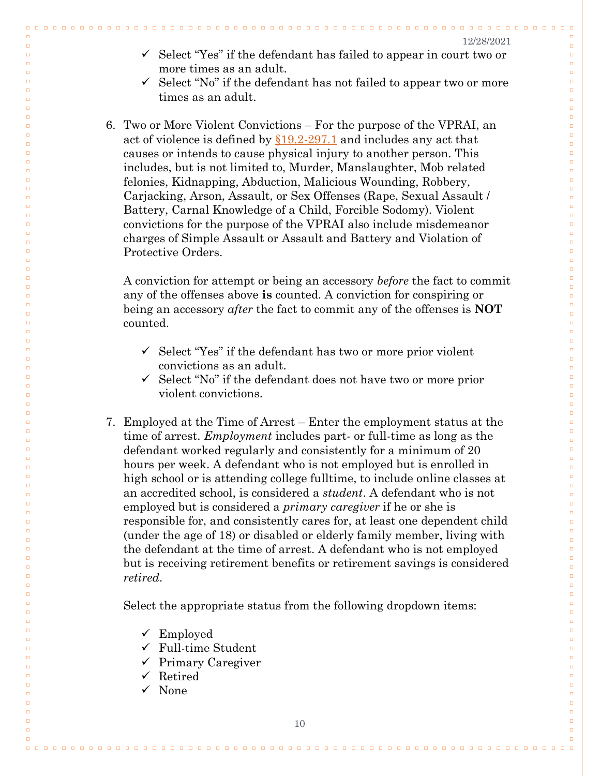$\Box$   $\Box$   $\Box$ 

 $\Box$ 

 $\Box$ 

 $\Box$ 

 $\Box$ 

 $\Box$  $\Box$ 

 $\Box$  $\Box$ 

 $\Box$ 

 $\Box$ 

 $\Box$ 

 $\Box$ 

 $\Box$ 

 $\Box$ 

 $\Box$ 

 $\Box$  $\Box$ 

 $\Box$ 

 $\Box$  $\Box$ 

 $\Box$  $\Box$ 

 $\Box$ 

 $\Box$ 

 $\Box$ 

 $\Box$ 

 $\Box$ 

 $\Box$ 

 $\Box$ 

 $\Box$ 

 $\Box$  $\Box$ 

 $\Box$ 

 $\Box$ 

 $\Box$  $\Box$ 

 $\Box$  $\Box$ 

 $\Box$ 

 $\Box$ 

 $\Box$  $\Box$ 

 $\Box$  $\Box$ 

 $\Box$ 

 $\Box$  $\Box$ 

 $\Box$  $\Box$ 

 $\Box$ 

 $\Box$  $\Box$ 

 $\Box$ 

 $\Box$ 

 $\Box$  $\Box$ 

 $\Box$  $\Box$ 

 $\Box$  $\Box$ 

 $\Box$ 

 $\Box$ 

 $\Box$ 

 $\Box$ 

 $\Box$ 

 $\Box$ 

 $\Box$ 

 $\Box$ 

 $\Box$ 

 $\Box$ 

 $\Box$ 

 $\Box$ 

 $\Box$ 

 $\Box$ 

 $\Box$ 

 $\Box$ 

 $\Box$ 

 $\Box$ 

 $\Box$ 

 $\checkmark$  Select "Yes" if the defendant has failed to appear in court two or more times as an adult.

00000000000000000

- $\checkmark$  Select "No" if the defendant has not failed to appear two or more times as an adult.
- 6. Two or More Violent Convictions For the purpose of the VPRAI, an act of violence is defined by  $\S19.2-297.1$  and includes any act that causes or intends to cause physical injury to another person. This includes, but is not limited to, Murder, Manslaughter, Mob related felonies, Kidnapping, Abduction, Malicious Wounding, Robbery, Carjacking, Arson, Assault, or Sex Offenses (Rape, Sexual Assault / Battery, Carnal Knowledge of a Child, Forcible Sodomy). Violent convictions for the purpose of the VPRAI also include misdemeanor charges of Simple Assault or Assault and Battery and Violation of Protective Orders.

A conviction for attempt or being an accessory *before* the fact to commit any of the offenses above **is** counted. A conviction for conspiring or being an accessory *after* the fact to commit any of the offenses is **NOT** counted.

- $\checkmark$  Select "Yes" if the defendant has two or more prior violent convictions as an adult.
- $\checkmark$  Select "No" if the defendant does not have two or more prior violent convictions.
- 7. Employed at the Time of Arrest Enter the employment status at the time of arrest. *Employment* includes part- or full-time as long as the defendant worked regularly and consistently for a minimum of 20 hours per week. A defendant who is not employed but is enrolled in high school or is attending college fulltime, to include online classes at an accredited school, is considered a *student*. A defendant who is not employed but is considered a *primary caregiver* if he or she is responsible for, and consistently cares for, at least one dependent child (under the age of 18) or disabled or elderly family member, living with the defendant at the time of arrest. A defendant who is not employed but is receiving retirement benefits or retirement savings is considered *retired*.

Select the appropriate status from the following dropdown items:

 $\checkmark$  Employed

 $\Box$ 

 $\Box$ 

 $\Box$ 

 $\Box$ 

 $\Box$ 

 $\Box$ 

 $\Box$  $\Box$ 

 $\Box$ 

 $\Box$ 

 $\Box$ 

 $\Box$  $\Box$ 

 $\Box$ 

 $\Box$ 

 $\Box$ 

 $\Box$ 

 $\Box$  $\Box$ 

 $\Box$ 

 $\Box$  $\Box$ 

 $\Box$ 

 $\Box$  $\Box$ 

 $\Box$ 

 $\Box$ 

 $\Box$ 

 $\Box$ 

 $\Box$ 

 $\Box$ 

 $\Box$ 

 $\Box$ 

 $\Box$ 

 $\Box$  $\Box$ 

 $\Box$  $\Box$ 

 $\Box$  $\Box$ 

 $\Box$ 

 $\Box$ 

 $\Box$  $\Box$ 

 $\Box$  $\Box$ 

 $\Box$ 

 $\Box$  $\Box$ 

 $\Box$  $\Box$ 

 $\Box$ 

 $\Box$ 

 $\Box$ 

 $\Box$  $\Box$ 

 $\Box$  $\Box$ 

 $\Box$  $\Box$ 

 $\Box$  $\Box$ 

 $\Box$ 

 $\Box$ 

 $\Box$ 

 $\Box$ 

 $\Box$ 

 $\Box$ 

 $\Box$ 

 $\Box$ 

 $\Box$ 

 $\Box$ 

 $\Box$ 

 $\Box$ 

 $\Box$ 

 $\Box$ 

 $\Box$ 

 $\Box$ 

 $\Box$ 

 $\Box$ 

- $\checkmark$  Full-time Student
- $\checkmark$  Primary Caregiver
- $\checkmark$  Retired
- $\checkmark$  None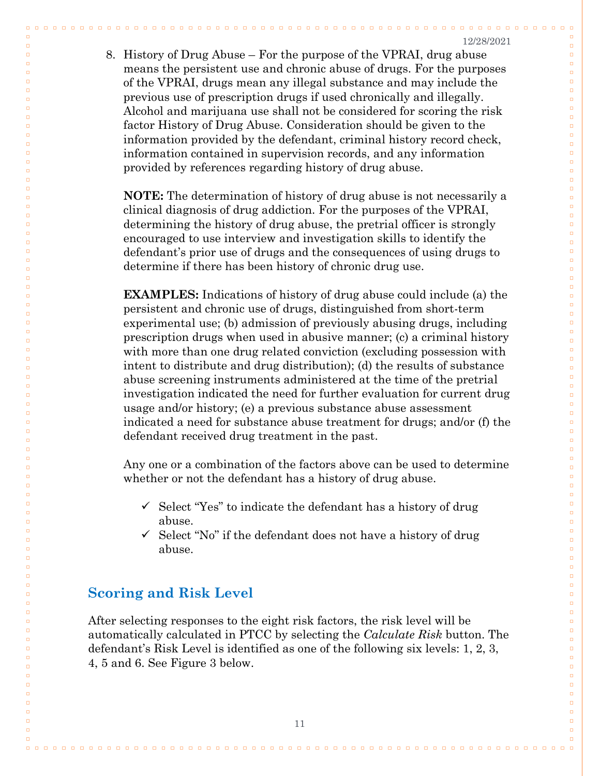$\begin{array}{cccccccccccccc} \Box & \Box & \Box & \Box \end{array}$ 

 $\Box$ 

 $\Box$ 

 $\Box$ 

 $\Box$ 

 $\Box$  $\Box$ 

 $\Box$  $\Box$ 

 $\Box$  $\Box$ 

 $\Box$ 

 $\Box$ 

 $\Box$ 

 $\Box$ 

 $\Box$ 

 $\Box$  $\Box$ 

 $\Box$  $\Box$ 

 $\Box$ 

 $\Box$  $\Box$ 

 $\Box$ 

 $\Box$ 

 $\Box$ 

 $\Box$ 

 $\Box$ 

 $\Box$ 

 $\Box$ 

 $\Box$ 

 $\Box$  $\Box$ 

 $\Box$ 

 $\Box$ 

 $\Box$  $\Box$ 

 $\Box$  $\Box$ 

 $\Box$ 

 $\Box$ 

 $\Box$  $\Box$ 

 $\Box$ 

 $\Box$ 

 $\Box$ 

 $\Box$  $\Box$ 

 $\Box$  $\Box$ 

 $\Box$ 

 $\Box$ 

 $\Box$  $\Box$ 

 $\Box$ 

 $\Box$ 

 $\Box$  $\Box$ 

 $\Box$ 

 $\Box$ 

 $\Box$ 

 $\Box$ 

 $\Box$  $\Box$ 

 $\Box$ 

 $\Box$ 

 $\Box$ 

 $\Box$ 

 $\Box$ 

 $\Box$ 

 $\Box$  $\Box$ 

 $\Box$  $\Box$ 

 $\Box$ 

 $\Box$ 

 $\Box$ 

 $\Box$ 

 $\Box$  $\Box$ 

8. History of Drug Abuse – For the purpose of the VPRAI, drug abuse means the persistent use and chronic abuse of drugs. For the purposes of the VPRAI, drugs mean any illegal substance and may include the previous use of prescription drugs if used chronically and illegally. Alcohol and marijuana use shall not be considered for scoring the risk factor History of Drug Abuse. Consideration should be given to the information provided by the defendant, criminal history record check, information contained in supervision records, and any information provided by references regarding history of drug abuse.

**NOTE:** The determination of history of drug abuse is not necessarily a clinical diagnosis of drug addiction. For the purposes of the VPRAI, determining the history of drug abuse, the pretrial officer is strongly encouraged to use interview and investigation skills to identify the defendant's prior use of drugs and the consequences of using drugs to determine if there has been history of chronic drug use.

**EXAMPLES:** Indications of history of drug abuse could include (a) the persistent and chronic use of drugs, distinguished from short-term experimental use; (b) admission of previously abusing drugs, including prescription drugs when used in abusive manner; (c) a criminal history with more than one drug related conviction (excluding possession with intent to distribute and drug distribution); (d) the results of substance abuse screening instruments administered at the time of the pretrial investigation indicated the need for further evaluation for current drug usage and/or history; (e) a previous substance abuse assessment indicated a need for substance abuse treatment for drugs; and/or (f) the defendant received drug treatment in the past.

Any one or a combination of the factors above can be used to determine whether or not the defendant has a history of drug abuse.

- $\checkmark$  Select "Yes" to indicate the defendant has a history of drug abuse.
- $\checkmark$  Select "No" if the defendant does not have a history of drug abuse.

#### **Scoring and Risk Level**

 $\Box$ 

 $\Box$ 

 $\Box$ 

 $\Box$ 

 $\Box$ 

 $\Box$ 

 $\Box$  $\Box$ 

 $\Box$  $\Box$ 

 $\Box$ 

 $\Box$  $\Box$ 

 $\Box$ 

 $\Box$ 

 $\Box$ 

 $\Box$ 

 $\Box$  $\Box$ 

 $\Box$ 

 $\Box$  $\Box$ 

 $\Box$ 

 $\Box$  $\Box$ 

 $\Box$ 

 $\Box$ 

 $\Box$ 

 $\Box$ 

 $\Box$ 

 $\Box$ 

 $\Box$ 

 $\Box$ 

 $\Box$ 

 $\Box$  $\Box$ 

 $\Box$  $\Box$ 

 $\Box$  $\Box$ 

 $\Box$ 

 $\Box$ 

 $\Box$ 

 $\Box$ 

 $\Box$  $\Box$ 

 $\Box$ 

 $\Box$  $\Box$ 

 $\Box$  $\Box$ 

 $\Box$ 

 $\Box$ 

 $\Box$  $\Box$ 

 $\Box$ 

 $\Box$ 

 $\Box$  $\Box$ 

 $\Box$ 

 $\Box$ 

 $\Box$ 

 $\Box$ 

 $\Box$  $\Box$ 

 $\Box$ 

 $\Box$ 

 $\Box$ 

 $\Box$ 

 $\Box$ 

 $\Box$ 

 $\Box$  $\Box$ 

 $\Box$  $\Box$ 

 $\Box$ 

 $\Box$ 

 $\Box$ 

 $\Box$ 

After selecting responses to the eight risk factors, the risk level will be automatically calculated in PTCC by selecting the *Calculate Risk* button. The defendant's Risk Level is identified as one of the following six levels: 1, 2, 3, 4, 5 and 6. See Figure 3 below.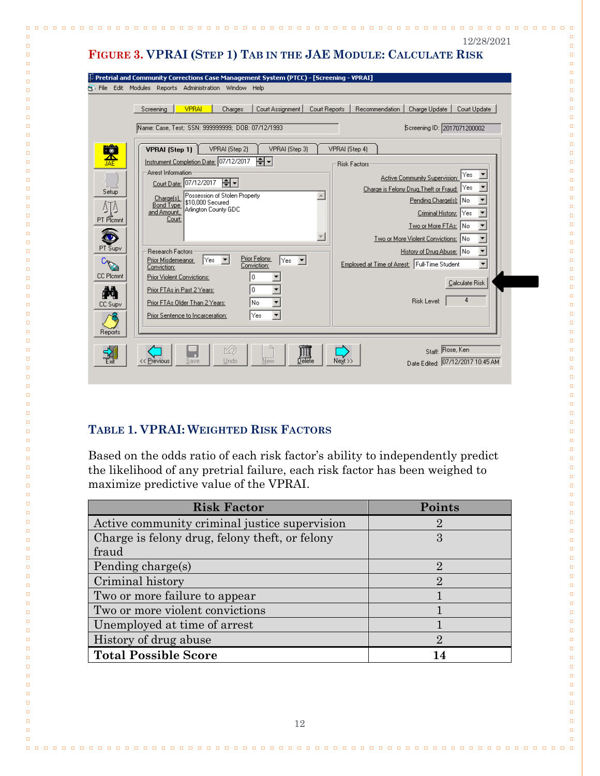|                                                                                             | <b>Pri</b> File Edit Modules Reports Administration Window Help                                                                                                                                                                                                                                                                                                                                                                                                                                                                                                                                                                                                                                                                                                                                                                                                                                                    |
|---------------------------------------------------------------------------------------------|--------------------------------------------------------------------------------------------------------------------------------------------------------------------------------------------------------------------------------------------------------------------------------------------------------------------------------------------------------------------------------------------------------------------------------------------------------------------------------------------------------------------------------------------------------------------------------------------------------------------------------------------------------------------------------------------------------------------------------------------------------------------------------------------------------------------------------------------------------------------------------------------------------------------|
|                                                                                             | <b>VPRAI</b><br>Recommendation<br>Court Assignment<br>Court Reports<br>Charge Update<br>Court Update<br>Screening<br>Charges                                                                                                                                                                                                                                                                                                                                                                                                                                                                                                                                                                                                                                                                                                                                                                                       |
|                                                                                             |                                                                                                                                                                                                                                                                                                                                                                                                                                                                                                                                                                                                                                                                                                                                                                                                                                                                                                                    |
|                                                                                             | Name: Case, Test; SSN: 999999999; DOB: 07/12/1993<br>Screening ID: 2017071200002                                                                                                                                                                                                                                                                                                                                                                                                                                                                                                                                                                                                                                                                                                                                                                                                                                   |
| 鑒                                                                                           | VPRAI (Step 2)<br>VPRAI (Step 4)<br>VPRAI (Step 1)<br>VPRAI (Step 3)                                                                                                                                                                                                                                                                                                                                                                                                                                                                                                                                                                                                                                                                                                                                                                                                                                               |
| Setup<br>ΔTΔ<br>PT Plcmnt<br>PT Supv<br>Card<br><b>CC Plcmnt</b><br>М<br>CC Supv<br>Reports | Instrument Completion Date: 07/12/2017<br>।≑ न<br><b>Risk Factors</b><br>Arrest Information<br>Active Community Supervision:<br>Court Date: 07/12/2017 -<br>Charge is Felony Drug, Theft or Fraud: Yes<br>Possession of Stolen Property<br>$\blacktriangle$<br>Charge(s)<br>Pending Charge[s]: No<br>\$10,000 Secured<br><b>Bond Type</b><br>Arlington County GDC<br>and Amount.<br>Criminal History: Yes<br>Court<br>Two or More FTAs: No<br>$\overline{\mathcal{M}}$<br>Two or More Violent Convictions: No<br>History of Drug Abuse: No<br><b>Research Factors:</b><br>Prior Felony<br>Prior Misdemeanor<br>lYes.<br> Yes ▼ <br>Employed at Time of Arrest: Full-Time Student<br>Conviction:<br>Conviction:<br>0<br>Prior Violent Convictions:<br>Calculate Risk<br>١o<br>Prior FTAs in Past 2 Years:<br>4<br>Risk Level:<br>lNo.<br>Prior FTAs Older Than 2 Years:<br>Prior Sentence to Incarceration:<br> Yes |

 $\Box$ 

 $\Box$ 

 $\Box$  $\Box$ 

 $\Box$ 

 $\Box$ 

 $\Box$  $\Box$ 

 $\Box$ 

 $\Box$ 

 $\Box$ 

 $\Box$ 

 $\Box$ 

 $\Box$ 

 $\Box$ 

 $\Box$ 

 $\Box$ 

 $\Box$ 

 $\Box$ 

 $\Box$ 

 $\Box$ 

 $\Box$ 

 $\Box$ 

 $\Box$ 

 $\Box$  $\Box$ 

 $\Box$ 

 $\Box$ 

 $\Box$  $\Box$ 

 $\Box$  $\Box$ 

 $\Box$ 

 $\Box$ 

 $\Box$ 

 $\Box$ 

 $\Box$ 

 $\Box$ 

 $\Box$ 

 $\Box$ 

 $\Box$ 

 $\Box$ 

 $\Box$ 

 $\Box$ 

 $\Box$ 

 $\Box$ 

 $\Box$ 

 $\Box$ 

 $\Box$ 

 $\Box$ 

 $\Box$ 

 $\Box$ 

 $\Box$ 

 $\Box$ 

 $\Box$ 

 $\Box$ 

 $\Box$ 

 $\Box$ 

 $\Box$ 

 $\Box$ 

 $\Box$ 

 $\Box$ 

 $\Box$ 

 $\Box$ 

 $\Box$ 

 $\Box$ 

 $\Box$ 

 $\Box$ 

 $\Box$ 

 $\Box$ 

 $\Box$ 

 $\Box$ 

 $\Box$ 

 $\Box$ 

 $\Box$ 

 $\Box$ 

 $\Box$ 

 $\Box$ 

 $\Box$ 

### **TABLE 1. VPRAI: WEIGHTED RISK FACTORS**

 $\Box \quad \Box$ 

 $\Box$ 

 $\Box$ 

 $\Box$ 

 $\Box$  $\Box$ 

 $\Box$ 

 $\Box$ 

 $\Box$  $\Box$ 

 $\Box$ 

 $\Box$ 

 $\Box$ 

 $\Box$ 

 $\Box$ 

 $\Box$ 

 $\Box$ 

 $\Box$ 

 $\Box$ 

 $\Box$ 

 $\Box$ 

 $\Box$ 

 $\Box$ 

 $\Box$ 

 $\Box$ 

 $\Box$ 

 $\Box$  $\Box$ 

 $\Box$ 

 $\Box$ 

 $\Box$  $\Box$ 

 $\Box$  $\Box$ 

 $\Box$ 

 $\Box$ 

 $\Box$ 

 $\Box$ 

 $\Box$ 

 $\Box$ 

 $\Box$ 

 $\Box$ 

 $\Box$ 

 $\Box$ 

 $\Box$ 

 $\Box$ 

 $\Box$ 

 $\Box$ 

 $\Box$ 

 $\Box$ 

 $\Box$ 

 $\Box$ 

 $\Box$ 

 $\Box$ 

 $\Box$ 

 $\Box$ 

 $\Box$ 

 $\Box$ 

 $\Box$ 

 $\Box$ 

 $\Box$ 

 $\Box$ 

 $\Box$ 

 $\Box$ 

 $\Box$ 

 $\Box$ 

 $\Box$ 

 $\Box$ 

 $\Box$ 

 $\Box$ 

 $\Box$ 

 $\Box$ 

 $\Box$ 

 $\Box$ 

 $\Box$ 

 $\Box$ 

 $\Box$ 

 $\Box$ 

 $\Box$ 

 $\Box$ 

**000000000** 

Based on the odds ratio of each risk factor's ability to independently predict the likelihood of any pretrial failure, each risk factor has been weighed to maximize predictive value of the VPRAI.

| <b>Risk Factor</b>                             | Points                      |
|------------------------------------------------|-----------------------------|
| Active community criminal justice supervision  | 2                           |
| Charge is felony drug, felony theft, or felony | 3                           |
| fraud                                          |                             |
| Pending charge(s)                              | $\mathcal{D}$               |
| Criminal history                               | 9.                          |
| Two or more failure to appear                  |                             |
| Two or more violent convictions                |                             |
| Unemployed at time of arrest                   |                             |
| History of drug abuse                          | $\mathcal{D}_{\mathcal{L}}$ |
| <b>Total Possible Score</b>                    |                             |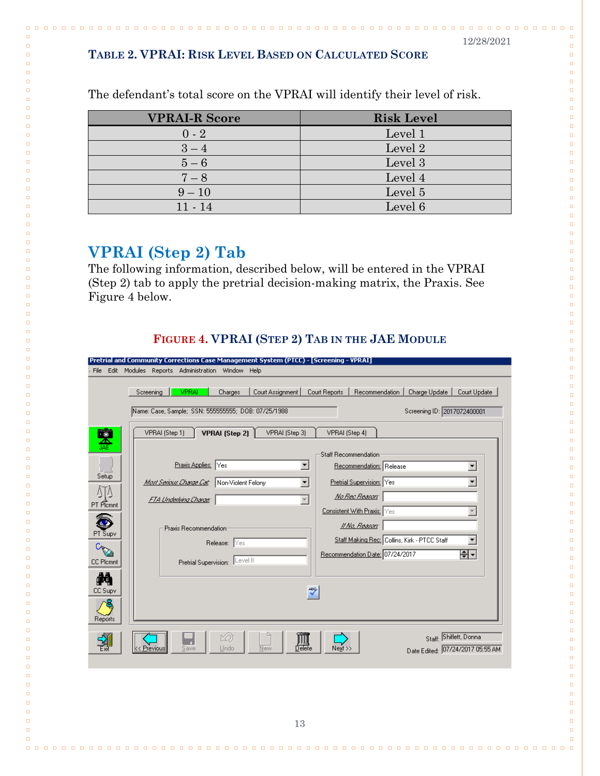**<u>nnnnnnn</u>** 

 $\Box$   $\Box$   $\Box$ 

 $\Box$ 

 $\Box$ 

 $\Box$ 

 $\Box$  $\Box$  $\Box$ 

 $\Box$  $\Box$ 

 $\Box$ 

 $\Box$ 

 $\Box$ 

 $\Box$ 

 $\Box$ 

 $\Box$ 

 $\Box$ 

 $\Box$  $\Box$ 

 $\Box$  $\Box$ 

 $\Box$ 

 $\Box$ 

 $\Box$  $\Box$ 

 $\Box$ 

 $\Box$ 

 $\Box$ 

 $\Box$ 

 $\Box$ 

 $\Box$ 

 $\Box$ 

 $\Box$  $\Box$ 

 $\Box$ 

 $\Box$ 

 $\Box$ 

 $\Box$ 

 $\Box$  $\Box$ 

 $\Box$ 

 $\Box$ 

 $\Box$ 

 $\Box$ 

 $\Box$ 

 $\Box$ 

 $\Box$ 

 $\Box$ 

 $\Box$ 

 $\Box$ 

 $\Box$ 

 $\Box$ 

 $\Box$ 

 $\Box$ 

 $\Box$ 

 $\Box$ 

 $\Box$ 

 $\Box$ 

 $\Box$ 

 $\Box$ 

 $\Box$ 

 $\Box$ 

 $\Box$ 

 $\Box$ 

 $\Box$ 

 $\Box$ 

 $\Box$ 

 $\Box$ 

 $\Box$ 

 $\Box$ 

 $\Box$ 

 $\Box$ 

 $\Box$ 

 $\Box$ 

 $\Box$ 

 $\Box$ 

 $\Box$ 

 $\Box$ 

 $\Box$ 

 $\Box$ 

 $\Box$ 

#### **TABLE 2. VPRAI: RISK LEVEL BASED ON CALCULATED SCORE**

| <b>VPRAI-R Score</b> | <b>Risk Level</b> |
|----------------------|-------------------|
| $0 - 2$              | Level 1           |
| $3 - 4$              | Level 2           |
| $5-6$                | Level 3           |
| $7 - 8$              | Level 4           |
| $9 - 10$             | Level 5           |
| $11 - 14$            | Level 6           |

0000000000000

The defendant's total score on the VPRAI will identify their level of risk.

## <span id="page-14-0"></span>**VPRAI (Step 2) Tab**

 $\Box$ 

 $\Box$ 

 $\Box$ 

 $\Box$ 

 $\Box$ 

 $\Box$  $\Box$ 

 $\Box$ 

 $\Box$ 

 $\Box$ 

 $\Box$  $\Box$ 

 $\Box$ 

 $\Box$ 

 $\Box$ 

 $\Box$ 

 $\Box$  $\Box$ 

 $\Box$ 

 $\Box$  $\Box$ 

 $\Box$ 

 $\Box$  $\Box$ 

 $\Box$ 

 $\Box$ 

 $\Box$ 

 $\Box$ 

 $\Box$ 

 $\Box$ 

 $\Box$ 

 $\Box$ 

 $\Box$  $\Box$ 

 $\Box$ 

 $\Box$ 

 $\Box$ 

 $\Box$  $\Box$ 

 $\Box$ 

 $\Box$ 

 $\Box$ 

 $\overline{a}$ 

 $\Box$ 

 $\Box$ 

 $\Box$ 

 $\Box$ 

 $\Box$ 

 $\Box$ 

 $\Box$ 

 $\Box$ 

 $\Box$ 

 $\Box$ 

 $\Box$ 

 $\Box$ 

 $\Box$ 

 $\Box$ 

 $\Box$ 

 $\Box$ 

 $\Box$ 

 $\Box$ 

 $\Box$ 

 $\Box$ 

 $\Box$ 

 $\Box$ 

 $\Box$ 

 $\Box$ 

 $\Box$ 

 $\Box$ 

 $\Box$ 

 $\Box$ 

 $\Box$ 

 $\Box$ 

 $\Box$ 

 $\Box$ 

 $\Box$ 

 $\Box$ 

 $\Box$ 

 $\Box$ 

The following information, described below, will be entered in the VPRAI (Step 2) tab to apply the pretrial decision-making matrix, the Praxis. See Figure 4 below.

#### **FIGURE 4. VPRAI (STEP 2) TAB IN THE JAE MODULE**

|                           | Pretrial and Community Corrections Case Management System (PTCC) - [Screening - YPRAI]                          |                                                                                                   |  |
|---------------------------|-----------------------------------------------------------------------------------------------------------------|---------------------------------------------------------------------------------------------------|--|
|                           | File Edit Modules Reports Administration Window Help                                                            |                                                                                                   |  |
|                           | <b>VPRAI</b><br>Screening<br>Charges<br>Court Assignment<br>Name: Case, Sample; SSN: 555555555; DOB: 07/25/1988 | Court Reports<br>Recommendation  <br>Court Update<br>Charge Update<br>Screening ID: 2017072400001 |  |
| 嗓                         | VPRAI (Step 1)<br>VPRAI (Step 2)<br>VPRAI (Step 3)                                                              | VPRAI (Step 4)                                                                                    |  |
| Setup                     | Praxis Applies: Yes<br>그<br>Mast Seriaus Change Cat <sup>.</sup> Non-Violent Felony<br>▾                        | <b>Staff Recommendation</b><br>Recommendation: Release<br>▼<br>Pretrial Supervision: Yes          |  |
| ΔTΔ<br>PT Plcmnt          | $\overline{\nabla}$<br>FTA Underlying Change                                                                    | No Rec Reason<br><b>Consistent With Praxis:</b> Yes<br>If No, Reason:                             |  |
| PT Supv<br>C<br>CC Plomnt | Praxis Recommendation<br>Release: Yes<br>Pretrial Supervision: Level II                                         | Staff Making Rec: Collins, Kirk - PTCC Staff<br>▼<br>₩<br>Recommendation Date: 07/24/2017         |  |
| М<br>CC Supv              |                                                                                                                 | $\overset{ABC}{\checkmark}$                                                                       |  |
| Reports                   | 的                                                                                                               | Staff: Shiflett, Donna                                                                            |  |
|                           | <u>Delete</u><br>Delete<br>п.<br>Previous<br>New<br>Save<br>Undo                                                | Negt >><br>Date Edited: 07/24/2017 05:55 AM                                                       |  |
|                           |                                                                                                                 |                                                                                                   |  |
|                           |                                                                                                                 |                                                                                                   |  |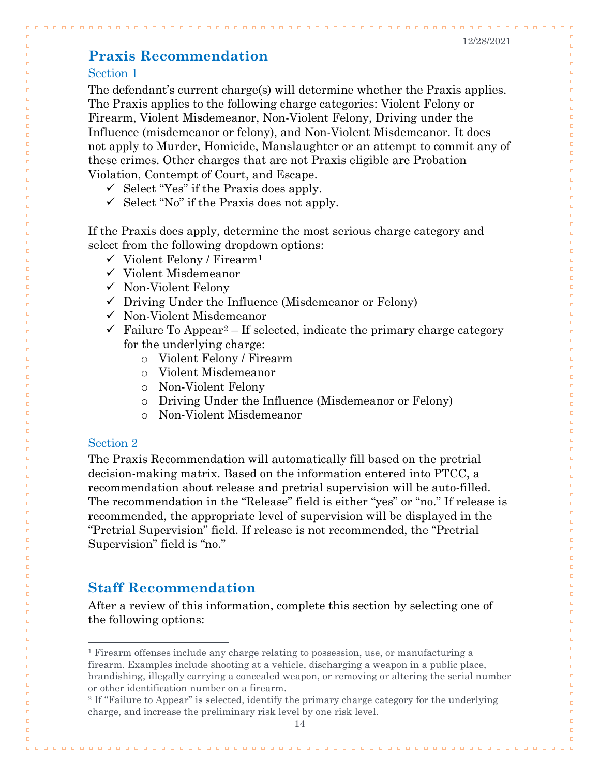00000000

 $0000$ 

 $\Box$ 

 $\Box$ 

 $\Box$ 

 $\Box$ 

 $\Box$  $\Box$ 

 $\Box$  $\Box$ 

 $\Box$ 

 $\Box$ 

 $\Box$ 

 $\Box$ 

 $\Box$ 

 $\Box$ 

 $\Box$ 

 $\Box$  $\Box$ 

 $\Box$  $\Box$ 

 $\Box$ 

 $\Box$ 

 $\Box$ 

 $\Box$ 

 $\Box$ 

 $\Box$ 

 $\Box$ 

 $\Box$ 

 $\Box$ 

 $\Box$ 

 $\Box$ 

 $\Box$  $\Box$ 

 $\Box$ 

 $\Box$  $\Box$ 

 $\Box$ 

 $\Box$ 

 $\Box$ 

 $\Box$ 

 $\Box$ 

 $\Box$ 

 $\Box$  $\Box$ 

 $\Box$ 

 $\Box$ 

 $\Box$  $\Box$ 

 $\Box$  $\Box$ 

 $\Box$ 

 $\Box$  $\Box$ 

 $\Box$ 

 $\Box$ 

 $\Box$ 

 $\Box$  $\Box$ 

 $\Box$ 

 $\Box$ 

 $\Box$  $\Box$ 

 $\Box$  $\Box$ 

 $\Box$ 

 $\Box$ 

 $\Box$ 

 $\Box$ 

 $\Box$ 

 $\Box$  $\Box$ 

 $\Box$ 

 $\Box$  $\Box$ 

 $\Box$  $\Box$ 

 $\Box$ 

 $\Box$ 

 $\Box$  $\Box$ 

00000000000000

## <span id="page-15-0"></span>**Praxis Recommendation**

#### Section 1

 $\Box$   $\Box$ 

 $\Box$ 

 $\Box$ 

 $\Box$ 

 $\Box$ 

 $\Box$ 

 $\Box$  $\Box$ 

 $\Box$ 

 $\Box$ 

 $\Box$ 

 $\Box$  $\Box$ 

 $\Box$ 

 $\Box$ 

 $\Box$ 

 $\Box$ 

 $\Box$  $\Box$ 

 $\Box$  $\Box$ 

 $\Box$ 

 $\Box$ 

 $\Box$ 

 $\Box$ 

 $\Box$ 

 $\Box$ 

 $\Box$ 

 $\Box$ 

 $\Box$ 

 $\Box$ 

 $\Box$ 

 $\Box$ 

 $\Box$  $\Box$ 

 $\Box$  $\Box$ 

 $\Box$ 

 $\Box$ 

 $\Box$ 

 $\Box$ 

 $\Box$ 

 $\Box$ 

 $\Box$  $\Box$ 

 $\Box$ 

 $\Box$ 

 $\Box$  $\Box$ 

 $\Box$  $\Box$ 

 $\Box$ 

 $\Box$ 

 $\Box$ 

 $\Box$ 

 $\Box$  $\Box$ 

 $\Box$ 

 $\Box$  $\Box$ 

 $\Box$ 

 $\Box$  $\Box$ 

 $\Box$  $\Box$ 

 $\Box$ 

 $\Box$ 

 $\Box$ 

 $\Box$ 

<span id="page-15-2"></span> $\Box$ 

 $\Box$ 

 $\Box$  $\Box$ 

 $\Box$  $\Box$ 

<span id="page-15-3"></span> $\Box$  $\Box$ 

 $\Box$ 

 $\Box$ 

 $\Box$ 

The defendant's current charge(s) will determine whether the Praxis applies. The Praxis applies to the following charge categories: Violent Felony or Firearm, Violent Misdemeanor, Non-Violent Felony, Driving under the Influence (misdemeanor or felony), and Non-Violent Misdemeanor. It does not apply to Murder, Homicide, Manslaughter or an attempt to commit any of these crimes. Other charges that are not Praxis eligible are Probation Violation, Contempt of Court, and Escape.

- $\checkmark$  Select "Yes" if the Praxis does apply.
- $\checkmark$  Select "No" if the Praxis does not apply.

If the Praxis does apply, determine the most serious charge category and select from the following dropdown options:

- $\checkmark$  Violent Felony / Firearm<sup>[1](#page-15-2)</sup>
- $\checkmark$  Violent Misdemeanor
- $\checkmark$  Non-Violent Felony
- $\checkmark$  Driving Under the Influence (Misdemeanor or Felony)
- $\checkmark$  Non-Violent Misdemeanor
- $\checkmark$  Failure To Appear<sup>2</sup> If selected, indicate the primary charge category for the underlying charge:
	- o Violent Felony / Firearm
	- o Violent Misdemeanor
	- o Non-Violent Felony
	- o Driving Under the Influence (Misdemeanor or Felony)
	- o Non-Violent Misdemeanor

#### Section 2

The Praxis Recommendation will automatically fill based on the pretrial decision-making matrix. Based on the information entered into PTCC, a recommendation about release and pretrial supervision will be auto-filled. The recommendation in the "Release" field is either "yes" or "no." If release is recommended, the appropriate level of supervision will be displayed in the "Pretrial Supervision" field. If release is not recommended, the "Pretrial Supervision" field is "no."

#### <span id="page-15-1"></span>**Staff Recommendation**

After a review of this information, complete this section by selecting one of the following options:

 <sup>1</sup> Firearm offenses include any charge relating to possession, use, or manufacturing a firearm. Examples include shooting at a vehicle, discharging a weapon in a public place, brandishing, illegally carrying a concealed weapon, or removing or altering the serial number or other identification number on a firearm.

<sup>2</sup> If "Failure to Appear" is selected, identify the primary charge category for the underlying charge, and increase the preliminary risk level by one risk level.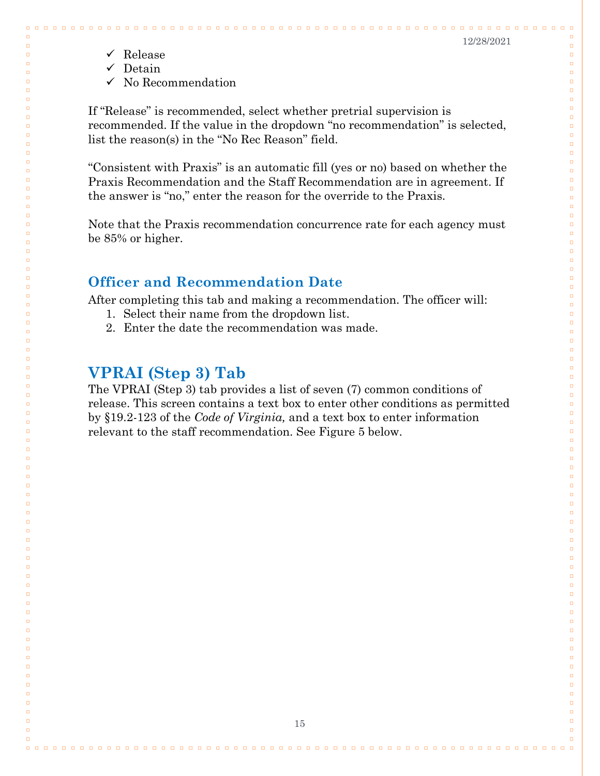. . .

 $\Box$ 

 $\Box$ 

 $\Box$ 

 $\Box$ 

 $\Box$ 

 $\Box$ 

 $\Box$  $\Box$ 

 $\Box$  $\Box$ 

 $\Box$ 

 $\Box$ 

 $\Box$ 

 $\Box$ 

 $\Box$ 

 $\Box$  $\Box$ 

 $\Box$  $\Box$ 

 $\Box$ 

 $\Box$  $\Box$ 

 $\Box$ 

 $\Box$ 

 $\Box$ 

 $\Box$ 

 $\Box$ 

 $\Box$ 

 $\Box$ 

 $\Box$ 

 $\Box$ 

 $\Box$ 

 $\Box$ 

 $\Box$  $\Box$ 

 $\Box$ 

 $\Box$ 

 $\Box$ 

 $\Box$ 

 $\Box$ 

 $\Box$  $\Box$ 

 $\Box$ 

 $\Box$  $\Box$ 

 $\Box$ 

 $\Box$ 

 $\Box$ 

 $\Box$ 

 $\Box$ 

 $\Box$ 

 $\Box$ 

 $\Box$ 

 $\Box$ 

 $\Box$ 

 $\Box$ 

 $\Box$ 

 $\Box$ 

 $\Box$ 

 $\Box$ 

 $\Box$ 

 $\Box$ 

 $\Box$ 

 $\Box$ 

 $\Box$ 

 $\Box$ 

 $\Box$ 

 $\Box$ 

 $\Box$ 

 $\Box$ 

 $\Box$ 

 $\Box$ 

 $\Box$ 

 $\Box$ 

 $\Box$ 

 $\Box$ 

 $\Box$ 

 $\Box$  $\Box$ 

 $\checkmark$  Release

 $\Box$ 

 $\Box$ 

 $\Box$ 

 $\Box$ 

 $\Box$ 

 $\Box$ 

 $\Box$ 

 $\Box$ 

 $\Box$  $\Box$ 

 $\Box$ 

 $\Box$  $\Box$ 

 $\Box$ 

 $\Box$ 

 $\Box$ 

 $\Box$ 

 $\Box$  $\Box$ 

 $\Box$ 

 $\Box$  $\Box$ 

 $\Box$  $\Box$ 

 $\Box$ 

 $\Box$ 

 $\Box$ 

 $\Box$ 

 $\Box$ 

 $\Box$ 

 $\Box$ 

 $\Box$ 

 $\Box$ 

 $\Box$ 

 $\Box$ 

 $\Box$  $\Box$ 

 $\Box$ 

 $\Box$ 

 $\Box$ 

 $\Box$ 

 $\Box$ 

 $\Box$ 

 $\Box$  $\Box$ 

 $\Box$  $\Box$ 

 $\Box$ 

 $\Box$ 

 $\Box$ 

 $\Box$ 

 $\Box$ 

 $\Box$ 

 $\Box$ 

 $\Box$ 

 $\Box$ 

 $\Box$ 

 $\Box$ 

 $\Box$ 

 $\Box$ 

 $\Box$ 

 $\Box$ 

 $\Box$ 

 $\Box$ 

 $\Box$ 

 $\Box$ 

 $\Box$ 

 $\Box$ 

 $\Box$ 

 $\Box$ 

 $\Box$ 

 $\Box$ 

 $\Box$ 

 $\Box$ 

 $\Box$ 

 $\Box$ 

 $\Box$ 

 $\Box$ 

 $\Box$ 

- $\checkmark$  Detain
- $\checkmark$  No Recommendation

If "Release" is recommended, select whether pretrial supervision is recommended. If the value in the dropdown "no recommendation" is selected, list the reason(s) in the "No Rec Reason" field.

"Consistent with Praxis" is an automatic fill (yes or no) based on whether the Praxis Recommendation and the Staff Recommendation are in agreement. If the answer is "no," enter the reason for the override to the Praxis.

Note that the Praxis recommendation concurrence rate for each agency must be 85% or higher.

## <span id="page-16-0"></span>**Officer and Recommendation Date**

After completing this tab and making a recommendation. The officer will:

- 1. Select their name from the dropdown list.
- 2. Enter the date the recommendation was made.

## <span id="page-16-1"></span>**VPRAI (Step 3) Tab**

The VPRAI (Step 3) tab provides a list of seven (7) common conditions of release. This screen contains a text box to enter other conditions as permitted by §19.2-123 of the *Code of Virginia,* and a text box to enter information relevant to the staff recommendation. See Figure 5 below.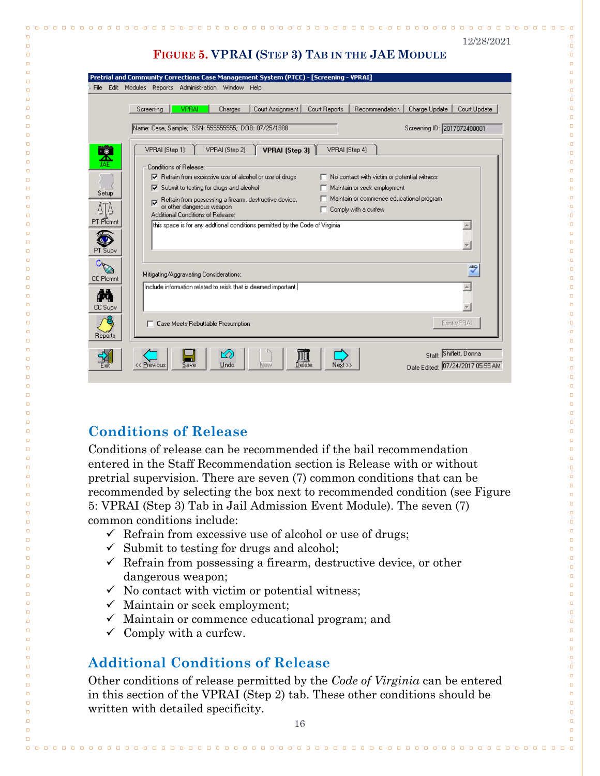| 2/28/202 |
|----------|
|----------|

 $\Box$   $\Box$ 

 $\Box$ 

 $\Box$ 

 $\Box$ 

 $\Box$ 

 $\Box$ 

 $\Box$ 

 $\Box$ 

 $\Box$ 

 $\Box$ 

 $\Box$ 

 $\Box$ 

 $\Box$ 

 $\Box$ 

 $\Box$ 

 $\Box$ 

 $\Box$ 

 $\Box$ 

 $\Box$ 

 $\Box$ 

 $\Box$ 

 $\Box$ 

 $\Box$ 

 $\Box$ 

 $\Box$ 

 $\Box$ 

 $\Box$ 

 $\Box$ 

 $\Box$ 

 $\Box$ 

 $\Box$ 

 $\Box$ 

 $\Box$ 

 $\Box$ 

 $\Box$ 

 $\Box$ 

 $\Box$ 

 $\Box$ 

 $\Box$ 

 $\Box$ 

 $\Box$ 

 $\Box$ 

 $\Box$ 

 $\Box$ 

 $\Box$ 

 $\Box$  $\Box$ 

 $\Box$  $\Box$ 

 $\Box$ 

 $\Box$ 

 $\Box$  $\Box$ 

 $\Box$  $\Box$ 

 $\Box$ 

 $\Box$ 

 $\Box$ 

 $\Box$ 

 $\Box$ 

 $\Box$ 

 $\Box$ 

 $\Box$ 

 $\Box$ 

 $\Box$ 

 $\Box$ 

 $\Box$ 

 $\Box$ 

 $\Box$ 

 $\Box$ 

 $\Box$  $\Box$ 

 $\Box$ 

 $\Box$ 

 $\Box$ 

 $\Box$ 

 $\Box$ 

 $\Box$ 

### **FIGURE 5. VPRAI (STEP 3) TAB IN THE JAE MODULE**

|                      | Pretrial and Community Corrections Case Management System (PTCC) - [Screening - VPRAI]                                                                                                                                                                                                                                                                                                                                       |
|----------------------|------------------------------------------------------------------------------------------------------------------------------------------------------------------------------------------------------------------------------------------------------------------------------------------------------------------------------------------------------------------------------------------------------------------------------|
| File                 | Edit Modules<br>Reports Administration Window Help                                                                                                                                                                                                                                                                                                                                                                           |
|                      | VPRAI<br>Court Assignment<br>Recommendation<br>Charge Update<br>Court Update<br>Screening<br>Charges<br>Court Reports<br>Name: Case, Sample; SSN: 555555555; DOB: 07/25/1988<br>Screening ID: 2017072400001                                                                                                                                                                                                                  |
| 累                    | VPRAI (Step 2)<br><b>VPRAI</b> (Step 3)<br>VPRAI (Step 4)<br>VPRAI (Step 1)                                                                                                                                                                                                                                                                                                                                                  |
| Setup<br>ΔIΔ         | Conditions of Belease:<br>$\nabla$ Refrain from excessive use of alcohol or use of drugs<br>No contact with victim or potential witness<br>Submit to testing for drugs and alcohol<br>Maintain or seek employment<br>⊽<br>Maintain or commence educational program<br>Refrain from possessing a firearm, destructive device,<br>ঢ়<br>or other dangerous weapon<br>Comply with a curfew<br>Additional Conditions of Release: |
| PT Plcmnt<br>PT Supv | this space is for any addtional conditions permitted by the Code of Virginia.<br>A.                                                                                                                                                                                                                                                                                                                                          |
| <b>CC Plcmnt</b>     | ABG<br>Mitigating/Aggravating Considerations:                                                                                                                                                                                                                                                                                                                                                                                |
| CC Supv              | [Include information related to reisk that is deemed important.]                                                                                                                                                                                                                                                                                                                                                             |
| Reports              | Print VPRA<br>Case Meets Rebuttable Presumption                                                                                                                                                                                                                                                                                                                                                                              |
|                      | Staff: Shiflett, Donna<br>ro<br>Delete<br>Undo<br>New<br>Date Edited: 07/24/2017 05:55 AM<br>Previous<br>Save<br>Next >>                                                                                                                                                                                                                                                                                                     |

## <span id="page-17-0"></span>**Conditions of Release**

 $\Box$ 

 $\Box$ 

 $\Box$ 

 $\Box$ 

 $\Box$ 

 $\Box$ 

 $\Box$ 

 $\Box$ 

 $\Box$ 

 $\Box$ 

 $\Box$ 

 $\Box$ 

 $\Box$ 

 $\Box$ 

 $\Box$ 

 $\Box$ 

 $\Box$ 

 $\Box$ 

 $\Box$ 

 $\Box$ 

 $\Box$ 

 $\Box$ 

 $\Box$ 

 $\Box$ 

 $\Box$ 

 $\Box$ 

 $\Box$ 

 $\Box$ 

 $\Box$ 

 $\Box$  $\Box$ 

 $\Box$ 

 $\Box$ 

 $\Box$ 

 $\Box$ 

 $\Box$ 

 $\Box$ 

 $\Box$ 

 $\Box$ 

 $\Box$ 

 $\Box$ 

 $\Box$ 

 $\Box$ 

 $\Box$ 

 $\Box$ 

 $\Box$ 

 $\Box$ 

 $\Box$  $\Box$ 

 $\Box$  $\Box$ 

 $\Box$ 

 $\Box$ 

 $\Box$  $\Box$ 

> $\Box$  $\Box$

 $\Box$ 

 $\Box$ 

 $\Box$ 

 $\Box$ 

 $\Box$ 

 $\Box$ 

 $\Box$ 

 $\Box$ 

 $\Box$ 

 $\Box$ 

 $\Box$ 

 $\Box$ 

 $\Box$ 

 $\Box$ 

 $\Box$ 

 $\Box$ 

 $\Box$ 

 $\Box$ 

 $\Box$  $\Box$ 

 $\Box$ 

 $\Box$ 

Conditions of release can be recommended if the bail recommendation entered in the Staff Recommendation section is Release with or without pretrial supervision. There are seven (7) common conditions that can be recommended by selecting the box next to recommended condition (see Figure 5: VPRAI (Step 3) Tab in Jail Admission Event Module). The seven (7) common conditions include:

- $\checkmark$  Refrain from excessive use of alcohol or use of drugs;
- $\checkmark$  Submit to testing for drugs and alcohol;
- $\checkmark$  Refrain from possessing a firearm, destructive device, or other dangerous weapon;
- $\checkmark$  No contact with victim or potential witness;
- $\checkmark$  Maintain or seek employment;
- $\checkmark$  Maintain or commence educational program; and
- $\checkmark$  Comply with a curfew.

## <span id="page-17-1"></span>**Additional Conditions of Release**

Other conditions of release permitted by the *Code of Virginia* can be entered in this section of the VPRAI (Step 2) tab. These other conditions should be written with detailed specificity.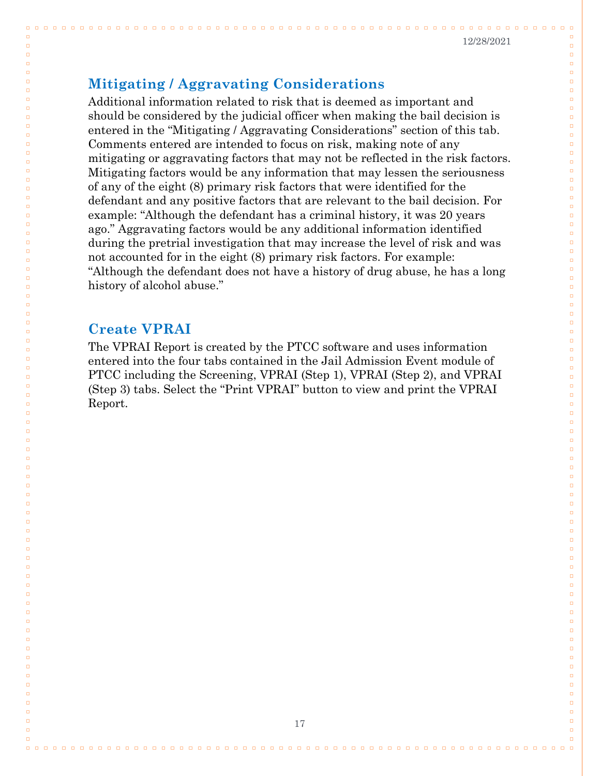. . . . . . . . . . .

 $\begin{array}{cccccccccccccc} \Box & \Box & \Box & \Box & \Box \end{array}$ 

 $\Box$ 

 $\Box$ 

 $\Box$ 

 $\Box$ 

 $\Box$ 

 $\Box$ 

 $\Box$  $\Box$ 

 $\Box$  $\overline{a}$ 

 $\Box$ 

 $\Box$ 

 $\Box$ 

 $\Box$ 

 $\Box$ 

 $\Box$  $\Box$ 

 $\Box$  $\Box$ 

 $\Box$ 

 $\Box$  $\Box$ 

 $\Box$ 

 $\Box$ 

 $\Box$ 

 $\Box$ 

 $\Box$ 

 $\Box$ 

 $\Box$ 

 $\Box$ 

 $\Box$  $\Box$ 

 $\Box$ 

 $\Box$ 

 $\Box$ 

 $\Box$ 

 $\Box$ 

 $\Box$ 

 $\Box$ 

 $\Box$ 

 $\Box$ 

 $\Box$  $\Box$ 

 $\Box$ 

 $\Box$ 

 $\Box$ 

 $\Box$ 

 $\Box$ 

 $\Box$ 

 $\Box$ 

 $\Box$ 

 $\Box$ 

 $\Box$ 

 $\Box$ 

 $\Box$ 

 $\Box$ 

 $\Box$ 

 $\Box$ 

 $\Box$ 

 $\Box$ 

 $\Box$ 

 $\Box$ 

 $\Box$ 

 $\Box$ 

 $\Box$ 

 $\Box$ 

 $\Box$ 

 $\Box$ 

 $\Box$ 

 $\Box$ 

 $\Box$ 

 $\Box$ 

 $\Box$ 

 $\Box$ 

 $\Box$ 

 $\Box$ 

 $\Box$ 

 $\Box$ 

 $\Box$ 

### <span id="page-18-0"></span>**Mitigating / Aggravating Considerations**

Additional information related to risk that is deemed as important and should be considered by the judicial officer when making the bail decision is entered in the "Mitigating / Aggravating Considerations" section of this tab. Comments entered are intended to focus on risk, making note of any mitigating or aggravating factors that may not be reflected in the risk factors. Mitigating factors would be any information that may lessen the seriousness of any of the eight (8) primary risk factors that were identified for the defendant and any positive factors that are relevant to the bail decision. For example: "Although the defendant has a criminal history, it was 20 years ago." Aggravating factors would be any additional information identified during the pretrial investigation that may increase the level of risk and was not accounted for in the eight (8) primary risk factors. For example: "Although the defendant does not have a history of drug abuse, he has a long history of alcohol abuse."

### <span id="page-18-1"></span>**Create VPRAI**

 $\Box$   $\Box$ 

 $\Box$ 

 $\Box$ 

 $\Box$ 

 $\Box$ 

 $\Box$ 

 $\Box$ 

 $\Box$ 

 $\Box$  $\Box$ 

 $\Box$ 

 $\Box$  $\Box$ 

 $\Box$ 

 $\Box$ 

 $\Box$ 

 $\Box$ 

 $\Box$  $\Box$ 

 $\Box$  $\Box$ 

 $\Box$ 

 $\Box$ 

 $\Box$  $\Box$ 

 $\Box$ 

 $\Box$ 

 $\Box$ 

 $\Box$ 

 $\Box$ 

 $\Box$ 

 $\Box$ 

 $\Box$ 

 $\Box$  $\Box$ 

 $\Box$ 

 $\Box$ 

 $\Box$ 

 $\Box$ 

 $\Box$ 

 $\Box$ 

 $\Box$ 

 $\Box$ 

 $\Box$  $\Box$ 

 $\Box$ 

 $\Box$ 

 $\Box$ 

 $\Box$ 

 $\Box$ 

 $\Box$ 

 $\Box$ 

 $\Box$ 

 $\Box$ 

 $\Box$ 

 $\Box$ 

 $\Box$ 

 $\Box$ 

 $\Box$ 

 $\Box$ 

 $\Box$ 

 $\Box$ 

 $\Box$ 

 $\Box$ 

 $\Box$ 

 $\Box$ 

 $\Box$ 

 $\Box$ 

 $\Box$ 

 $\Box$ 

 $\Box$ 

 $\Box$ 

 $\Box$ 

 $\Box$ 

 $\Box$ 

 $\Box$ 

 $\Box$ 

 $\Box$ 

 $\Box$ 

 $\Box$ 

The VPRAI Report is created by the PTCC software and uses information entered into the four tabs contained in the Jail Admission Event module of PTCC including the Screening, VPRAI (Step 1), VPRAI (Step 2), and VPRAI (Step 3) tabs. Select the "Print VPRAI" button to view and print the VPRAI Report.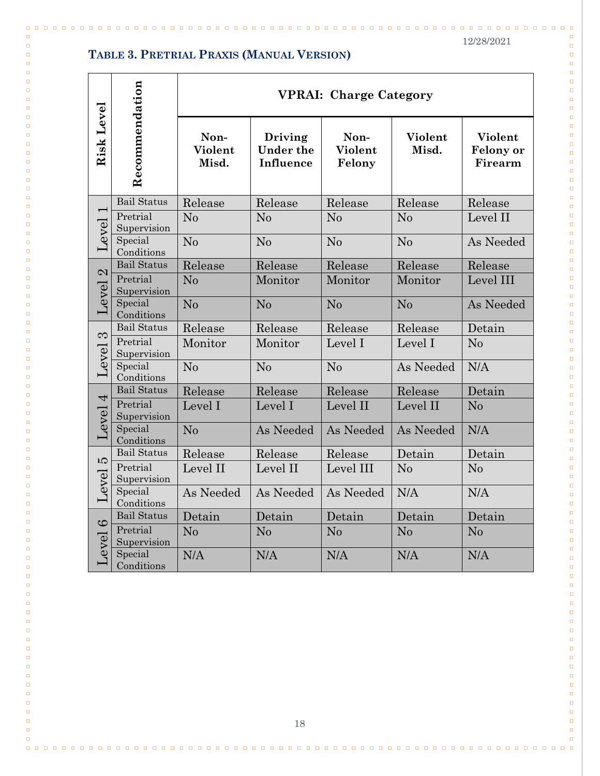$\Box$ 

 $\Box$ 

 $\Box$ 

 $\Box$ 

 $\Box$  $\Box$ 

 $\Box$  $\Box$ 

 $\Box$ 

 $\Box$ 

 $\Box$  $\Box$ 

 $\Box$ 

 $\Box$ 

 $\Box$ 

 $\Box$  $\Box$ 

 $\Box$ 

 $\Box$ 

 $\Box$ 

 $\Box$ 

 $\Box$  $\Box$ 

 $\Box$ 

 $\Box$ 

 $\Box$ 

 $\Box$ 

 $\Box$ 

 $\Box$  $\Box$ 

 $\Box$ 

 $\Box$ 

 $\Box$  $\Box$ 

 $\Box$  $\Box$ 

 $\Box$  $\Box$ 

 $\Box$ 

 $\Box$ 

 $\Box$ 

 $\Box$ 

 $\Box$ 

 $\Box$  $\Box$ 

 $\Box$ 

 $\Box$  $\Box$ 

 $\Box$ 

 $\Box$ 

 $\Box$ 

 $\Box$ 

 $\Box$  $\Box$ 

 $\Box$ 

 $\Box$ 

 $\Box$ 

 $\Box$ 

 $\Box$ 

 $\Box$ 

 $\Box$  $\Box$ 

 $\Box$  $\Box$ 

 $\Box$  $\Box$ 

 $\Box$ 

 $\Box$ 

 $\Box$ 

 $\Box$ 

 $\Box$ 

 $\Box$  $\Box$ 

 $\Box$  $\Box$ 

 $\Box$ 

 $\Box$ 

 $\Box$ 

 $\Box$ 

#### **TABLE 3. PRETRIAL PRAXIS (MANUAL VERSION)**

 $\Box$ 

 $\Box$ 

 $\Box$ 

 $\Box$ 

 $\Box$ 

 $\Box$  $\Box$ 

 $\Box$  $\Box$ 

 $\Box$ 

 $\Box$ 

 $\Box$ 

 $\Box$  $\Box$ 

 $\Box$ 

 $\Box$ 

 $\Box$  $\Box$ 

 $\Box$ 

 $\Box$ 

 $\Box$ 

 $\Box$ 

 $\Box$  $\Box$ 

 $\Box$ 

 $\Box$ 

 $\Box$ 

 $\Box$ 

 $\Box$ 

 $\Box$  $\Box$ 

 $\Box$ 

 $\Box$ 

 $\Box$  $\Box$ 

 $\Box$  $\Box$ 

 $\Box$ 

 $\Box$ 

 $\Box$ 

 $\Box$  $\Box$ 

 $\Box$ 

 $\Box$ 

 $\Box$  $\Box$ 

 $\Box$ 

 $\Box$ 

 $\Box$ 

 $\Box$ 

 $\Box$  $\Box$ 

 $\Box$ 

 $\Box$ 

 $\Box$ 

 $\Box$ 

 $\Box$ 

 $\Box$ 

 $\Box$ 

 $\Box$  $\Box$ 

 $\Box$  $\Box$ 

 $\Box$  $\Box$ 

 $\Box$ 

 $\Box$ 

 $\Box$  $\Box$ 

 $\Box$ 

 $\Box$ 

 $\Box$ 

 $\Box$  $\Box$ 

 $\Box$ 

 $\Box$ 

 $\Box$  $\Box$ 

 $\Box$ 

|                         |                         | <b>VPRAI: Charge Category</b> |                                   |                           |                  |                                        |  |
|-------------------------|-------------------------|-------------------------------|-----------------------------------|---------------------------|------------------|----------------------------------------|--|
| Risk Level              | Recommendation          | Non-<br>Violent<br>Misd.      | Driving<br>Under the<br>Influence | Non-<br>Violent<br>Felony | Violent<br>Misd. | Violent<br><b>Felony</b> or<br>Firearm |  |
|                         | <b>Bail Status</b>      | Release                       | Release                           | Release                   | Release          | Release                                |  |
| $\overline{ }$<br>Level | Pretrial<br>Supervision | N <sub>o</sub>                | No                                | N <sub>o</sub>            | No               | Level II                               |  |
|                         | Special<br>Conditions   | N <sub>o</sub>                | No                                | No                        | N <sub>o</sub>   | As Needed                              |  |
|                         | <b>Bail Status</b>      | Release                       | Release                           | Release                   | Release          | Release                                |  |
| 2<br>Level              | Pretrial<br>Supervision | N <sub>o</sub>                | Monitor                           | Monitor                   | Monitor          | Level III                              |  |
|                         | Special<br>Conditions   | N <sub>0</sub>                | No                                | No                        | No               | As Needed                              |  |
|                         | <b>Bail Status</b>      | Release                       | Release                           | Release                   | Release          | Detain                                 |  |
| $\infty$                | Pretrial<br>Supervision | Monitor                       | Monitor                           | Level I                   | Level I          | N <sub>o</sub>                         |  |
| Level                   | Special<br>Conditions   | No                            | No                                | No                        | As Needed        | N/A                                    |  |
|                         | <b>Bail Status</b>      | Release                       | Release                           | Release                   | Release          | Detain                                 |  |
| $\overline{4}$          | Pretrial<br>Supervision | Level I                       | Level I                           | Level II                  | Level II         | No                                     |  |
| Level                   | Special<br>Conditions   | N <sub>0</sub>                | As Needed                         | As Needed                 | As Needed        | N/A                                    |  |
| <b>LO</b>               | <b>Bail Status</b>      | Release                       | Release                           | Release                   | Detain           | Detain                                 |  |
| Level                   | Pretrial<br>Supervision | Level II                      | Level II                          | Level III                 | No               | N <sub>o</sub>                         |  |
|                         | Special<br>Conditions   | As Needed                     | As Needed                         | As Needed                 | N/A              | N/A                                    |  |
|                         | <b>Bail Status</b>      | Detain                        | Detain                            | Detain                    | Detain           | Detain                                 |  |
| $\circ$<br>Level        | Pretrial<br>Supervision | No                            | No                                | N <sub>o</sub>            | N <sub>0</sub>   | N <sub>0</sub>                         |  |
|                         | Special<br>Conditions   | N/A                           | N/A                               | N/A                       | N/A              | N/A                                    |  |

18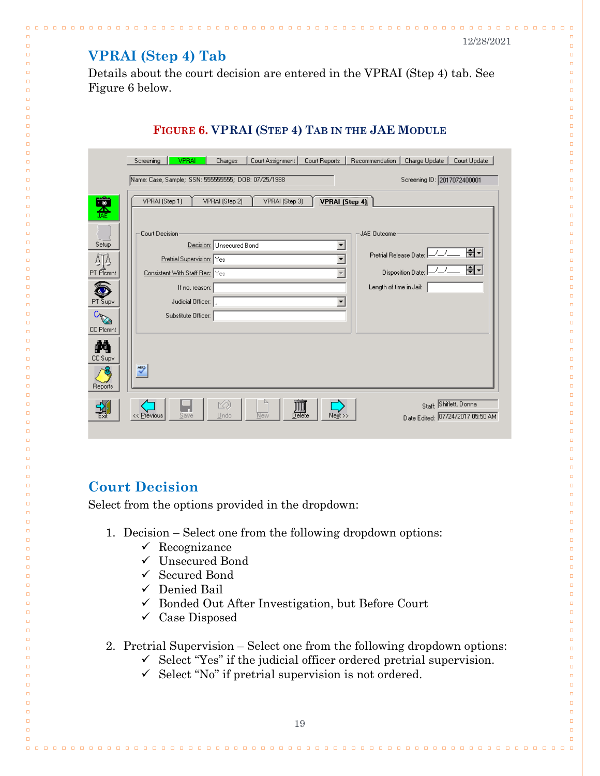n n n n n n n n

 $0.0.0$ 

 $\Box$ 

 $\Box$ 

 $\Box$ 

 $\Box$ 

 $\Box$  $\Box$ 

 $\Box$  $\Box$ 

 $\Box$  $\Box$ 

 $\Box$ 

 $\Box$ 

 $\Box$ 

 $\Box$ 

 $\Box$ 

 $\Box$ 

 $\Box$ 

 $\Box$ 

 $\Box$ 

 $\Box$ 

 $\Box$ 

 $\Box$ 

 $\Box$ 

 $\Box$ 

 $\Box$ 

 $\Box$ 

 $\Box$ 

 $\Box$ 

 $\Box$ 

 $\Box$ 

 $\Box$ 

 $\Box$ 

 $\Box$ 

 $\Box$ 

 $\Box$ 

 $\Box$ 

 $\Box$ 

 $\Box$ 

 $\Box$ 

 $\Box$ 

 $\Box$ 

 $\Box$ 

 $\Box$ 

 $\Box$ 

 $\Box$ 

 $\Box$ 

 $\Box$ 

 $\Box$ 

 $\Box$  $\Box$ 

 $\Box$ 

 $\Box$ 

 $\Box$ 

 $\Box$ 

 $\Box$ 

 $\Box$ 

 $\Box$ 

 $\Box$ 

 $\Box$ 

 $\Box$ 

 $\Box$ 

 $\Box$ 

 $\Box$ 

 $\Box$ 

 $\Box$  $\Box$ 

 $\Box$ 

 $\Box$ 

 $\Box$  $\Box$ 

 $\Box$ 

 $\Box$  $\Box$ 

 $\Box$ 

 $\Box$ 

 $\Box$ 

 $\Box$ 

 $\Box$ 

 $\Box$ 

### <span id="page-20-0"></span>**VPRAI (Step 4) Tab**

 $\Box \quad \Box$ 

 $\Box$ 

 $\Box$ 

 $\Box$ 

 $\Box$ 

ö

 $\Box$  $\Box$ 

 $\Box$  $\Box$ 

 $\Box$ 

 $\Box$  $\Box$ 

 $\Box$ 

 $\Box$ 

 $\Box$ 

 $\Box$ 

 $\Box$ 

 $\Box$ 

 $\Box$ 

 $\Box$ 

 $\Box$ 

 $\Box$ 

 $\Box$ 

 $\Box$ 

 $\Box$ 

 $\Box$ 

 $\Box$ 

 $\Box$ 

 $\Box$ 

 $\Box$ 

 $\Box$ 

 $\Box$ 

 $\Box$ 

 $\Box$ 

 $\Box$ 

 $\Box$ 

 $\Box$ 

 $\Box$ 

 $\Box$ 

 $\Box$ 

 $\Box$ 

 $\Box$ 

 $\Box$ 

 $\Box$ 

 $\Box$ 

 $\Box$ 

 $\Box$ 

 $\Box$ 

 $\Box$ 

 $\Box$  $\Box$ 

 $\Box$ 

 $\Box$ 

 $\Box$ 

 $\Box$ 

 $\Box$ 

 $\Box$ 

 $\Box$ 

 $\Box$ 

 $\Box$ 

 $\Box$ 

 $\Box$ 

 $\Box$ 

 $\Box$ 

 $\Box$ 

 $\Box$  $\Box$ 

 $\Box$ 

 $\Box$ 

 $\Box$ 

 $\Box$  $\Box$ 

 $\Box$  $\Box$ 

 $\Box$ 

 $\Box$ 

 $\Box$ 

 $\Box$ 

 $\Box$ 

Details about the court decision are entered in the VPRAI (Step 4) tab. See Figure 6 below.

<u>. . . . . . . . . . . . . . . . .</u>

### **FIGURE 6. VPRAI (STEP 4) TAB IN THE JAE MODULE**

|                           | <b>VPRAI</b><br>Court Assignment<br>Recommendation<br>Charges<br>Court Reports<br>Charge Update  <br>Court Update<br>Screening       |
|---------------------------|--------------------------------------------------------------------------------------------------------------------------------------|
|                           | Name: Case, Sample; SSN: 555555555; DOB: 07/25/1988<br>Screening ID: 2017072400001                                                   |
| 휴                         | VPRAI (Step 4)<br>VPRAI (Step 1)<br>VPRAI (Step 2)<br>VPRAI (Step 3)                                                                 |
| Setup<br>ΔTΔ              | Court Decision<br>JAE Outcome<br>Decision: Unsecured Bond<br>▼<br>블리<br>Pretrial Release Date: I-<br>Pretrial Supervision: Yes<br>블키 |
| PT Plamnt<br>ð<br>PT Supv | Disposition Date:<br>Consistent With Staff Rec: Yes<br>Length of time in Jail:<br>If no, reason:<br>Judicial Officer:  <br>▼         |
| CAZE<br>CC Plomnt<br>М    | Substitute Officer:                                                                                                                  |
| CC Supv<br>Reports        | ABC <sub>2</sub>                                                                                                                     |
| 꾆                         | Staff: Shiflett, Donna<br>⊠<br>Delete<br><< Previous<br>Save<br>New<br>Next >><br>Date Edited: 07/24/2017 05:50 AM<br>Undo           |

### <span id="page-20-1"></span>**Court Decision**

Select from the options provided in the dropdown:

- 1. Decision Select one from the following dropdown options:
	- $\checkmark$  Recognizance
	- Unsecured Bond
	- $\checkmark$  Secured Bond
	- Denied Bail
	- $\checkmark$  Bonded Out After Investigation, but Before Court
	- $\checkmark$  Case Disposed

2. Pretrial Supervision – Select one from the following dropdown options:

- $\checkmark$  Select "Yes" if the judicial officer ordered pretrial supervision.
	- $\checkmark$  Select "No" if pretrial supervision is not ordered.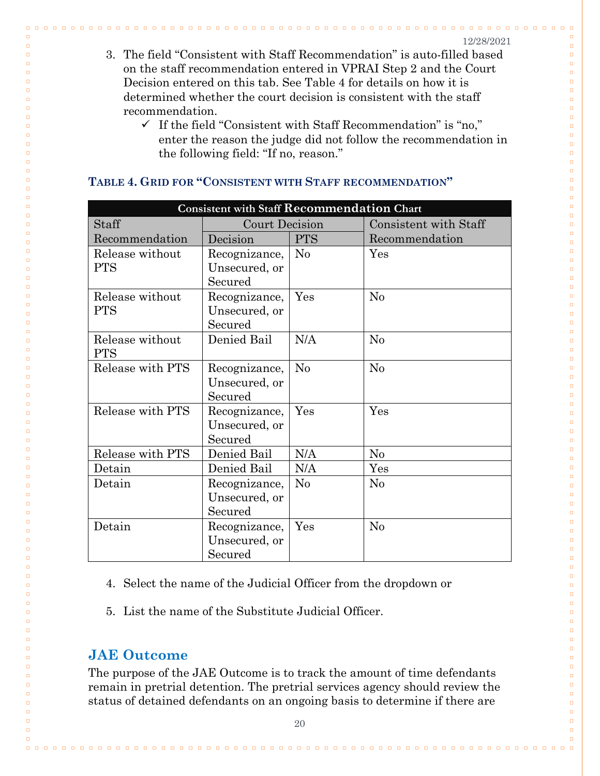$n - n$  $\Box$ 

 $\Box$ 

 $\Box$ 

 $\Box$  $\Box$  $\Box$ 

 $\Box$  $\Box$ 

 $\Box$ 

 $\Box$ 

 $\Box$ 

 $\Box$ 

 $\Box$ 

 $\Box$ 

 $\Box$ 

 $\Box$ 

 $\Box$ 

 $\Box$ 

 $\Box$ 

 $\Box$ 

 $\Box$ 

 $\Box$ 

 $\Box$ 

 $\Box$ 

 $\Box$ 

 $\Box$ 

 $\Box$ 

 $\Box$ 

 $\Box$ 

 $\Box$ 

 $\Box$ 

 $\Box$ 

 $\Box$ 

 $\Box$ 

 $\Box$ 

 $\Box$ 

 $\Box$ 

 $\Box$ 

 $\Box$ 

 $\Box$ 

 $\Box$ 

 $\Box$ 

 $\Box$ 

 $\Box$ 

 $\Box$ 

 $\Box$ 

 $\Box$ 

 $\Box$ 

 $\Box$ 

 $\Box$ 

 $\Box$ 

 $\Box$ 

 $\Box$ 

 $\Box$ 

 $\Box$ 

 $\Box$ 

 $\Box$ 

 $\Box$ 

 $\Box$ 

 $\Box$  $\Box$ 

 $\Box$  $\Box$ 

 $\Box$ 

 $\Box$  $\Box$ 

 $\Box$ 

 $\Box$ 

 $\Box$ 

 $\Box$  $\Box$ 

 $\Box$ 

 $\Box$ 

 $\Box$ 

 $\Box$ 

 $\Box$ 

 $\Box$ 

 $\Box$  $\Box$ 

- 3. The field "Consistent with Staff Recommendation" is auto-filled based on the staff recommendation entered in VPRAI Step 2 and the Court Decision entered on this tab. See Table 4 for details on how it is determined whether the court decision is consistent with the staff recommendation.
	- $\checkmark$  If the field "Consistent with Staff Recommendation" is "no," enter the reason the judge did not follow the recommendation in the following field: "If no, reason."

| <b>Consistent with Staff Recommendation Chart</b> |                |                |                       |  |  |
|---------------------------------------------------|----------------|----------------|-----------------------|--|--|
| Staff                                             | Court Decision |                | Consistent with Staff |  |  |
| Recommendation                                    | Decision       | <b>PTS</b>     | Recommendation        |  |  |
| Release without                                   | Recognizance,  | No             | Yes                   |  |  |
| <b>PTS</b>                                        | Unsecured, or  |                |                       |  |  |
|                                                   | Secured        |                |                       |  |  |
| Release without                                   | Recognizance,  | Yes            | No                    |  |  |
| <b>PTS</b>                                        | Unsecured, or  |                |                       |  |  |
|                                                   | Secured        |                |                       |  |  |
| Release without                                   | Denied Bail    | N/A            | N <sub>0</sub>        |  |  |
| <b>PTS</b>                                        |                |                |                       |  |  |
| Release with PTS                                  | Recognizance,  | N <sub>0</sub> | No                    |  |  |
|                                                   | Unsecured, or  |                |                       |  |  |
|                                                   | Secured        |                |                       |  |  |
| Release with PTS                                  | Recognizance,  | Yes            | Yes                   |  |  |
|                                                   | Unsecured, or  |                |                       |  |  |
|                                                   | Secured        |                |                       |  |  |
| Release with PTS                                  | Denied Bail    | N/A            | No                    |  |  |
| Detain                                            | Denied Bail    | N/A            | Yes                   |  |  |
| Detain                                            | Recognizance,  | $\rm No$       | No                    |  |  |
|                                                   | Unsecured, or  |                |                       |  |  |
|                                                   | Secured        |                |                       |  |  |
| Detain                                            | Recognizance,  | Yes            | No                    |  |  |
|                                                   | Unsecured, or  |                |                       |  |  |
|                                                   | Secured        |                |                       |  |  |

#### **TABLE 4. GRID FOR "CONSISTENT WITH STAFF RECOMMENDATION"**

- 4. Select the name of the Judicial Officer from the dropdown or
- 5. List the name of the Substitute Judicial Officer.

### <span id="page-21-0"></span>**JAE Outcome**

 $\Box$ 

 $\Box$  $\Box$ 

 $\Box$ 

 $\Box$ 

 $\Box$  $\Box$ 

 $\Box$ 

 $\Box$ 

 $\Box$ 

 $\Box$ 

 $\Box$  $\Box$ 

 $\Box$ 

 $\Box$ 

 $\Box$ 

 $\Box$ 

 $\Box$ 

 $\Box$ 

 $\Box$ 

 $\Box$ 

 $\Box$ 

 $\Box$ 

 $\Box$ 

 $\Box$ 

 $\Box$ 

 $\Box$ 

 $\Box$ 

 $\Box$ 

 $\Box$ 

 $\Box$ 

 $\Box$ 

 $\Box$ 

 $\Box$ 

 $\Box$ 

 $\Box$ 

 $\Box$ 

 $\Box$ 

 $\Box$ 

 $\Box$ 

 $\Box$ 

 $\Box$ 

 $\Box$ 

 $\Box$ 

 $\Box$ 

 $\Box$ 

 $\Box$ 

 $\Box$ 

 $\Box$ 

 $\Box$ 

 $\Box$ 

 $\Box$ 

 $\Box$ 

 $\Box$ 

 $\Box$ 

 $\Box$ 

 $\Box$ 

 $\Box$ 

 $\Box$ 

 $\Box$ 

 $\Box$  $\Box$ 

 $\Box$ 

 $\Box$  $\Box$ 

 $\Box$  $\Box$ 

 $\Box$ 

 $\Box$ 

 $\Box$ 

 $\Box$ 

 $\Box$ 

 $\Box$ 

 $\Box$ 

 $\Box$  $\Box$ 

 $\Box$ 

 $\Box$ 

The purpose of the JAE Outcome is to track the amount of time defendants remain in pretrial detention. The pretrial services agency should review the status of detained defendants on an ongoing basis to determine if there are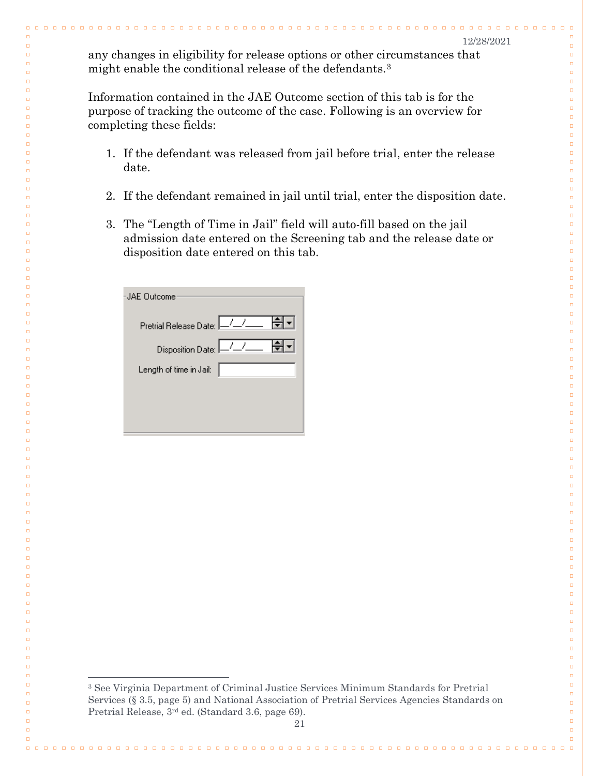$\Box$ 

 $\Box$ 

 $\Box$ 

 $\Box$ 

 $\Box$ 

 $\Box$  $\Box$ 

 $\Box$  $\Box$ 

 $\Box$ 

 $\Box$ 

 $\Box$ 

 $\Box$ 

 $\Box$ 

 $\Box$ 

 $\Box$ 

 $\Box$  $\Box$ 

 $\Box$ 

 $\Box$  $\Box$ 

 $\Box$ 

 $\Box$  $\Box$ 

 $\Box$ 

 $\Box$ 

 $\Box$ 

 $\Box$ 

 $\Box$ 

 $\Box$ 

 $\Box$ 

 $\Box$ 

 $\Box$ 

 $\Box$ 

 $\Box$ 

 $\Box$ 

 $\Box$ 

 $\Box$ 

 $\Box$ 

 $\Box$ 

 $\Box$ 

 $\Box$ 

 $\Box$ 

 $\Box$ 

 $\Box$ 

 $\Box$ 

 $\Box$ 

 $\Box$ 

 $\Box$ 

 $\Box$ 

 $\Box$ 

 $\Box$ 

 $\Box$ 

 $\Box$ 

 $\Box$ 

 $\Box$ 

 $\Box$ 

 $\Box$ 

 $\Box$ 

 $\Box$ 

 $\Box$ 

 $\Box$ 

 $\Box$ 

 $\Box$ 

 $\Box$ 

 $\Box$ 

 $\Box$ 

 $\Box$ 

 $\Box$ 

 $\Box$ 

 $\Box$ 

 $\Box$ 

 $\Box$ 

 $\Box$ 

 $\Box$ 

 $\Box$ 

 $\Box$ 

 $\Box$ 

 $\Box$  $\Box$ 

any changes in eligibility for release options or other circumstances that might enable the conditional release of the defendants.[3](#page-22-0)

Information contained in the JAE Outcome section of this tab is for the purpose of tracking the outcome of the case. Following is an overview for completing these fields:

- 1. If the defendant was released from jail before trial, enter the release date.
- 2. If the defendant remained in jail until trial, enter the disposition date.
- 3. The "Length of Time in Jail" field will auto-fill based on the jail admission date entered on the Screening tab and the release date or disposition date entered on this tab.

| <b>JAF Outcome</b>                 |
|------------------------------------|
| ╣┥<br>Pretrial Release Date: - / / |
| Disposition Date: -/_/__           |
| Length of time in Jail:            |
|                                    |
|                                    |

 $\Box$ 

 $\Box$ 

 $\Box$ 

 $\Box$ 

 $\Box$ 

 $\Box$ 

 $\Box$  $\Box$ 

 $\Box$ 

 $\Box$  $\Box$ 

 $\Box$ 

 $\Box$ 

 $\Box$ 

 $\Box$ 

 $\Box$ 

 $\Box$ 

 $\Box$  $\Box$ 

 $\Box$ 

 $\Box$  $\Box$ 

 $\Box$ 

 $\Box$  $\Box$ 

 $\Box$ 

 $\Box$ 

 $\Box$ 

 $\Box$ 

 $\Box$ 

 $\Box$ 

 $\Box$ 

 $\Box$ 

 $\Box$ 

 $\Box$ 

 $\Box$ 

 $\Box$ 

 $\Box$ 

 $\Box$ 

 $\Box$ 

 $\Box$ 

 $\Box$ 

 $\Box$ 

 $\Box$ 

 $\Box$ 

 $\Box$ 

 $\Box$ 

 $\Box$ 

 $\Box$ 

 $\Box$ 

 $\Box$ 

 $\Box$ 

 $\Box$ 

 $\Box$ 

 $\Box$ 

 $\Box$ 

 $\Box$ 

 $\Box$ 

 $\Box$ 

 $\Box$ 

 $\Box$ 

 $\Box$ 

 $\Box$ 

 $\Box$ 

 $\Box$ 

 $\Box$ 

 $\Box$ 

 $\Box$ 

 $\Box$ 

 $\Box$ 

 $\Box$ 

 $\Box$ 

 $\Box$ 

<span id="page-22-0"></span> $\Box$ 

 $\Box$ 

 $\Box$ 

 $\Box$ 

 $\Box$ 

 $\Box$ 

 <sup>3</sup> See Virginia Department of Criminal Justice Services Minimum Standards for Pretrial Services (§ 3.5, page 5) and National Association of Pretrial Services Agencies Standards on Pretrial Release, 3rd ed. (Standard 3.6, page 69).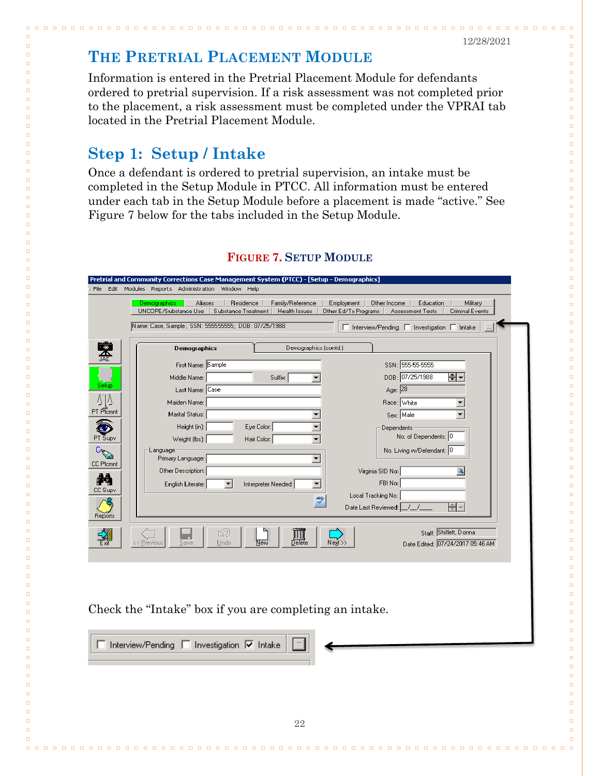<u>n n n n n n n n n</u>

 $\begin{array}{ccc} \textbf{a} & \textbf{a} & \textbf{a} \end{array}$ 

 $\Box$ 

 $\Box$ 

 $\Box$ 

 $\Box$ 

 $\Box$  $\Box$ 

 $\Box$  $\Box$ 

 $\Box$ 

 $\Box$ 

 $\Box$ 

 $\Box$ 

 $\Box$ 

 $\Box$ 

 $\Box$ 

 $\Box$  $\Box$ 

 $\Box$  $\Box$ 

 $\Box$ 

 $\Box$ 

 $\Box$ 

 $\Box$ 

 $\Box$ 

 $\Box$ 

 $\Box$ 

 $\Box$ 

 $\Box$  $\Box$ 

 $\Box$  $\Box$ 

 $\Box$ 

## <span id="page-23-0"></span>**THE PRETRIAL PLACEMENT MODULE**

Information is entered in the Pretrial Placement Module for defendants ordered to pretrial supervision. If a risk assessment was not completed prior to the placement, a risk assessment must be completed under the VPRAI tab located in the Pretrial Placement Module.

0000000000000000000

## <span id="page-23-1"></span>**Step 1: Setup / Intake**

. . . . . . .

 $\Box$ 

 $\Box$ 

 $\Box$ 

 $\Box$ 

 $\Box$ 

 $\Box$  $\Box$ 

 $\Box$ 

 $\Box$ 

 $\Box$ 

 $\Box$  $\Box$ 

 $\Box$ 

 $\Box$ 

 $\Box$ 

 $\Box$ 

 $\Box$  $\Box$ 

 $\Box$ 

 $\Box$  $\Box$ 

 $\Box$ 

 $\Box$ 

 $\Box$ 

 $\Box$ 

 $\Box$ 

 $\Box$ 

Once a defendant is ordered to pretrial supervision, an intake must be completed in the Setup Module in PTCC. All information must be entered under each tab in the Setup Module before a placement is made "active." See Figure 7 below for the tabs included in the Setup Module.

|                  | Residence<br>Family/Reference<br>Employment   Other Income<br>Aliases<br>Education<br>Military<br>Demographics<br>UNCOPE/Substance Use<br>Substance Treatment<br>Health Issues<br>Other Ed/Tx Programs<br>Assessment Tests<br>Criminal Events |
|------------------|-----------------------------------------------------------------------------------------------------------------------------------------------------------------------------------------------------------------------------------------------|
|                  | Name: Case, Sample; SSN: 555555555; DOB: 07/25/1988<br>$\Box$ Interview/Pending $\Box$ Investigation $\Box$ Intake                                                                                                                            |
|                  |                                                                                                                                                                                                                                               |
| 繄                | Demographics (contd.)<br><b>Demographics</b>                                                                                                                                                                                                  |
|                  | SSN: 555-55-5555<br>First Name: Sample                                                                                                                                                                                                        |
|                  | DOB: 07/25/1988<br>≑∣∽<br>Middle Name:<br>Suffix:<br>$\blacktriangledown$                                                                                                                                                                     |
| Setup            | Age: $\sqrt{28}$<br>Last Name: Case                                                                                                                                                                                                           |
| ΔŢΔ              | Maiden Name:<br>Race: White<br>≛                                                                                                                                                                                                              |
| PT Plcmnt        | Marital Status:<br>$Sex$ Male<br>$\blacktriangledown$<br>$\blacktriangledown$                                                                                                                                                                 |
| œ                | Height (in):<br>Eye Color:<br>$\blacktriangledown$<br>Dependents                                                                                                                                                                              |
| PT Supv          | No. of Dependents: 0<br>Weight (lbs): $\vert$<br>Hair Color:<br>$\blacktriangledown$                                                                                                                                                          |
| $c_{\heartsuit}$ | No. Living w/Defendant: 0<br>Language<br>Primary Language:<br>▼                                                                                                                                                                               |
| <b>CC Plomnt</b> | Other Description:<br>Virginia SID No:                                                                                                                                                                                                        |
| М                | FBI No:<br>English Literate:<br>Interpreter Needed:<br>$\overline{\phantom{a}}$<br>▾                                                                                                                                                          |
| CC Supv          | Local Tracking No:                                                                                                                                                                                                                            |
|                  | $\overline{\mathscr{C}}$<br>ᆃ<br>Date Last Reviewed:                                                                                                                                                                                          |
| Reports          |                                                                                                                                                                                                                                               |
|                  | Staff: Shiflett, Donna<br>的                                                                                                                                                                                                                   |
| 쿾                | $\boxed{\frac{\prod\limits_{\text{Delete}}}{\text{Delete}}}$<br>$Ne_2(t)$<br><< Previous<br>$Undo$<br>New<br>Date Edited: 07/24/2017 05:46 AM<br>Save                                                                                         |
|                  |                                                                                                                                                                                                                                               |
|                  |                                                                                                                                                                                                                                               |
|                  |                                                                                                                                                                                                                                               |
|                  |                                                                                                                                                                                                                                               |
|                  | Check the "Intake" box if you are completing an intake.                                                                                                                                                                                       |
|                  |                                                                                                                                                                                                                                               |
|                  |                                                                                                                                                                                                                                               |
|                  | $\Box$ Interview/Pending $\Box$ Investigation $\overline{\nabla}$ Intake                                                                                                                                                                      |
|                  |                                                                                                                                                                                                                                               |
|                  |                                                                                                                                                                                                                                               |
|                  |                                                                                                                                                                                                                                               |
|                  |                                                                                                                                                                                                                                               |
|                  |                                                                                                                                                                                                                                               |

#### **FIGURE 7. SETUP MODULE**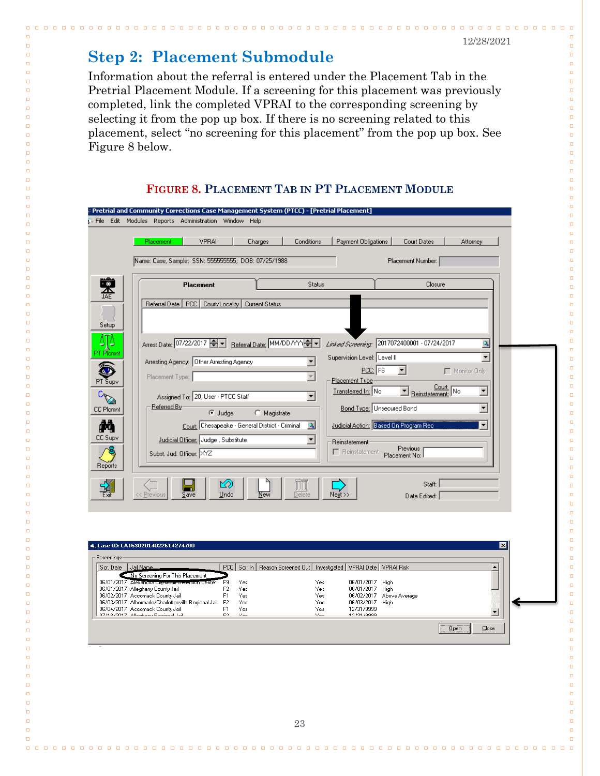. . . . . . . . . . . . . .

 $\Box$ 

 $\Box$ 

 $\Box$  $\overline{a}$ 

 $\Box$  $\Box$ 

 $\Box$ 

 $\Box$ 

 $\Box$ 

 $\Box$ 

 $\Box$ 

 $\Box$ 

 $\Box$ 

 $\Box$ 

 $\Box$ 

 $\Box$  $\Box$ 

 $\Box$ 

 $\Box$ 

 $\Box$ 

 $\Box$ 

 $\Box$ 

 $\Box$ 

 $\Box$ 

 $\Box$ 

 $\Box$ 

 $\Box$ 

 $\Box$ 

 $\Box$ 

 $\Box$ 

 $\Box$ 

 $\Box$ 

 $\Box$ 

 $\Box$ 

 $\Box$ 

 $\Box$ 

 $\Box$ 

 $\Box$ 

 $\Box$ 

 $\Box$ 

 $\Box$ 

 $\Box$ 

 $\Box$ 

 $\Box$ 

 $\Box$ 

 $\Box$ 

 $\Box$ 

 $\Box$ 

 $\Box$ 

 $\Box$ 

 $\Box$ 

 $\Box$ 

 $\Box$ 

 $\Box$ 

 $\Box$  $\Box$ 

 $\Box$ 

 $\Box$ 

 $\Box$ 

 $\Box$ 

 $\Box$ 

 $\Box$ 

 $\Box$ 

 $\Box$ 

 $\Box$ 

 $\Box$ 

 $\Box$ 

 $\Box$ 

 $\Box$ 

 $\Box$ 

 $\Box$  $\Box$ 

 $\Box$ 

 $\Box$ 

 $\Box$ 

 $\Box$ 

 $\Box$ 

 $\Box$ 

 $\Box$ 

## <span id="page-24-0"></span>**Step 2: Placement Submodule**

. . . . . . . . . . . . .

 $\Box$ 

 $\Box$ 

 $\Box$ 

 $\Box$  $\Box$ 

 $\Box$ 

 $\Box$ 

 $\Box$  $\Box$ 

 $\Box$ 

 $\Box$ 

 $\Box$ 

 $\Box$ 

 $\Box$ 

 $\Box$ 

 $\Box$ 

 $\Box$ 

 $\Box$  $\Box$ 

 $\Box$ 

 $\Box$ 

 $\Box$ 

 $\Box$ 

 $\Box$ 

 $\Box$ 

 $\Box$ 

 $\Box$ 

 $\Box$ 

 $\Box$ 

 $\Box$ 

 $\Box$ 

 $\Box$ 

 $\Box$ 

 $\Box$ 

 $\Box$ 

 $\Box$ 

 $\Box$ 

 $\Box$ 

 $\Box$ 

 $\Box$ 

 $\Box$ 

 $\Box$ 

 $\Box$ 

 $\Box$ 

 $\Box$ 

 $\Box$ 

 $\Box$ 

 $\Box$ 

 $\Box$ 

 $\Box$ 

 $\Box$ 

 $\Box$ 

 $\Box$ 

 $\Box$ 

 $\Box$ 

 $\Box$  $\Box$ 

 $\Box$ 

 $\Box$ 

 $\Box$ 

 $\Box$ 

 $\Box$ 

 $\Box$ 

 $\Box$ 

 $\Box$ 

 $\Box$ 

 $\Box$ 

 $\Box$ 

 $\Box$ 

 $\Box$ 

 $\Box$ 

 $\Box$  $\Box$ 

 $\Box$ 

 $\Box$ 

 $\Box$ 

 $\Box$ 

 $\Box$ 

 $\Box$ 

Information about the referral is entered under the Placement Tab in the Pretrial Placement Module. If a screening for this placement was previously completed, link the completed VPRAI to the corresponding screening by selecting it from the pop up box. If there is no screening related to this placement, select "no screening for this placement" from the pop up box. See Figure 8 below.

0000000000000000

**FIGURE 8. PLACEMENT TAB IN PT PLACEMENT MODULE**

|                                                                     | File Edit Modules Reports Administration Window Help     |                                                                            |                             |                                              |                           |
|---------------------------------------------------------------------|----------------------------------------------------------|----------------------------------------------------------------------------|-----------------------------|----------------------------------------------|---------------------------|
| Placement                                                           | <b>VPRAI</b>                                             | Charges<br>Conditions                                                      | Payment Obligations         | Court Dates                                  | Attorney                  |
|                                                                     | Name: Case, Sample; SSN: 555555555; DOB: 07/25/1988      |                                                                            |                             | Placement Number:                            |                           |
|                                                                     |                                                          |                                                                            |                             |                                              |                           |
| 嗓                                                                   | Placement                                                | Status                                                                     |                             | Closure                                      |                           |
|                                                                     | Referral Date   PCC  <br>Court/Locality   Current Status |                                                                            |                             |                                              |                           |
| Setup                                                               |                                                          |                                                                            |                             |                                              |                           |
| 4]4                                                                 | Arrest Date: 07/22/2017 - Referral Date: MM/DD/YYY       |                                                                            |                             | Linked Screening: 2017072400001 - 07/24/2017 |                           |
| PT Plamnt                                                           |                                                          |                                                                            | Supervision Level: Level II |                                              | ٩<br>$\blacktriangledown$ |
|                                                                     | Arresting Agency:   Other Arresting Agency               | ÷                                                                          | $PCC$ : $F6$                | ▾                                            | Monitor Only              |
| PT Supv                                                             | Placement Type:                                          | $\overline{\nabla}$                                                        | Placement Type              |                                              |                           |
| Cappell                                                             | Assigned To: 20, User - PTCC Staff                       | $\blacktriangledown$                                                       | Transferred In: No          | Reinstatement: No                            | $\blacktriangledown$      |
| CC Plcmnt                                                           | Referred By<br>C Judge                                   | C Magistrate                                                               |                             | Bond Type: Unsecured Bond                    | $\blacktriangledown$      |
| М                                                                   | Court: Chesapeake - General District - Criminal          | $\mathcal{D}_\mathbf{a}$                                                   |                             | Judicial Action: Based On Program Rec        | ▼                         |
| CC Supv                                                             | Judicial Officer: Judge, Substitute                      | $\blacktriangledown$                                                       | Reinstatement               | Previous                                     |                           |
|                                                                     | Subst. Jud. Officer: XYZ                                 |                                                                            |                             | F Reinstatement Placement No:                |                           |
| Reports                                                             |                                                          |                                                                            |                             |                                              |                           |
| 꾆<br><< Previous                                                    | ⊠<br>m.<br>Undo<br>Save                                  | 川順<br>Delete<br>New                                                        | $N$ ext >>                  | Staff:<br>Date Edited:                       |                           |
|                                                                     |                                                          |                                                                            |                             |                                              |                           |
|                                                                     |                                                          |                                                                            |                             |                                              |                           |
|                                                                     |                                                          |                                                                            |                             |                                              |                           |
| ិន្ន, Case ID: CA16302014022614274700                               |                                                          |                                                                            |                             |                                              | $\overline{\mathbf{x}}$   |
| Screenings<br>Jail Name<br>Scr. Date                                |                                                          | PCC Scr. In   Reason Screened Out   Investigated   VPRAI Date   VPRAI Risk |                             |                                              |                           |
| 06/01/2017 Alexandria City Addit Determini Center                   | No Screening For This Placement<br>F9<br>Yes             | Yes                                                                        | 06/01/2017 High             |                                              |                           |
| 06/01/2017 Alleghany County Jail<br>06/02/2017 Accomack County Jail | F2<br>Yes<br>F1<br>Yes                                   | Yes<br>Yes                                                                 | 06/01/2017 High             | 06/02/2017 Above Average                     |                           |

Yes

Yes

06/03/2017 High<br>12/31/9999

 $\sqrt{\frac{0}{2}}$ pen

 $Close$ 

 $12/21/0000$ 

 $F<sub>2</sub>$ Yes<br>Yes

06/03/2017 Albermarle/Charlottesville Regional Jail<br>06/03/2017 Albermarle/Charlottesville Regional Jail<br>06/04/2017 Albertanu Paginaal Isil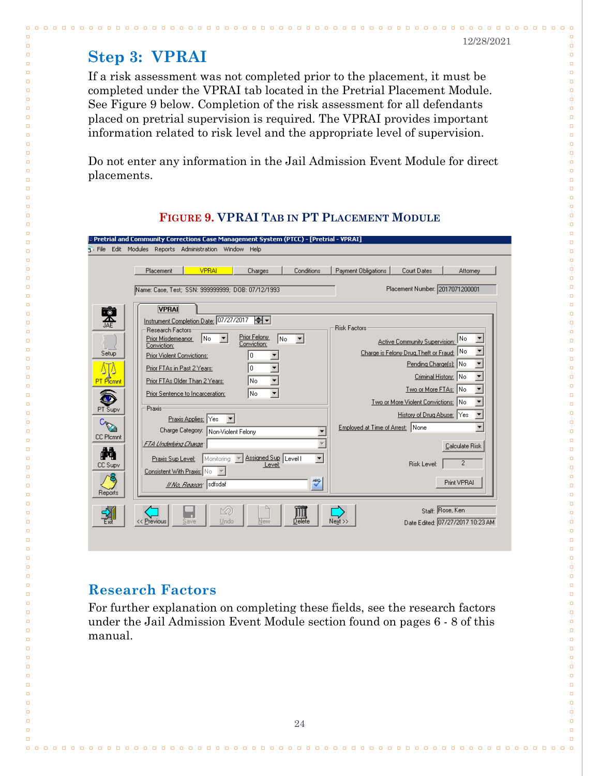. . .

 $\Box$ 

 $\Box$ 

 $\Box$ 

 $\Box$ 

 $\Box$  $\Box$ 

 $\Box$  $\Box$ 

 $\Box$ 

 $\Box$ 

 $\Box$ 

 $\Box$ 

 $\Box$ 

 $\Box$ 

 $\Box$ 

 $\Box$  $\Box$ 

 $\Box$  $\Box$ 

 $\Box$ 

 $\Box$ 

 $\Box$ 

 $\Box$ 

 $\Box$ 

 $\Box$ 

 $\Box$ 

 $\Box$ 

 $\Box$ 

 $\Box$ 

 $\Box$ 

 $\Box$  $\Box$ 

 $\Box$ 

 $\Box$ 

 $\Box$ 

 $\Box$ 

 $\Box$ 

 $\Box$ 

 $\Box$ 

 $\Box$ 

 $\Box$ 

 $\Box$ 

 $\Box$ 

 $\Box$ 

 $\Box$ 

 $\Box$ 

 $\Box$ 

 $\Box$ 

 $\Box$ 

 $\Box$ 

 $\Box$ 

 $\Box$ 

 $\Box$ 

 $\Box$ 

 $\Box$ 

 $\Box$ 

 $\Box$ 

 $\Box$ 

 $\Box$ 

 $\Box$ 

 $\Box$ 

 $\Box$  $\Box$ 

 $\Box$ 

 $\Box$ 

 $\Box$ 

 $\Box$ 

 $\Box$ 

 $\Box$ 

 $\Box$  $\Box$ 

 $\Box$ 

 $\Box$ 

 $\Box$ 

 $\Box$ 

 $\Box$ 

 $\Box$ 

 $\Box$ 

 $\Box$ 

## <span id="page-25-0"></span>**Step 3: VPRAI**

 $\Box$  $\Box$ 

 $\Box$ 

 $\Box$ 

 $\Box$ 

 $\Box$ 

 $\Box$ 

 $\Box$  $\Box$ 

 $\Box$ 

 $\Box$ 

 $\Box$ 

 $\Box$  $\Box$ 

 $\Box$ 

 $\Box$ 

 $\Box$ 

 $\Box$ 

 $\Box$  $\Box$ 

 $\Box$  $\Box$ 

 $\Box$ 

 $\Box$ 

 $\Box$ 

 $\Box$ 

 $\Box$ 

 $\Box$ 

 $\Box$ 

 $\Box$ 

 $\Box$ 

 $\Box$ 

 $\Box$ 

 $\Box$ 

 $\Box$  $\Box$ 

 $\Box$ 

 $\Box$ 

 $\Box$ 

 $\Box$ 

 $\Box$ 

 $\Box$ 

 $\Box$ 

 $\Box$ 

 $\Box$ 

 $\Box$ 

 $\Box$ 

 $\Box$ 

 $\Box$ 

 $\Box$ 

 $\Box$ 

 $\Box$ 

 $\Box$ 

 $\Box$ 

 $\Box$ 

 $\Box$ 

 $\Box$ 

 $\Box$ 

 $\Box$ 

 $\Box$ 

 $\Box$ 

 $\Box$ 

 $\Box$ 

 $\Box$ 

 $\Box$  $\Box$ 

 $\Box$ 

 $\Box$ 

 $\Box$ 

 $\Box$ 

 $\Box$ 

 $\Box$ 

 $\Box$  $\Box$ 

 $\Box$ 

 $\Box$ 

 $\Box$ 

 $\Box$ 

 $\Box$ 

 $\Box$ 

 $\Box$ 

If a risk assessment was not completed prior to the placement, it must be completed under the VPRAI tab located in the Pretrial Placement Module. See Figure 9 below. Completion of the risk assessment for all defendants placed on pretrial supervision is required. The VPRAI provides important information related to risk level and the appropriate level of supervision.

<u>. . . . . . . . . . . . .</u>

Do not enter any information in the Jail Admission Event Module for direct placements.

| Pretrial and Community Corrections Case Management System (PTCC) - [Pretrial - VPRAI]                                                                                                                                                                                                                                                                                                                                                                                 |                                                                                                                                                                                                                                                                                            |
|-----------------------------------------------------------------------------------------------------------------------------------------------------------------------------------------------------------------------------------------------------------------------------------------------------------------------------------------------------------------------------------------------------------------------------------------------------------------------|--------------------------------------------------------------------------------------------------------------------------------------------------------------------------------------------------------------------------------------------------------------------------------------------|
| File Edit Modules Reports Administration Window Help                                                                                                                                                                                                                                                                                                                                                                                                                  |                                                                                                                                                                                                                                                                                            |
| <b>VPRAI</b><br>Conditions<br>Placement<br>Charges                                                                                                                                                                                                                                                                                                                                                                                                                    | Payment Obligations<br>Court Dates<br>Attorney                                                                                                                                                                                                                                             |
| Name: Case, Test; SSN: 999999999; DOB: 07/12/1993                                                                                                                                                                                                                                                                                                                                                                                                                     | Placement Number: 2017071200001                                                                                                                                                                                                                                                            |
| <b>VPRAI</b><br>奧<br>Instrument Completion Date: 07/27/2017<br>ᆃ▏┑<br>Research Factors:<br>Prior Felony<br>INo.<br>Prior Misdemeanor<br>No.<br>$\blacksquare$<br>Conviction:<br>Conviction:<br>Setup<br>Prior Violent Convictions:<br>Ū<br>0<br>Prior FTAs in Past 2 Years:<br>No<br><b>PT</b> Plannt<br>Prior FTAs Older Than 2 Years:<br> No<br>Prior Sentence to Incarceration:<br>Praxis<br>PT Supv<br>Praxis Applies: Yes<br>Charge Category: Non-Violent Felony | <b>Risk Factors</b><br> No<br>Active Community Supervision:<br>Charge is Felony Drug, Theft or Fraud: No<br>Pending Charge[s]: No<br>Criminal History: No<br>Two or More FTAs: No<br>Two or More Violent Convictions: No<br>History of Drug Abuse: Yes<br>Employed at Time of Arrest: None |
| <b>CC Plcmnt</b><br>FTA Underlying Change<br>φã<br>$\overline{\phantom{0}}$<br>Assigned Sup Level I<br>Monitoring T<br>Praxis Sup Level:<br>CC Supv<br>Consistent With Praxis: No<br><b>ABC</b><br><u> If Na, Reasan</u> : sdfsdaf<br>Reports<br>$\circledcirc$<br>Delete<br><< Previous<br>Undo<br>New<br>Save                                                                                                                                                       | Calculate Risk<br>$\overline{c}$<br>Risk Level:<br>Print VPRAI<br>Staff: Rose, Ken<br>Date Edited: 07/27/2017 10:23 AM<br>Next >>                                                                                                                                                          |

### **FIGURE 9. VPRAI TAB IN PT PLACEMENT MODULE**

### <span id="page-25-1"></span>**Research Factors**

For further explanation on completing these fields, see the research factors under the Jail Admission Event Module section found on pages 6 - 8 of this manual.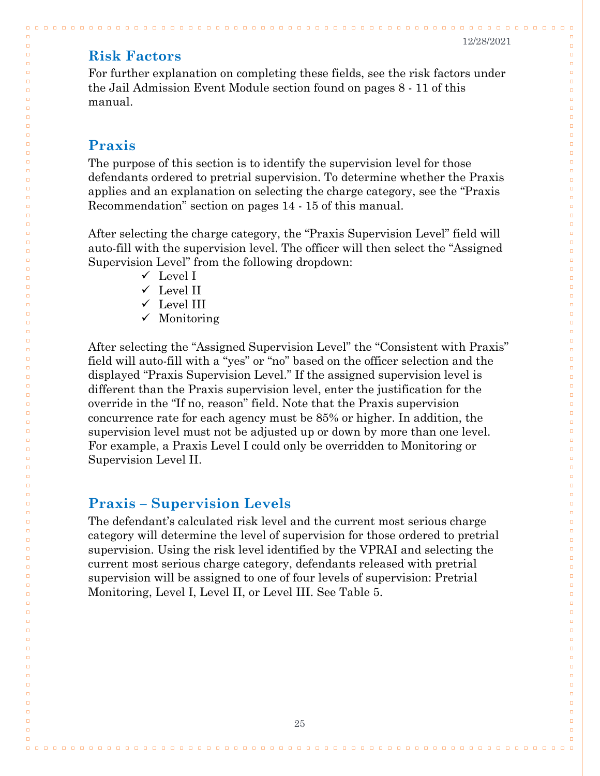$0000$ 

 $\Box$ 

 $\Box$ 

 $\Box$ 

 $\Box$ 

 $\Box$  $\Box$ 

 $\Box$  $\Box$ 

 $\Box$  $\Box$ 

 $\Box$ 

 $\Box$ 

 $\Box$ 

 $\Box$ 

 $\Box$ 

 $\Box$  $\Box$ 

 $\Box$  $\Box$ 

 $\Box$ 

 $\Box$  $\Box$ 

 $\Box$ 

 $\Box$ 

 $\Box$ 

 $\Box$ 

 $\Box$ 

 $\Box$ 

 $\Box$ 

 $\Box$ 

 $\Box$  $\Box$ 

 $\Box$ 

 $\Box$ 

 $\Box$ 

 $\Box$ 

 $\Box$  $\Box$ 

 $\Box$ 

 $\Box$ 

 $\Box$  $\Box$ 

 $\Box$ 

 $\Box$  $\Box$ 

 $\Box$  $\Box$ 

 $\Box$  $\Box$ 

 $\Box$ 

 $\Box$ 

 $\Box$ 

 $\Box$ 

 $\Box$  $\Box$ 

 $\Box$  $\Box$ 

 $\Box$ 

 $\Box$ 

 $\Box$  $\Box$ 

 $\Box$  $\Box$ 

 $\Box$ 

 $\Box$ 

 $\Box$ 

 $\Box$ 

 $\Box$ 

 $\Box$ 

 $\Box$ 

 $\Box$ 

 $\Box$ 

 $\Box$ 

 $\Box$ 

 $\Box$ 

 $\Box$ 

 $\Box$ 

 $\Box$  $\Box$ 

### <span id="page-26-0"></span>**Risk Factors**

For further explanation on completing these fields, see the risk factors under the Jail Admission Event Module section found on pages 8 - 11 of this manual.

### <span id="page-26-1"></span>**Praxis**

 $\Box \quad \Box$ 

 $\Box$ 

 $\Box$ 

 $\Box$ 

 $\Box$ 

 $\Box$ 

 $\Box$  $\Box$ 

 $\Box$  $\Box$ 

 $\Box$ 

 $\Box$  $\Box$ 

 $\Box$ 

 $\Box$ 

 $\Box$ 

 $\Box$ 

 $\Box$  $\Box$ 

 $\Box$ 

 $\Box$  $\Box$ 

 $\Box$ 

 $\Box$  $\Box$ 

 $\Box$ 

 $\Box$ 

 $\Box$ 

 $\Box$ 

 $\Box$ 

 $\Box$ 

 $\Box$ 

 $\Box$ 

 $\Box$  $\Box$ 

 $\Box$ 

 $\Box$ 

 $\Box$ 

 $\Box$  $\Box$ 

 $\Box$ 

 $\Box$ 

 $\Box$ 

 $\Box$  $\Box$ 

 $\Box$  $\Box$ 

 $\Box$  $\Box$ 

 $\Box$  $\Box$ 

 $\Box$ 

 $\Box$ 

 $\Box$ 

 $\Box$ 

 $\Box$  $\Box$ 

 $\Box$ 

 $\Box$  $\Box$ 

 $\Box$ 

 $\Box$  $\Box$ 

 $\Box$  $\Box$ 

 $\Box$ 

 $\Box$ 

 $\Box$ 

 $\Box$ 

 $\Box$ 

 $\Box$ 

 $\Box$ 

 $\Box$ 

 $\Box$ 

 $\Box$ 

 $\Box$ 

 $\Box$ 

 $\Box$ 

 $\Box$ 

The purpose of this section is to identify the supervision level for those defendants ordered to pretrial supervision. To determine whether the Praxis applies and an explanation on selecting the charge category, see the "Praxis Recommendation" section on pages 14 - 15 of this manual.

After selecting the charge category, the "Praxis Supervision Level" field will auto-fill with the supervision level. The officer will then select the "Assigned Supervision Level" from the following dropdown:

- $\checkmark$  Level I
- $\checkmark$  Level II
- $\checkmark$  Level III
- $\checkmark$  Monitoring

After selecting the "Assigned Supervision Level" the "Consistent with Praxis" field will auto-fill with a "yes" or "no" based on the officer selection and the displayed "Praxis Supervision Level." If the assigned supervision level is different than the Praxis supervision level, enter the justification for the override in the "If no, reason" field. Note that the Praxis supervision concurrence rate for each agency must be 85% or higher. In addition, the supervision level must not be adjusted up or down by more than one level. For example, a Praxis Level I could only be overridden to Monitoring or Supervision Level II.

#### <span id="page-26-2"></span>**Praxis – Supervision Levels**

The defendant's calculated risk level and the current most serious charge category will determine the level of supervision for those ordered to pretrial supervision. Using the risk level identified by the VPRAI and selecting the current most serious charge category, defendants released with pretrial supervision will be assigned to one of four levels of supervision: Pretrial Monitoring, Level I, Level II, or Level III. See Table 5.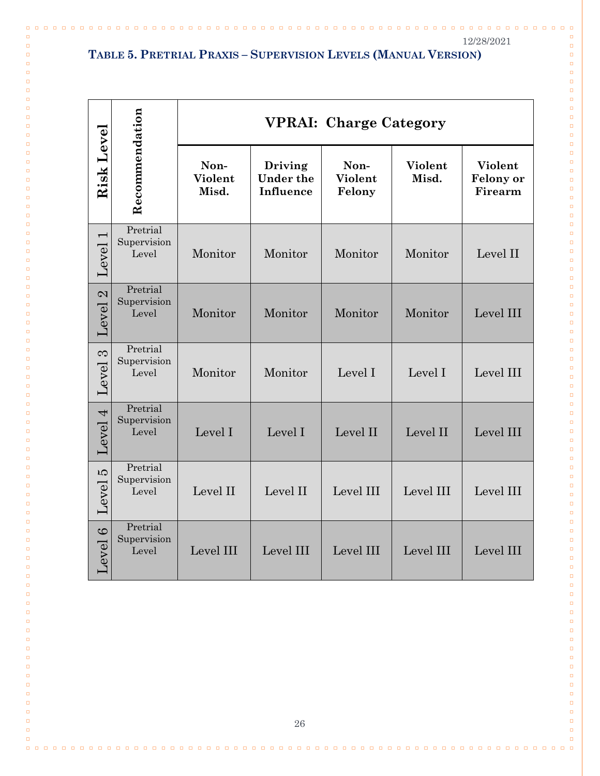$\Box$  $\Box$ 

 $\Box$  $\Box$ 

 $\Box$  $\Box$ 

 $\Box$  $\Box$ 

 $\Box$ 

 $\Box$ 

 $\Box$  $\Box$ 

 $\Box$ 

 $\Box$ 

 $\Box$ 

 $\Box$  $\Box$ 

 $\Box$ 

 $\Box$ 

 $\Box$ 

 $\Box$ 

 $\Box$  $\Box$ 

 $\Box$ 

 $\Box$ 

 $\Box$ 

 $\Box$ 

 $\Box$ 

 $\Box$  $\Box$ 

 $\Box$ 

 $\Box$ 

 $\Box$  $\Box$ 

 $\Box$  $\Box$ 

 $\Box$  $\Box$ 

 $\Box$ 

 $\Box$ 

 $\Box$ 

 $\Box$ 

 $\Box$ 

 $\Box$  $\Box$ 

 $\Box$ 

 $\Box$  $\Box$ 

 $\Box$  $\Box$ 

 $\Box$ 

 $\Box$ 

 $\Box$  $\Box$ 

 $\Box$  $\Box$ 

 $\Box$ 

 $\Box$ 

 $\Box$ 

 $\Box$ 

 $\Box$  $\Box$ 

 $\Box$  $\Box$ 

 $\Box$  $\Box$ 

 $\Box$ 

 $\Box$ 

 $\Box$ 

 $\Box$ 

 $\Box$ 

 $\Box$ 

 $\Box$ 

 $\Box$  $\Box$ 

 $\Box$ 

 $\Box$ 

 $\Box$ 

 $\Box$ 

### **TABLE 5. PRETRIAL PRAXIS – SUPERVISION LEVELS (MANUAL VERSION)**

 $\Box$ 

 $\Box$  $\Box$ 

 $\Box$  $\Box$ 

 $\Box$  $\Box$ 

 $\Box$  $\Box$ 

 $\Box$ 

 $\Box$ 

 $\Box$ 

 $\Box$  $\Box$ 

 $\Box$ 

 $\Box$ 

 $\Box$  $\Box$ 

 $\Box$ 

 $\Box$ 

 $\Box$ 

 $\Box$ 

 $\Box$ 

 $\Box$  $\Box$ 

 $\Box$ 

 $\Box$ 

 $\Box$ 

 $\Box$ 

 $\Box$  $\Box$ 

 $\Box$ 

 $\Box$ 

 $\Box$  $\Box$ 

 $\Box$  $\Box$ 

 $\Box$ 

 $\Box$ 

 $\Box$  $\Box$ 

 $\Box$ 

 $\Box$ 

 $\Box$ 

 $\Box$  $\Box$ 

 $\Box$ 

 $\Box$  $\Box$ 

 $\Box$ 

 $\Box$  $\Box$ 

 $\Box$ 

 $\Box$  $\Box$ 

 $\Box$ 

 $\Box$ 

 $\Box$ 

 $\Box$ 

 $\Box$  $\Box$ 

 $\Box$  $\Box$ 

 $\Box$  $\Box$ 

 $\Box$ 

 $\Box$ 

 $\Box$  $\Box$ 

 $\Box$ 

 $\Box$ 

 $\Box$ 

 $\Box$ 

 $\Box$ 

 $\Box$ 

 $\Box$ 

 $\Box$ 

 $\Box$  $\Box$ 

| Risk Level                        |                                  |                          |                                   |                           | <b>VPRAI: Charge Category</b> |                                        |  |
|-----------------------------------|----------------------------------|--------------------------|-----------------------------------|---------------------------|-------------------------------|----------------------------------------|--|
|                                   | Recommendation                   | Non-<br>Violent<br>Misd. | Driving<br>Under the<br>Influence | Non-<br>Violent<br>Felony | Violent<br>Misd.              | Violent<br><b>Felony</b> or<br>Firearm |  |
| $\overline{\phantom{0}}$<br>Level | Pretrial<br>Supervision<br>Level | Monitor                  | Monitor                           | Monitor                   | Monitor                       | Level II                               |  |
| Level <sub>2</sub>                | Pretrial<br>Supervision<br>Level | Monitor                  | Monitor                           | Monitor                   | Monitor                       | Level III                              |  |
| $\infty$<br>Level                 | Pretrial<br>Supervision<br>Level | Monitor                  | Monitor                           | Level I                   | Level I                       | Level III                              |  |
| Level 4                           | Pretrial<br>Supervision<br>Level | Level I                  | Level I                           | Level II                  | Level II                      | Level III                              |  |
| <b>LQ</b><br>Level                | Pretrial<br>Supervision<br>Level | Level II                 | Level II                          | Level III                 | Level III                     | Level III                              |  |
| Level 6                           | Pretrial<br>Supervision<br>Level | Level III                | Level III                         | Level III                 | Level III                     | Level III                              |  |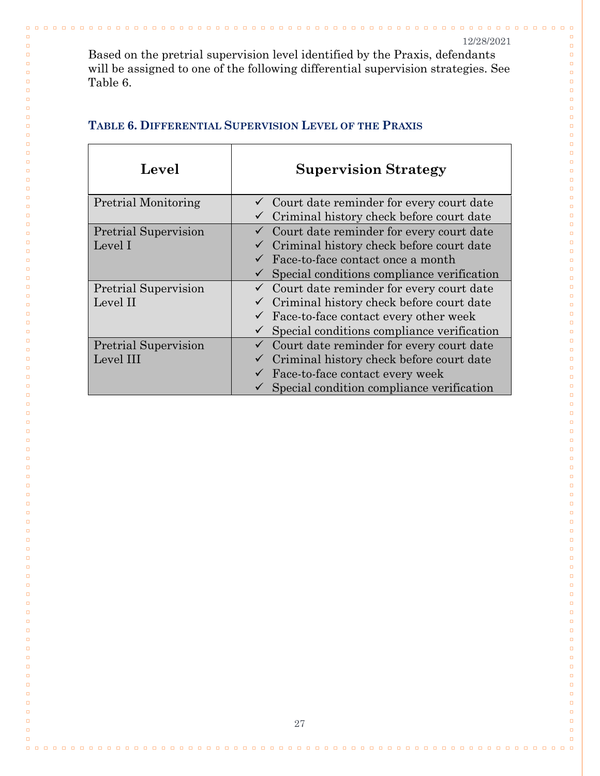$\Box$  $\Box$ 

 $\Box$  $\Box$ 

 $\Box$  $\Box$ 

 $\Box$  $\Box$ 

 $\Box$ 

 $\Box$ 

 $\Box$ 

 $\Box$  $\Box$ 

 $\Box$ 

 $\Box$ 

 $\Box$  $\Box$ 

 $\Box$ 

 $\Box$ 

 $\Box$  $\Box$ 

 $\Box$ 

 $\Box$ 

 $\Box$  $\Box$ 

 $\Box$ 

 $\Box$ 

 $\Box$ 

 $\Box$  $\Box$ 

 $\Box$  $\Box$ 

 $\Box$  $\Box$ 

 $\Box$ 

 $\Box$ 

 $\Box$ 

 $\Box$ 

 $\Box$ 

 $\Box$ 

 $\Box$ 

 $\Box$ 

 $\Box$ 

 $\Box$ 

 $\Box$ 

 $\Box$ 

 $\Box$ 

 $\Box$ 

 $\Box$ 

 $\Box$ 

 $\Box$ 

 $\Box$ 

 $\Box$ 

 $\Box$ 

 $\Box$ 

 $\Box$ 

 $\Box$ 

 $\Box$ 

 $\Box$ 

 $\Box$ 

 $\Box$ 

 $\Box$ 

 $\Box$ 

 $\Box$ 

 $\Box$ 

 $\Box$ 

 $\Box$ 

 $\Box$ 

 $\Box$ 

 $\Box$ 

 $\Box$  $\Box$ 

 $\Box$ 

 $\Box$ 

 $\Box$ 

 $\Box$ 

 $\Box$ 

 $\Box$ 

 $\Box$ 

Based on the pretrial supervision level identified by the Praxis, defendants will be assigned to one of the following differential supervision strategies. See Table 6.

| Level                       | <b>Supervision Strategy</b>                           |
|-----------------------------|-------------------------------------------------------|
| <b>Pretrial Monitoring</b>  | Court date reminder for every court date              |
|                             | Criminal history check before court date              |
| <b>Pretrial Supervision</b> | $\checkmark$ Court date reminder for every court date |
| Level I                     | Criminal history check before court date              |
|                             | Face-to-face contact once a month                     |
|                             | Special conditions compliance verification            |
| <b>Pretrial Supervision</b> | Court date reminder for every court date              |
| Level II                    | Criminal history check before court date              |
|                             | Face-to-face contact every other week                 |
|                             | Special conditions compliance verification            |
| <b>Pretrial Supervision</b> | Court date reminder for every court date              |
| Level III                   | Criminal history check before court date              |
|                             | Face-to-face contact every week                       |
|                             | Special condition compliance verification             |

#### **TABLE 6. DIFFERENTIAL SUPERVISION LEVEL OF THE PRAXIS**

 $\Box$   $\Box$ 

 $\Box$ 

 $\Box$  $\Box$ 

 $\Box$  $\Box$ 

> $\Box$  $\Box$

 $\Box$  $\Box$ 

 $\Box$ 

 $\Box$ 

 $\Box$ 

 $\Box$ 

 $\Box$ 

 $\Box$  $\Box$ 

 $\Box$  $\Box$ 

 $\Box$ 

 $\Box$ 

 $\Box$  $\Box$ 

 $\Box$ 

 $\Box$ 

 $\Box$ 

 $\Box$ 

 $\Box$  $\Box$ 

 $\Box$ 

 $\Box$  $\Box$ 

 $\Box$  $\Box$ 

 $\Box$  $\Box$ 

 $\Box$ 

 $\Box$ 

 $\Box$ 

 $\Box$ 

 $\Box$ 

 $\Box$ 

 $\Box$ 

 $\Box$ 

 $\Box$ 

 $\Box$ 

 $\Box$ 

 $\Box$ 

 $\Box$ 

 $\Box$ 

 $\Box$ 

 $\Box$ 

 $\Box$ 

 $\Box$ 

 $\Box$ 

 $\Box$ 

 $\Box$ 

 $\Box$ 

 $\Box$ 

 $\Box$ 

 $\Box$ 

 $\Box$ 

 $\Box$ 

 $\Box$ 

 $\Box$ 

 $\Box$ 

 $\Box$ 

 $\Box$ 

 $\Box$ 

 $\Box$ 

 $\Box$ 

 $\Box$ 

 $\Box$  $\Box$ 

 $\Box$ 

 $\Box$ 

 $\Box$ 

 $\Box$ 

 $\Box$ 

 $\Box$ 

0000000000000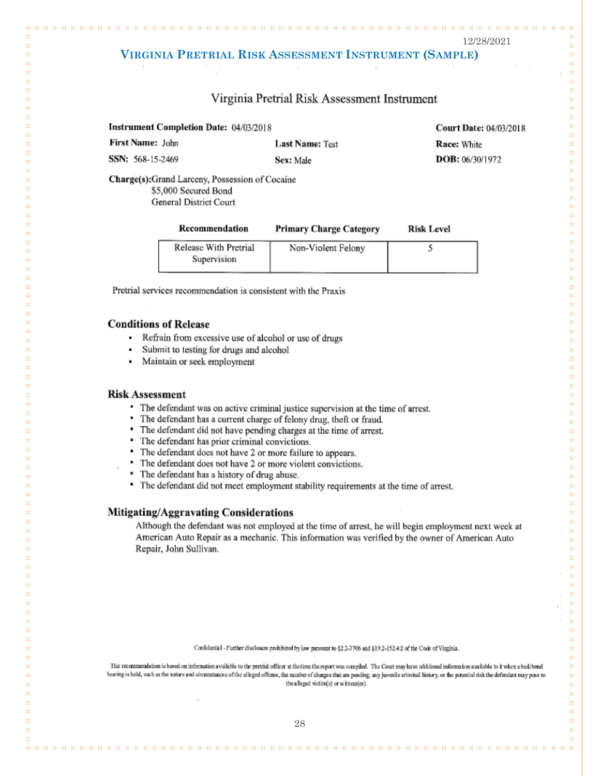$\Box$   $\Box$ 

 $\Box$ 

 $\Box$ 

 $\Box$ 

 $\Box$  $\Box$ 

 $\Box$ 

 $\Box$ 

 $\Box$ 

 $\Box$ 

 $\Box$ 

 $\Box$ 

 $\Box$ 

 $\Box$ 

 $\Box$ 

 $\Box$ 

 $\Box$ 

 $\Box$ 

 $\Box$ 

 $\Box$ 

 $\Box$ 

 $\Box$ 

 $\Box$ 

 $\Box$ 

 $\Box$ 

 $\Box$ 

 $\Box$ 

 $\Box$ 

 $\Box$ 

 $\Box$ 

 $\Box$ 

 $\Box$ 

 $\Box$ 

 $\Box$ 

 $\Box$ 

 $\Box$ 

 $\Box$ 

 $\Box$ 

 $\Box$ 

 $\Box$ 

 $\Box$ 

 $\Box$  $\Box$ 

 $\Box$ 

 $\Box$ 

 $\Box$ 

 $\Box$  $\Box$ 

 $\Box$ 

 $\Box$ 

 $\Box$ 

 $\Box$ 

 $\Box$  $\Box$ 

 $\Box$ 

 $\Box$ 

 $\Box$ 

 $\Box$ 

 $\Box$ 

 $\Box$ 

 $\Box$  $\Box$ 

 $\Box$  $\Box$ 

 $\Box$ 

 $\Box$  $\Box$ 

 $\Box$ 

 $\Box$ 

 $\Box$ 

 $\Box$ 

 $\Box$ 

 $\Box$ 

 $\Box$ 

 $\Box$  $\Box$ 

 $\Box$ 

 $\Box$ 

 $\Box$  $\Box$ 

#### <span id="page-29-0"></span>**VIRGINIA PRETRIAL RISK ASSESSMENT INSTRUMENT (SAMPLE)**

#### Virginia Pretrial Risk Assessment Instrument

|  | <b>Instrument Completion Date: 04/03/2018</b> |  |  |
|--|-----------------------------------------------|--|--|
|--|-----------------------------------------------|--|--|

First Name: John SSN: 568-15-2469

 $\Box$ 

 $\Box$ 

 $\Box$ 

 $\Box$ 

 $\Box$ 

 $\Box$ 

 $\Box$ 

 $\Box$ 

 $\Box$ 

 $\Box$ 

 $\Box$ 

 $\Box$ 

 $\Box$ 

 $\Box$ 

 $\Box$ 

ö

 $\Box$  $\Box$ 

 $\Box$ 

 $\Box$ 

 $\Box$ 

 $\Box$ 

 $\Box$ 

 $\Box$ 

 $\Box$ 

 $\Box$ 

 $\Box$ 

 $\Box$ 

 $\Box$ 

 $\Box$ 

 $\Box$ 

 $\Box$ 

 $\Box$ 

 $\Box$ 

 $\Box$ 

 $\Box$ 

 $\Box$ 

 $\Box$ 

 $\Box$ 

 $\Box$ 

 $\Box$ 

 $\Box$ 

 $\Box$ 

 $\Box$ 

 $\Box$  $\Box$ 

 $\Box$ 

 $\Box$ 

 $\Box$ 

 $\Box$ 

 $\Box$  $\Box$ 

 $\Box$ 

 $\Box$ 

 $\Box$ 

 $\Box$ 

 $\Box$ 

 $\Box$  $\Box$ 

 $\Box$ 

 $\Box$  $\Box$ 

> $\Box$  $\Box$

> $\Box$

 $\Box$  $\Box$ 

 $\overline{a}$ 

 $\Box$ 

 $\Box$ 

 $\Box$ 

 $\Box$ 

 $\Box$  $\Box$ 

 $\Box$  $\Box$ 

 $\Box$ 

 $\Box$ 

 $\Box$ 

**Last Name: Test** 

Sex: Male

**Court Date: 04/03/2018** Race: White

DOB: 06/30/1972

Charge(s);Grand Larceny, Possession of Cocaine \$5,000 Secured Bond General District Court

| Recommendation                       | <b>Primary Charge Category</b> | <b>Risk Level</b> |  |
|--------------------------------------|--------------------------------|-------------------|--|
| Release With Pretrial<br>Supervision | Non-Violent Felony             |                   |  |

Pretrial services recommendation is consistent with the Praxis

#### **Conditions of Release**

- $\blacksquare$ Refrain from excessive use of alcohol or use of drugs
- Submit to testing for drugs and alcohol
- Maintain or seek employment  $\blacksquare$

#### **Risk Assessment**

- The defendant was on active criminal justice supervision at the time of arrest.
- The defendant has a current charge of felony drug, theft or fraud.
- ٠ The defendant did not have pending charges at the time of arrest.
- The defendant has prior criminal convictions.
- The defendant does not have 2 or more failure to appears,
- " The defendant does not have 2 or more violent convictions.
- The defendant has a history of drug abuse.
- The defendant did not meet employment stability requirements at the time of arrest.

#### **Mitigating/Aggravating Considerations**

Although the defendant was not employed at the time of arrest, he will begin employment next week at American Auto Repair as a mechanic. This information was verified by the owner of American Auto Repair, John Sullivan.

Confidential - Further disclosure prohibited by law pursuant to §2.2-3706 and §19.2-152.4:2 of the Code of Virginia.

This recommendation is based on information available to the pretrial officer at the time the report was compiled. The Court may have additional information available to it when a bail/bend hearing is held, such as the nature and circumstances of the alleged offense, the number of changes that are pending, any juvenile criminal history, or the potential risk the defendant may pose to the alleged victim(s) or witnessles).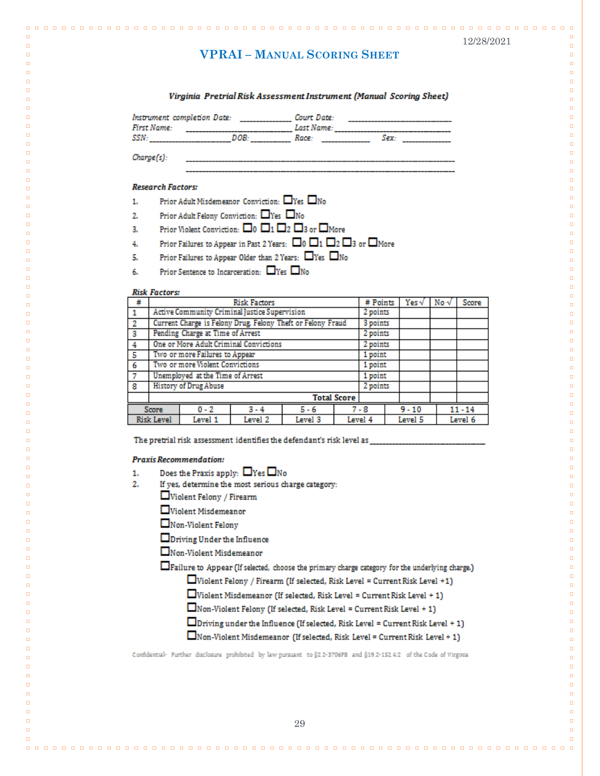$\Box$ 

 $\Box$ 

 $\Box$  $\Box$ 

 $\Box$  $\Box$ 

 $\Box$ 

 $\Box$ 

 $\Box$ 

 $\Box$  $\Box$ 

 $\Box$ 

 $\Box$ 

 $\Box$ 

 $\Box$ 

 $\Box$  $\Box$ 

 $\Box$ 

 $\Box$ 

 $\Box$ 

 $\Box$ 

 $\Box$ 

 $\Box$ 

 $\Box$ 

 $\Box$ 

 $\Box$ 

 $\Box$ 

 $\Box$ 

 $\Box$ 

 $\Box$ 

 $\Box$ 

 $\Box$ 

 $\Box$  $\Box$ 

 $\Box$ 

 $\Box$ 

 $\Box$ 

 $\Box$ 

 $\Box$ 

 $\Box$ 

 $\Box$ 

 $\Box$ 

 $\Box$ 

 $\Box$ 

 $\Box$ 

 $\Box$ 

 $\Box$ 

 $\Box$ 

 $\Box$ 

 $\Box$ 

 $\Box$ 

 $\Box$ 

 $\Box$ 

 $\Box$ 

 $\Box$ 

 $\Box$ 

 $\Box$ 

 $\Box$ 

 $\Box$ 

 $\Box$ 

 $\Box$ 

 $\Box$ 

 $\Box$  $\Box$ 

 $\Box$  $\Box$ 

 $\Box$ 

 $\Box$ 

 $\Box$ 

 $\Box$ 

 $\Box$  $\Box$ 

 $\Box$ 

 $\Box$ 

 $\Box$ 

 $\Box$ 

 $\Box$ 

 $\Box$ 

 $\Box$ 

#### **VPRAI – MANUAL SCORING SHEET**

<span id="page-30-0"></span>

#### Virginia Pretrial Risk Assessment Instrument (Manual Scoring Sheet)

| Instrument completion Date:<br>First Name: |     | Court Date:<br>Last Name: |            |  |
|--------------------------------------------|-----|---------------------------|------------|--|
| SSN.                                       | DOR | Race                      | <b>Sex</b> |  |

Charge(s):

 $n, n$ 

 $\Box$  $\Box$ 

 $\Box$ 

 $\Box$  $\Box$ 

 $\Box$ 

 $\Box$ 

 $\Box$ 

 $\Box$  $\overline{a}$ 

 $\Box$  $\Box$ 

 $\Box$ 

 $\Box$ 

 $\Box$  $\Box$ 

 $\Box$ 

 $\Box$  $\Box$ 

 $\Box$ 

 $\Box$ 

 $\Box$ 

 $\Box$ 

 $\Box$ 

 $\Box$ 

 $\Box$  $\Box$ 

 $\Box$ 

 $\Box$ 

 $\Box$  $\Box$ 

 $\Box$ 

 $\Box$ 

 $\Box$  $\Box$ 

ò

 $\Box$ 

 $\Box$ 

 $\Box$ 

 $\Box$ 

 $\Box$ 

 $\Box$ 

 $\Box$ 

 $\Box$ 

 $\Box$ 

 $\Box$ 

 $\Box$ 

 $\Box$ 

 $\Box$ 

 $\Box$ 

 $\Box$ 

ò

 $\Box$ 

 $\Box$ 

 $\blacksquare$ 

 $\Box$ 

 $\Box$ 

ò

 $\Box$ 

 $\Box$ 

 $\Box$ 

 $\Box$  $\Box$ 

 $\Box$ 

 $\Box$ 

 $\Box$ 

 $\Box$ 

 $\Box$ 

 $\Box$ 

 $\Box$ 

 $\Box$ 

 $\Box$ 

 $\Box$  $\Box$ 

 $\Box$ 

 $\Box$ 

 $\blacksquare$ 

 $\Box$ 

 $\Box$ 

#### **Research Factors:**

- Prior Adult Misdemeanor Conviction: □Yes □No  $1.$
- Prior Adult Felony Conviction: □Yes □No  $2.$
- Prior Violent Conviction:  $\square_0 \ \square_1 \ \square_2 \ \square_3$  or  $\square$  More ą.
- Prior Failures to Appear in Past 2 Years:  $\Box$ 0  $\Box$ 1  $\Box$ 2  $\Box$ 3 or  $\Box$ More 4.
- Prior Failures to Appear Older than 2 Years:  $\Box$  Yes  $\Box$  No t.
- Prior Sentence to Incarceration:  $\Box$ Yes  $\Box$ No 6.

#### **Risk Factors:**

| #                       | <b>Risk Factors</b>                                         |  |  |         |  | # Points |  | Yes v     | No $\sqrt$ | Score |
|-------------------------|-------------------------------------------------------------|--|--|---------|--|----------|--|-----------|------------|-------|
|                         | Active Community Criminal Justice Supervision               |  |  |         |  | 2 points |  |           |            |       |
| -2                      | Current Charge is Felony Drug, Felony Theft or Felony Fraud |  |  |         |  | 3 points |  |           |            |       |
| $\overline{\mathbf{3}}$ | Pending Charge at Time of Arrest                            |  |  |         |  | 2 points |  |           |            |       |
| $\overline{4}$          | One or More Adult Criminal Convictions                      |  |  |         |  | 2 points |  |           |            |       |
| l 5                     | Two or more Failures to Appear                              |  |  |         |  | 1 point  |  |           |            |       |
| -6                      | Two or more Violent Convictions                             |  |  |         |  | 1 point  |  |           |            |       |
| $\overline{7}$          | Unemployed at the Time of Arrest                            |  |  |         |  | 1 point  |  |           |            |       |
| -8                      | <b>History of Drug Abuse</b>                                |  |  |         |  | 2 points |  |           |            |       |
|                         | <b>Total Score</b>                                          |  |  |         |  |          |  |           |            |       |
|                         | $0 - 2$<br>$3 - 4$<br>$5 - 6$<br>Score                      |  |  | $7 - 8$ |  | $9 - 10$ |  | $11 - 14$ |            |       |
|                         | <b>Risk Level</b><br>Level 3<br>Level 1<br>Level 2          |  |  | Level 4 |  | Level 5  |  | Level 6   |            |       |

The pretrial risk assessment identifies the defendant's risk level as

#### **Praxis Recommendation:**

- Does the Praxis apply:  $\Box$  Yes  $\Box$  No 1.
- If yes, determine the most serious charge category:  $2.$ 
	- Violent Felony / Firearm
	- Violent Misdemeanor
	- $\square$ Non-Violent Felony
	- **OD** priving Under the Influence
	- Non-Violent Misdemeanor

Failure to Appear (If selected, choose the primary charge category for the underlying charge.)

 $\Box$ Violent Felony / Firearm (If selected, Risk Level = Current Risk Level +1)

- $\Box$  Violent Misdemeanor (If selected, Risk Level = Current Risk Level + 1)
- $\Box$  Non-Violent Felony (If selected, Risk Level = Current Risk Level + 1)
- $\Box$  Driving under the Influence (If selected, Risk Level = Current Risk Level + 1)
- $\Box$  Non-Violent Misdemeanor (If selected, Risk Level = Current Risk Level + 1)

Confidential- Further disclosure prohibited by law pursuant to §2.2-3706F8 and §19.2-152.4:2 of the Code of Virginia